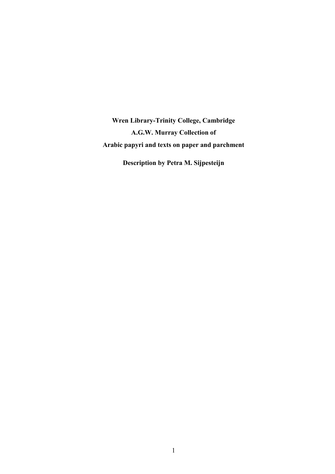**Wren Library-Trinity College, Cambridge A.G.W. Murray Collection of Arabic papyri and texts on paper and parchment**

**Description by Petra M. Sijpesteijn**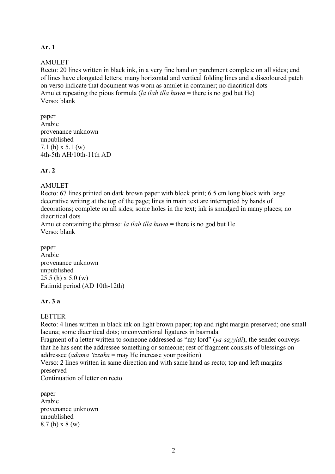# **Ar. 1**

### AMULET

Recto: 20 lines written in black ink, in a very fine hand on parchment complete on all sides; end of lines have elongated letters; many horizontal and vertical folding lines and a discoloured patch on verso indicate that document was worn as amulet in container; no diacritical dots Amulet repeating the pious formula (*la ilah illa huwa* = there is no god but He) Verso: blank

paper Arabic provenance unknown unpublished 7.1 (h) x 5.1 (w) 4th-5th AH/10th-11th AD

# **Ar. 2**

#### **AMULET**

Recto: 67 lines printed on dark brown paper with block print; 6.5 cm long block with large decorative writing at the top of the page; lines in main text are interrupted by bands of decorations; complete on all sides; some holes in the text; ink is smudged in many places; no diacritical dots

Amulet containing the phrase: *la ilah illa huwa* = there is no god but He Verso: blank

paper Arabic provenance unknown unpublished 25.5 (h) x 5.0 (w) Fatimid period (AD 10th-12th)

#### **Ar. 3 a**

LETTER

Recto: 4 lines written in black ink on light brown paper; top and right margin preserved; one small lacuna; some diacritical dots; unconventional ligatures in basmala

Fragment of a letter written to someone addressed as "my lord" (*ya-sayyidi*), the sender conveys that he has sent the addressee something or someone; rest of fragment consists of blessings on addressee (*adama 'izzaka* = may He increase your position)

Verso: 2 lines written in same direction and with same hand as recto; top and left margins preserved

Continuation of letter on recto

paper Arabic provenance unknown unpublished 8.7 (h) x 8 (w)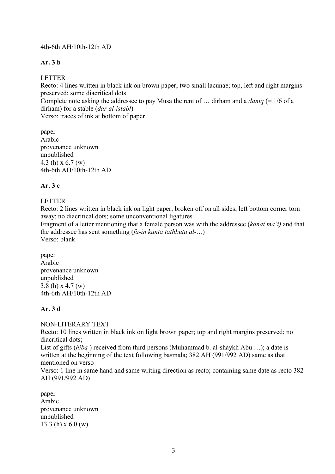### 4th-6th AH/10th-12th AD

# **Ar. 3 b**

# LETTER

Recto: 4 lines written in black ink on brown paper; two small lacunae; top, left and right margins preserved; some diacritical dots

Complete note asking the addressee to pay Musa the rent of … dirham and a *daniq* (= 1/6 of a dirham) for a stable (*dar al-istabl*)

Verso: traces of ink at bottom of paper

paper Arabic provenance unknown unpublished 4.3 (h) x 6.7 (w) 4th-6th AH/10th-12th AD

# **Ar. 3 c**

# LETTER

Recto: 2 lines written in black ink on light paper; broken off on all sides; left bottom corner torn away; no diacritical dots; some unconventional ligatures

Fragment of a letter mentioning that a female person was with the addressee (*kanat ma'i)* and that the addressee has sent something (*fa-in kunta tathbutu al-…*) Verso: blank

paper Arabic provenance unknown unpublished 3.8 (h) x 4.7 (w) 4th-6th AH/10th-12th AD

# **Ar. 3 d**

NON-LITERARY TEXT

Recto: 10 lines written in black ink on light brown paper; top and right margins preserved; no diacritical dots;

List of gifts (*hiba* ) received from third persons (Muhammad b. al-shaykh Abu …); a date is written at the beginning of the text following basmala; 382 AH (991/992 AD) same as that mentioned on verso

Verso: 1 line in same hand and same writing direction as recto; containing same date as recto 382 AH (991/992 AD)

paper Arabic provenance unknown unpublished 13.3 (h) x 6.0 (w)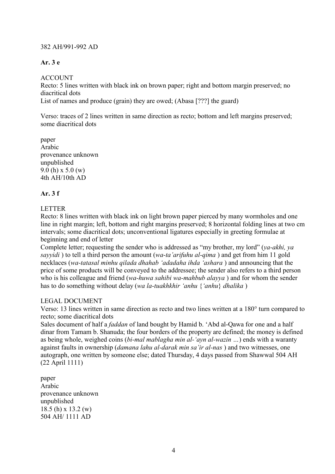### 382 AH/991-992 AD

# **Ar. 3 e**

ACCOUNT

Recto: 5 lines written with black ink on brown paper; right and bottom margin preserved; no diacritical dots List of names and produce (grain) they are owed; (Abasa [???] the guard)

Verso: traces of 2 lines written in same direction as recto; bottom and left margins preserved; some diacritical dots

paper Arabic provenance unknown unpublished 9.0 (h) x 5.0 (w) 4th AH/10th AD

# **Ar. 3 f**

# LETTER

Recto: 8 lines written with black ink on light brown paper pierced by many wormholes and one line in right margin; left, bottom and right margins preserved; 8 horizontal folding lines at two cm intervals; some diacritical dots; unconventional ligatures especially in greeting formulae at beginning and end of letter

Complete letter; requesting the sender who is addressed as "my brother, my lord" (*ya-akhi, ya sayyidi* ) to tell a third person the amount (*wa-ta'arifuhu al-qima* ) and get from him 11 gold necklaces (*wa-tatasal minhu qilada dhahab 'adadaha ihda 'ashara* ) and announcing that the price of some products will be conveyed to the addressee; the sender also refers to a third person who is his colleague and friend (*wa-huwa sahibi wa-mahbub alayya* ) and for whom the sender has to do something without delay (*wa la-tuakhkhir 'anhu* {*'anhu*} *dhalika* )

# LEGAL DOCUMENT

Verso: 13 lines written in same direction as recto and two lines written at a 180° turn compared to recto; some diacritical dots

Sales document of half a *faddan* of land bought by Hamid b. 'Abd al-Qawa for one and a half dinar from Tamam b. Shanuda; the four borders of the property are defined; the money is defined as being whole, weighed coins (*bi-mal mablagha min al-'ayn al-wazin …*) ends with a waranty against faults in ownership (*damana lahu al-darak min sa'ir al-nas* ) and two witnesses, one autograph, one written by someone else; dated Thursday, 4 days passed from Shawwal 504 AH (22 April 1111)

paper Arabic provenance unknown unpublished 18.5 (h) x 13.2 (w) 504 AH/ 1111 AD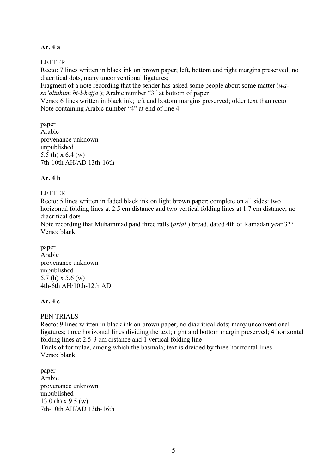### **Ar. 4 a**

LETTER

Recto: 7 lines written in black ink on brown paper; left, bottom and right margins preserved; no diacritical dots, many unconventional ligatures;

Fragment of a note recording that the sender has asked some people about some matter (*wasa'altuhum bi-l-hajja* ); Arabic number "3" at bottom of paper

Verso: 6 lines written in black ink; left and bottom margins preserved; older text than recto Note containing Arabic number "4" at end of line 4

paper Arabic provenance unknown unpublished 5.5 (h) x 6.4 (w) 7th-10th AH/AD 13th-16th

# **Ar. 4 b**

# LETTER

Recto: 5 lines written in faded black ink on light brown paper; complete on all sides: two horizontal folding lines at 2.5 cm distance and two vertical folding lines at 1.7 cm distance; no diacritical dots

Note recording that Muhammad paid three ratls (*artal* ) bread, dated 4th of Ramadan year 3?? Verso: blank

paper Arabic provenance unknown unpublished 5.7 (h) x 5.6 (w) 4th-6th AH/10th-12th AD

# **Ar. 4 c**

PEN TRIALS

Recto: 9 lines written in black ink on brown paper; no diacritical dots; many unconventional ligatures; three horizontal lines dividing the text; right and bottom margin preserved; 4 horizontal folding lines at 2.5-3 cm distance and 1 vertical folding line Trials of formulae, among which the basmala; text is divided by three horizontal lines Verso: blank

paper Arabic provenance unknown unpublished 13.0 (h) x 9.5 (w) 7th-10th AH/AD 13th-16th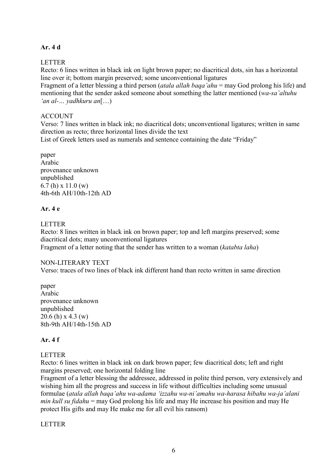### **Ar. 4 d**

LETTER

Recto: 6 lines written in black ink on light brown paper; no diacritical dots, sin has a horizontal line over it; bottom margin preserved; some unconventional ligatures

Fragment of a letter blessing a third person (*atala allah baqa'ahu* = may God prolong his life) and mentioning that the sender asked someone about something the latter mentioned (*wa-sa'altuhu 'an al-… yadhkuru an*[…)

### ACCOUNT

Verso: 7 lines written in black ink; no diacritical dots; unconventional ligatures; written in same direction as recto; three horizontal lines divide the text

List of Greek letters used as numerals and sentence containing the date "Friday"

paper Arabic provenance unknown unpublished 6.7 (h) x 11.0 (w) 4th-6th AH/10th-12th AD

# **Ar. 4 e**

### LETTER

Recto: 8 lines written in black ink on brown paper; top and left margins preserved; some diacritical dots; many unconventional ligatures Fragment of a letter noting that the sender has written to a woman (*katabta laha*)

#### NON-LITERARY TEXT

Verso: traces of two lines of black ink different hand than recto written in same direction

paper Arabic provenance unknown unpublished 20.6 (h) x 4.3 (w) 8th-9th AH/14th-15th AD

# **Ar. 4 f**

# LETTER

Recto: 6 lines written in black ink on dark brown paper; few diacritical dots; left and right margins preserved; one horizontal folding line

Fragment of a letter blessing the addressee, addressed in polite third person, very extensively and wishing him all the progress and success in life without difficulties including some unusual formulae (*atala allah baqa'ahu wa-adama 'izzahu wa-ni'amahu wa-harasa hibahu wa-ja'alani min kull su fidahu* = may God prolong his life and may He increase his position and may He protect His gifts and may He make me for all evil his ransom)

# LETTER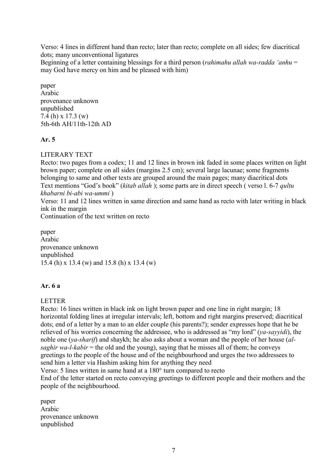Verso: 4 lines in different hand than recto; later than recto; complete on all sides; few diacritical dots; many unconventional ligatures

Beginning of a letter containing blessings for a third person (*rahimahu allah wa-radda 'anhu* = may God have mercy on him and be pleased with him)

paper Arabic provenance unknown unpublished 7.4 (h) x 17.3 (w) 5th-6th AH/11th-12th AD

# **Ar. 5**

LITERARY TEXT

Recto: two pages from a codex; 11 and 12 lines in brown ink faded in some places written on light brown paper; complete on all sides (margins 2.5 cm); several large lacunae; some fragments belonging to same and other texts are grouped around the main pages; many diacritical dots Text mentions "God's book" (*kitab allah* ); some parts are in direct speech ( verso l. 6-7 *qultu khabarni bi-abi wa-ummi* )

Verso: 11 and 12 lines written in same direction and same hand as recto with later writing in black ink in the margin

Continuation of the text written on recto

paper Arabic provenance unknown unpublished 15.4 (h) x 13.4 (w) and 15.8 (h) x 13.4 (w)

# **Ar. 6 a**

#### LETTER

Recto: 16 lines written in black ink on light brown paper and one line in right margin; 18 horizontal folding lines at irregular intervals; left, bottom and right margins preserved; diacritical dots; end of a letter by a man to an elder couple (his parents?); sender expresses hope that he be relieved of his worries concerning the addressee, who is addressed as "my lord" (*ya-sayyidi*), the noble one (*ya-sharif*) and shaykh; he also asks about a woman and the people of her house (*alsaghir wa-l-kabir* = the old and the young), saying that he misses all of them; he conveys greetings to the people of the house and of the neighbourhood and urges the two addressees to send him a letter via Hashim asking him for anything they need

Verso: 5 lines written in same hand at a 180° turn compared to recto

End of the letter started on recto conveying greetings to different people and their mothers and the people of the neighbourhood.

paper Arabic provenance unknown unpublished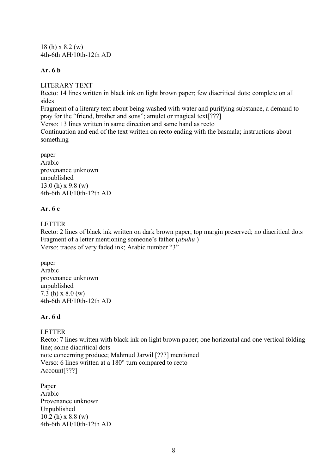18 (h) x 8.2 (w) 4th-6th AH/10th-12th AD

### **Ar. 6 b**

LITERARY TEXT

Recto: 14 lines written in black ink on light brown paper; few diacritical dots; complete on all sides

Fragment of a literary text about being washed with water and purifying substance, a demand to pray for the "friend, brother and sons"; amulet or magical text[???]

Verso: 13 lines written in same direction and same hand as recto

Continuation and end of the text written on recto ending with the basmala; instructions about something

paper Arabic provenance unknown unpublished 13.0 (h) x 9.8 (w) 4th-6th AH/10th-12th AD

# **Ar. 6 c**

LETTER

Recto: 2 lines of black ink written on dark brown paper; top margin preserved; no diacritical dots Fragment of a letter mentioning someone's father (*abuhu* ) Verso: traces of very faded ink; Arabic number "3"

paper Arabic provenance unknown unpublished 7.3 (h) x 8.0 (w) 4th-6th AH/10th-12th AD

# **Ar. 6 d**

# LETTER

Recto: 7 lines written with black ink on light brown paper; one horizontal and one vertical folding line; some diacritical dots note concerning produce; Mahmud Jarwil [???] mentioned Verso: 6 lines written at a 180° turn compared to recto Account<sup>[???]</sup>

Paper Arabic Provenance unknown Unpublished  $10.2$  (h) x  $8.8$  (w) 4th-6th AH/10th-12th AD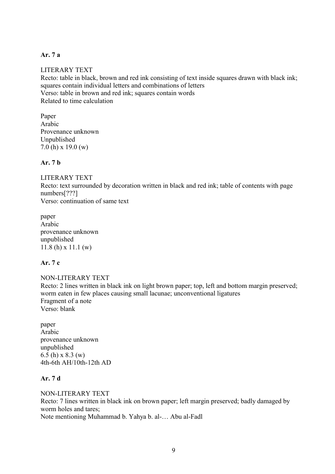### **Ar. 7 a**

### LITERARY TEXT

Recto: table in black, brown and red ink consisting of text inside squares drawn with black ink; squares contain individual letters and combinations of letters Verso: table in brown and red ink; squares contain words Related to time calculation

Paper Arabic Provenance unknown Unpublished 7.0 (h) x 19.0 (w)

### **Ar. 7 b**

### LITERARY TEXT

Recto: text surrounded by decoration written in black and red ink; table of contents with page numbers[???]

Verso: continuation of same text

paper Arabic provenance unknown unpublished 11.8 (h) x 11.1 (w)

# **Ar. 7 c**

NON-LITERARY TEXT Recto: 2 lines written in black ink on light brown paper; top, left and bottom margin preserved; worm eaten in few places causing small lacunae; unconventional ligatures Fragment of a note Verso: blank

paper Arabic provenance unknown unpublished 6.5 (h) x 8.3 (w) 4th-6th AH/10th-12th AD

# **Ar. 7 d**

NON-LITERARY TEXT Recto: 7 lines written in black ink on brown paper; left margin preserved; badly damaged by worm holes and tares; Note mentioning Muhammad b. Yahya b. al-… Abu al-Fadl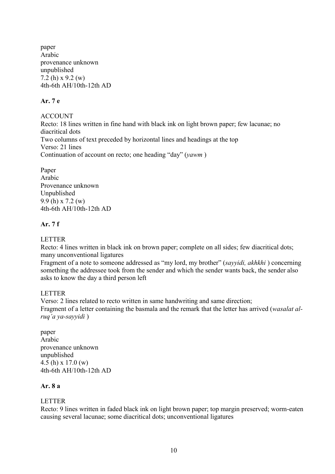paper Arabic provenance unknown unpublished 7.2 (h) x 9.2 (w) 4th-6th AH/10th-12th AD

### **Ar. 7 e**

ACCOUNT Recto: 18 lines written in fine hand with black ink on light brown paper; few lacunae; no diacritical dots Two columns of text preceded by horizontal lines and headings at the top Verso: 21 lines Continuation of account on recto; one heading "day" (*yawm* )

Paper Arabic Provenance unknown Unpublished 9.9 (h) x 7.2 (w) 4th-6th AH/10th-12th AD

# **Ar. 7 f**

### LETTER

Recto: 4 lines written in black ink on brown paper; complete on all sides; few diacritical dots; many unconventional ligatures

Fragment of a note to someone addressed as "my lord, my brother" (*sayyidi, akhkhi* ) concerning something the addressee took from the sender and which the sender wants back, the sender also asks to know the day a third person left

# LETTER

Verso: 2 lines related to recto written in same handwriting and same direction; Fragment of a letter containing the basmala and the remark that the letter has arrived (*wasalat alruq'a ya-sayyidi* )

paper Arabic provenance unknown unpublished 4.5 (h) x 17.0 (w) 4th-6th AH/10th-12th AD

# **Ar. 8 a**

# LETTER

Recto: 9 lines written in faded black ink on light brown paper; top margin preserved; worm-eaten causing several lacunae; some diacritical dots; unconventional ligatures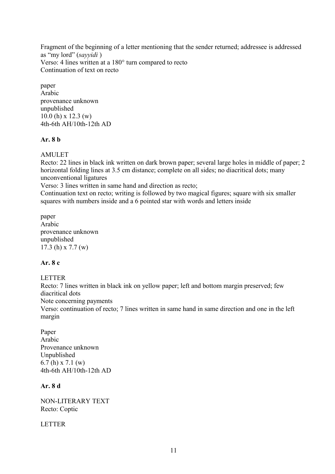Fragment of the beginning of a letter mentioning that the sender returned; addressee is addressed as "my lord" (*sayyidi* ) Verso: 4 lines written at a 180° turn compared to recto Continuation of text on recto

paper Arabic provenance unknown unpublished 10.0 (h) x 12.3 (w) 4th-6th AH/10th-12th AD

# **Ar. 8 b**

AMULET

Recto: 22 lines in black ink written on dark brown paper; several large holes in middle of paper; 2 horizontal folding lines at 3.5 cm distance; complete on all sides; no diacritical dots; many unconventional ligatures

Verso: 3 lines written in same hand and direction as recto;

Continuation text on recto; writing is followed by two magical figures; square with six smaller squares with numbers inside and a 6 pointed star with words and letters inside

paper Arabic provenance unknown unpublished 17.3 (h) x 7.7 (w)

# **Ar. 8 c**

LETTER

Recto: 7 lines written in black ink on yellow paper; left and bottom margin preserved; few diacritical dots

Note concerning payments

Verso: continuation of recto; 7 lines written in same hand in same direction and one in the left margin

Paper Arabic Provenance unknown Unpublished 6.7 (h) x 7.1 (w) 4th-6th AH/10th-12th AD

# **Ar. 8 d**

NON-LITERARY TEXT Recto: Coptic

LETTER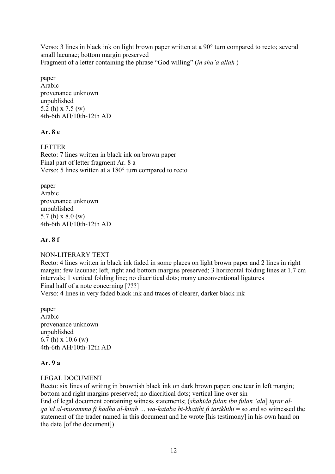Verso: 3 lines in black ink on light brown paper written at a 90° turn compared to recto; several small lacunae; bottom margin preserved Fragment of a letter containing the phrase "God willing" (*in sha'a allah* )

paper Arabic provenance unknown unpublished 5.2 (h) x 7.5 (w) 4th-6th AH/10th-12th AD

# **Ar. 8 e**

LETTER Recto: 7 lines written in black ink on brown paper Final part of letter fragment Ar. 8 a Verso: 5 lines written at a 180° turn compared to recto

paper Arabic provenance unknown unpublished 5.7 (h) x 8.0 (w) 4th-6th AH/10th-12th AD

# **Ar. 8 f**

NON-LITERARY TEXT

Recto: 4 lines written in black ink faded in some places on light brown paper and 2 lines in right margin; few lacunae; left, right and bottom margins preserved; 3 horizontal folding lines at 1.7 cm intervals; 1 vertical folding line; no diacritical dots; many unconventional ligatures Final half of a note concerning [???]

Verso: 4 lines in very faded black ink and traces of clearer, darker black ink

paper Arabic provenance unknown unpublished 6.7 (h) x 10.6 (w) 4th-6th AH/10th-12th AD

# **Ar. 9 a**

# LEGAL DOCUMENT

Recto: six lines of writing in brownish black ink on dark brown paper; one tear in left margin; bottom and right margins preserved; no diacritical dots; vertical line over sin End of legal document containing witness statements; (*shahida fulan ibn fulan 'ala*] *iqrar alqa'id al-musamma fi hadha al-kitab … wa-kataba bi-khatihi fi tarikhihi* = so and so witnessed the statement of the trader named in this document and he wrote [his testimony] in his own hand on the date [of the document])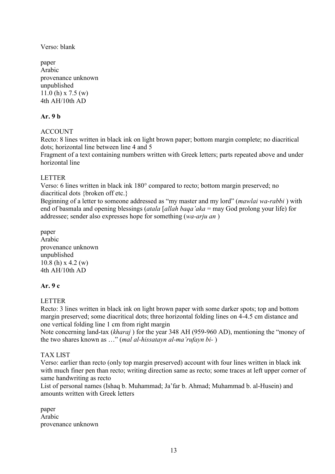Verso: blank

paper Arabic provenance unknown unpublished 11.0 (h) x 7.5 (w) 4th AH/10th AD

# **Ar. 9 b**

# **ACCOUNT**

Recto: 8 lines written in black ink on light brown paper; bottom margin complete; no diacritical dots; horizontal line between line 4 and 5

Fragment of a text containing numbers written with Greek letters; parts repeated above and under horizontal line

# LETTER

Verso: 6 lines written in black ink 180° compared to recto; bottom margin preserved; no diacritical dots {broken off etc.}

Beginning of a letter to someone addressed as "my master and my lord" (*mawlai wa-rabbi* ) with end of basmala and opening blessings (*atala* [*allah baqa'aka* = may God prolong your life) for addressee; sender also expresses hope for something (*wa-arju an* )

paper Arabic provenance unknown unpublished 10.8 (h) x 4.2 (w) 4th AH/10th AD

# **Ar. 9 c**

# LETTER

Recto: 3 lines written in black ink on light brown paper with some darker spots; top and bottom margin preserved; some diacritical dots; three horizontal folding lines on 4-4.5 cm distance and one vertical folding line 1 cm from right margin

Note concerning land-tax (*kharaj* ) for the year 348 AH (959-960 AD), mentioning the "money of the two shares known as …" (*mal al-hissatayn al-ma'rufayn bi-* )

# TAX LIST

Verso: earlier than recto (only top margin preserved) account with four lines written in black ink with much finer pen than recto; writing direction same as recto; some traces at left upper corner of same handwriting as recto

List of personal names (Ishaq b. Muhammad; Ja'far b. Ahmad; Muhammad b. al-Husein) and amounts written with Greek letters

paper Arabic provenance unknown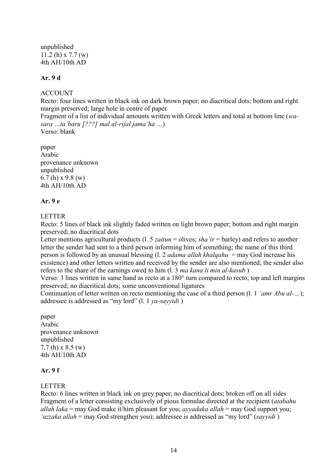unpublished 11.2 (h) x 7.7 (w) 4th AH/10th AD

# **Ar. 9 d**

# ACCOUNT

Recto: four lines written in black ink on dark brown paper; no diacritical dots; bottom and right margin preserved; large hole in centre of paper

Fragment of a list of individual amounts written with Greek letters and total at bottom line (*wasara …ta'baru [???] mal al-rijal jama'ha …*)

Verso: blank

paper Arabic provenance unknown unpublished 6.7 (h) x 9.8 (w) 4th AH/10th AD

# **Ar. 9 e**

# LETTER

Recto: 5 lines of black ink slightly faded written on light brown paper; bottom and right margin preserved; no diacritical dots

Letter mentions agricultural products (l. 5 *zaitun* = olives; *sha'ir* = barley) and refers to another letter the sender had sent to a third person informing him of something; the name of this third person is followed by an unusual blessing (l. 2 *adama allah khalqahu* = may God increase his existence) and other letters written and received by the sender are also mentioned; the sender also refers to the share of the earnings owed to him (l. 3 *ma kana li min al-kasub* )

Verso: 3 lines written in same hand as recto at a 180° turn compared to recto; top and left margins preserved; no diacritical dots; some unconventional ligatures

Continuation of letter written on recto mentioning the case of a third person (l. 1 *'amr Abu al-…*); addressee is addressed as "my lord" (l. 1 *ya-sayyidi* )

paper Arabic provenance unknown unpublished 7.7 (h) x 8.5 (w) 4th AH/10th AD

# **Ar. 9 f**

# LETTER

Recto: 6 lines written in black ink on grey paper; no diacritical dots; broken off on all sides Fragment of a letter consisting exclusively of pious formulae directed at the recipient (*atabahu allah laka* = may God make it/him pleasant for you; *ayyadaka allah* = may God support you; *'azzaka allah* = may God strengthen you); addressee is addressed as "my lord" (*sayyidi* )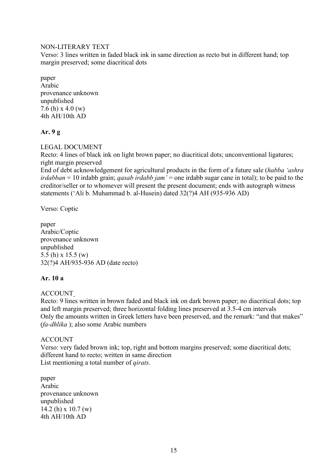### NON-LITERARY TEXT

Verso: 3 lines written in faded black ink in same direction as recto but in different hand; top margin preserved; some diacritical dots

paper Arabic provenance unknown unpublished 7.6 (h) x 4.0 (w) 4th AH/10th AD

# **Ar. 9 g**

# LEGAL DOCUMENT

Recto: 4 lines of black ink on light brown paper; no diacritical dots; unconventional ligatures; right margin preserved

End of debt acknowledgement for agricultural products in the form of a future sale (*habba 'ashra irdabban* = 10 irdabb grain; *qasab irdabb jam'* = one irdabb sugar cane in total); to be paid to the creditor/seller or to whomever will present the present document; ends with autograph witness statements ('Ali b. Muhammad b. al-Husein) dated 32(?)4 AH (935-936 AD)

Verso: Coptic

paper Arabic/Coptic provenance unknown unpublished 5.5 (h) x 15.5 (w) 32(?)4 AH/935-936 AD (date recto)

# **Ar. 10 a**

# ACCOUNT

Recto: 9 lines written in brown faded and black ink on dark brown paper; no diacritical dots; top and left margin preserved; three horizontal folding lines preserved at 3.5-4 cm intervals Only the amounts written in Greek letters have been preserved, and the remark: "and that makes" (*fa-dhlika* ); also some Arabic numbers

# ACCOUNT

Verso: very faded brown ink; top, right and bottom margins preserved; some diacritical dots; different hand to recto; written in same direction List mentioning a total number of *qirats*.

paper Arabic provenance unknown unpublished 14.2 (h) x 10.7 (w)  $4th$  AH/10th AD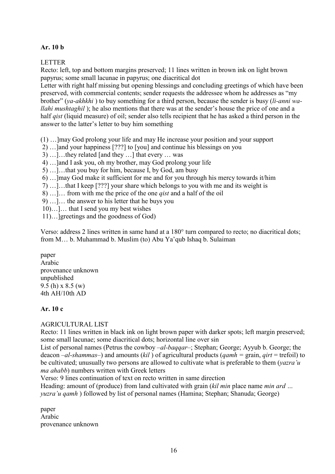# **Ar. 10 b**

LETTER

Recto: left, top and bottom margins preserved; 11 lines written in brown ink on light brown papyrus; some small lacunae in papyrus; one diacritical dot

Letter with right half missing but opening blessings and concluding greetings of which have been preserved, with commercial contents; sender requests the addressee whom he addresses as "my brother" (*ya-akhkhi* ) to buy something for a third person, because the sender is busy (*li-anni wallahi mushtaghil*); he also mentions that there was at the sender's house the price of one and a half *qist* (liquid measure) of oil; sender also tells recipient that he has asked a third person in the answer to the latter's letter to buy him something

(1) …]may God prolong your life and may He increase your position and your support

- 2) …]and your happiness [???] to [you] and continue his blessings on you
- 3) …]…they related [and they …] that every … was
- 4) …]and I ask you, oh my brother, may God prolong your life
- 5) …]…that you buy for him, because I, by God, am busy
- 6) …]may God make it sufficient for me and for you through his mercy towards it/him
- 7) …]…that I keep [???] your share which belongs to you with me and its weight is
- 8) …]… from with me the price of the one *qist* and a half of the oil
- 9) …]… the answer to his letter that he buys you
- 10)…]… that I send you my best wishes
- 11)…]greetings and the goodness of God)

Verso: address 2 lines written in same hand at a 180° turn compared to recto; no diacritical dots; from M… b. Muhammad b. Muslim (to) Abu Ya'qub Ishaq b. Sulaiman

paper Arabic provenance unknown unpublished 9.5 (h) x 8.5 (w) 4th AH/10th AD

# **Ar. 10 c**

#### AGRICULTURAL LIST

Recto: 11 lines written in black ink on light brown paper with darker spots; left margin preserved; some small lacunae; some diacritical dots; horizontal line over sin

List of personal names (Petrus the cowboy –*al-baqqar–*; Stephan; George; Ayyub b. George; the deacon –*al-shammas*–) and amounts (*kil* ) of agricultural products (*qamh =* grain, *qirt* = trefoil) to be cultivated; unusually two persons are allowed to cultivate what is preferable to them (*yazra'u ma ahabb*) numbers written with Greek letters

Verso: 9 lines continuation of text on recto written in same direction

Heading: amount of (produce) from land cultivated with grain (*kil min* place name *min ard … yuzra'u qamh* ) followed by list of personal names (Hamina; Stephan; Shanuda; George)

paper Arabic provenance unknown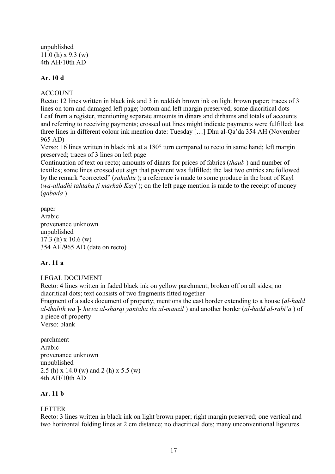unpublished 11.0 (h) x 9.3 (w) 4th AH/10th AD

# **Ar. 10 d**

### ACCOUNT

Recto: 12 lines written in black ink and 3 in reddish brown ink on light brown paper; traces of 3 lines on torn and damaged left page; bottom and left margin preserved; some diacritical dots Leaf from a register, mentioning separate amounts in dinars and dirhams and totals of accounts and referring to receiving payments; crossed out lines might indicate payments were fulfilled; last three lines in different colour ink mention date: Tuesday […] Dhu al-Qa'da 354 AH (November 965 AD)

Verso: 16 lines written in black ink at a 180° turn compared to recto in same hand; left margin preserved; traces of 3 lines on left page

Continuation of text on recto; amounts of dinars for prices of fabrics (*thaub* ) and number of textiles; some lines crossed out sign that payment was fulfilled; the last two entries are followed by the remark "corrected" (*sahahtu* ); a reference is made to some produce in the boat of Kayl (*wa-alladhi tahtaha fi markab Kayl* ); on the left page mention is made to the receipt of money (*qabada* )

paper Arabic provenance unknown unpublished 17.3 (h) x 10.6 (w) 354 AH/965 AD (date on recto)

# **Ar. 11 a**

# LEGAL DOCUMENT

Recto: 4 lines written in faded black ink on yellow parchment; broken off on all sides; no diacritical dots; text consists of two fragments fitted together

Fragment of a sales document of property; mentions the east border extending to a house (*al-hadd al-thalith wa* ]*- huwa al-sharqi yantaha ila al-manzil* ) and another border (*al-hadd al-rabi'a* ) of a piece of property

Verso: blank

parchment Arabic provenance unknown unpublished 2.5 (h) x 14.0 (w) and 2 (h) x 5.5 (w) 4th AH/10th AD

# **Ar. 11 b**

# LETTER

Recto: 3 lines written in black ink on light brown paper; right margin preserved; one vertical and two horizontal folding lines at 2 cm distance; no diacritical dots; many unconventional ligatures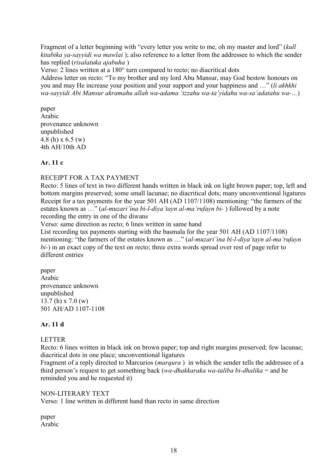Fragment of a letter beginning with "every letter you write to me, oh my master and lord" (*kull kitabika ya-sayyidi wa mawlai* ); also reference to a letter from the addressee to which the sender has replied (*risalatuka ajabuha* )

Verso: 2 lines written at a 180° turn compared to recto; no diacritical dots

Address letter on recto: "To my brother and my lord Abu Mansur, may God bestow honours on you and may He increase your position and your support and your happiness and …" (*li akhkhi wa-sayyidi Abi Mansur akramahu allah wa-adama 'izzahu wa-ta'yidahu wa-sa'adatahu wa-…*)

paper Arabic provenance unknown unpublished 4.8 (h) x 6.5 (w) 4th AH/10th AD

# **Ar. 11 c**

# RECEIPT FOR A TAX PAYMENT

Recto: 5 lines of text in two different hands written in black ink on light brown paper; top, left and bottom margins preserved; some small lacunae; no diacritical dots; many unconventional ligatures Receipt for a tax payments for the year 501 AH (AD 1107/1108) mentioning: "the farmers of the estates known as …" (*al-muzari'ina bi-l-diya'tayn al-ma'rufayn bi-* ) followed by a note recording the entry in one of the diwans

Verso: same direction as recto; 6 lines written in same hand

List recording tax payments starting with the basmala for the year 501 AH (AD 1107/1108) mentioning: "the farmers of the estates known as …" (*al-muzari'ina bi-l-diya'tayn al-ma'rufayn bi-*) in an exact copy of the text on recto; three extra words spread over rest of page refer to different entries

paper Arabic provenance unknown unpublished 13.7 (h) x 7.0 (w) 501 AH/AD 1107-1108

# **Ar. 11 d**

# LETTER

Recto: 6 lines written in black ink on brown paper; top and right margins preserved; few lacunae; diacritical dots in one place; unconventional ligatures

Fragment of a reply directed to Marcurios (*marqura* ) in which the sender tells the addressee of a third person's request to get something back (*wa-dhakkaraka wa-taliba bi-dhalika* = and he reminded you and he requested it)

# NON-LITERARY TEXT

Verso: 1 line written in different hand than recto in same direction

paper Arabic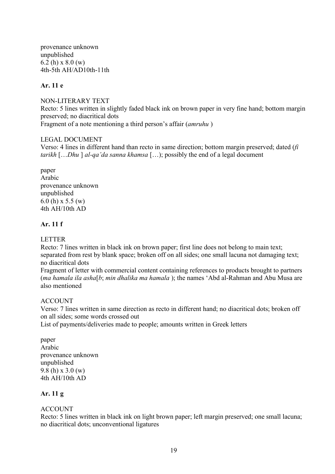provenance unknown unpublished 6.2 (h) x 8.0 (w) 4th-5th AH/AD10th-11th

### **Ar. 11 e**

NON-LITERARY TEXT Recto: 5 lines written in slightly faded black ink on brown paper in very fine hand; bottom margin preserved; no diacritical dots Fragment of a note mentioning a third person's affair (*amruhu* )

### LEGAL DOCUMENT

Verso: 4 lines in different hand than recto in same direction; bottom margin preserved; dated (*fi tarikh* […*Dhu* ] *al-qa'da sanna khamsa* […); possibly the end of a legal document

paper Arabic provenance unknown unpublished 6.0 (h) x 5.5 (w) 4th AH/10th AD

### **Ar. 11 f**

### LETTER

Recto: 7 lines written in black ink on brown paper; first line does not belong to main text; separated from rest by blank space; broken off on all sides; one small lacuna not damaging text; no diacritical dots

Fragment of letter with commercial content containing references to products brought to partners (*ma hamala ila asha*[*b*; *min dhalika ma hamala* ); the names 'Abd al-Rahman and Abu Musa are also mentioned

# ACCOUNT

Verso: 7 lines written in same direction as recto in different hand; no diacritical dots; broken off on all sides; some words crossed out

List of payments/deliveries made to people; amounts written in Greek letters

paper Arabic provenance unknown unpublished 9.8 (h) x 3.0 (w) 4th AH/10th AD

# **Ar. 11 g**

# ACCOUNT

Recto: 5 lines written in black ink on light brown paper; left margin preserved; one small lacuna; no diacritical dots; unconventional ligatures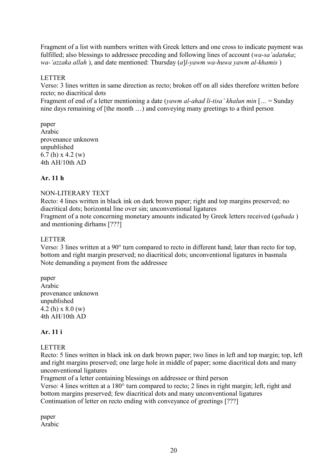Fragment of a list with numbers written with Greek letters and one cross to indicate payment was fulfilled; also blessings to addressee preceding and following lines of account (*wa-sa'adatuka*; *wa-'azzaka allah* ), and date mentioned: Thursday (*a*]*l-yawm wa-huwa yawm al-khamis* )

### LETTER

Verso: 3 lines written in same direction as recto; broken off on all sides therefore written before recto; no diacritical dots

Fragment of end of a letter mentioning a date (*yawm al-ahad li-tisa' khalun min* [*…* = Sunday nine days remaining of [the month …) and conveying many greetings to a third person

#### paper Arabic provenance unknown unpublished 6.7 (h) x 4.2 (w) 4th AH/10th AD

# **Ar. 11 h**

# NON-LITERARY TEXT

Recto: 4 lines written in black ink on dark brown paper; right and top margins preserved; no diacritical dots; horizontal line over sin; unconventional ligatures Fragment of a note concerning monetary amounts indicated by Greek letters received (*qabada* ) and mentioning dirhams [???]

#### LETTER

Verso: 3 lines written at a 90° turn compared to recto in different hand; later than recto for top, bottom and right margin preserved; no diacritical dots; unconventional ligatures in basmala Note demanding a payment from the addressee

paper Arabic provenance unknown unpublished 4.2 (h) x 8.0 (w) 4th AH/10th AD

# **Ar. 11 i**

# LETTER

Recto: 5 lines written in black ink on dark brown paper; two lines in left and top margin; top, left and right margins preserved; one large hole in middle of paper; some diacritical dots and many unconventional ligatures

Fragment of a letter containing blessings on addressee or third person

Verso: 4 lines written at a 180° turn compared to recto; 2 lines in right margin; left, right and bottom margins preserved; few diacritical dots and many unconventional ligatures Continuation of letter on recto ending with conveyance of greetings [???]

paper Arabic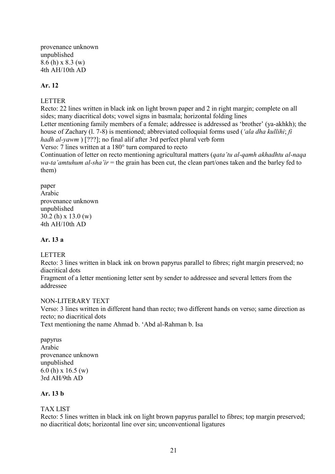provenance unknown unpublished 8.6 (h) x 8.3 (w) 4th AH/10th AD

### **Ar. 12**

### LETTER

Recto: 22 lines written in black ink on light brown paper and 2 in right margin; complete on all sides; many diacritical dots; vowel signs in basmala; horizontal folding lines Letter mentioning family members of a female; addressee is addressed as 'brother' (ya-akhkh); the house of Zachary (l. 7-8) is mentioned; abbreviated colloquial forms used (*'ala dha kullihi*; *fi hadh al-yawm* ) [???]; no final alif after 3rd perfect plural verb form Verso: 7 lines written at a 180° turn compared to recto Continuation of letter on recto mentioning agricultural matters (*qata'tu al-qamh akhadhtu al-naqa wa-ta'amtuhum al-sha'ir* = the grain has been cut, the clean part/ones taken and the barley fed to them)

paper Arabic provenance unknown unpublished 30.2 (h) x 13.0 (w) 4th AH/10th AD

### **Ar. 13 a**

# LETTER

Recto: 3 lines written in black ink on brown papyrus parallel to fibres; right margin preserved; no diacritical dots

Fragment of a letter mentioning letter sent by sender to addressee and several letters from the addressee

#### NON-LITERARY TEXT

Verso: 3 lines written in different hand than recto; two different hands on verso; same direction as recto; no diacritical dots Text mentioning the name Ahmad b. 'Abd al-Rahman b. Isa

papyrus Arabic provenance unknown unpublished 6.0 (h) x 16.5 (w) 3rd AH/9th AD

#### **Ar. 13 b**

#### TAX LIST

Recto: 5 lines written in black ink on light brown papyrus parallel to fibres; top margin preserved; no diacritical dots; horizontal line over sin; unconventional ligatures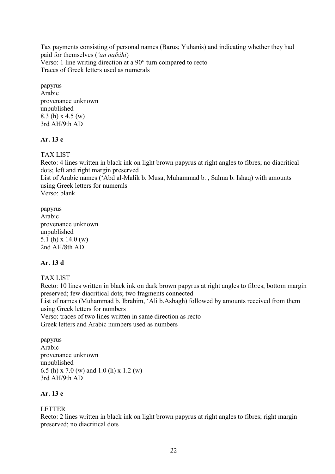Tax payments consisting of personal names (Barus; Yuhanis) and indicating whether they had paid for themselves (*'an nafsihi*) Verso: 1 line writing direction at a 90° turn compared to recto Traces of Greek letters used as numerals

papyrus Arabic provenance unknown unpublished 8.3 (h) x 4.5 (w) 3rd AH/9th AD

# **Ar. 13 c**

TAX LIST

Recto: 4 lines written in black ink on light brown papyrus at right angles to fibres; no diacritical dots; left and right margin preserved

List of Arabic names ('Abd al-Malik b. Musa, Muhammad b. , Salma b. Ishaq) with amounts using Greek letters for numerals

Verso: blank

papyrus Arabic provenance unknown unpublished 5.1 (h) x 14.0 (w) 2nd AH/8th AD

# **Ar. 13 d**

TAX LIST

Recto: 10 lines written in black ink on dark brown papyrus at right angles to fibres; bottom margin preserved; few diacritical dots; two fragments connected List of names (Muhammad b. Ibrahim, 'Ali b.Asbagh) followed by amounts received from them using Greek letters for numbers Verso: traces of two lines written in same direction as recto

Greek letters and Arabic numbers used as numbers

papyrus Arabic provenance unknown unpublished 6.5 (h) x 7.0 (w) and 1.0 (h) x 1.2 (w) 3rd AH/9th AD

# **Ar. 13 e**

# LETTER

Recto: 2 lines written in black ink on light brown papyrus at right angles to fibres; right margin preserved; no diacritical dots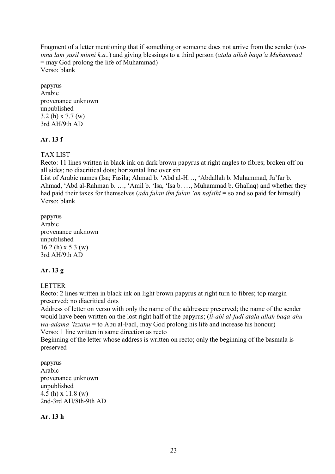Fragment of a letter mentioning that if something or someone does not arrive from the sender (*wainna lam yusil minni k.a..*) and giving blessings to a third person (*atala allah baqa'a Muhammad* = may God prolong the life of Muhammad) Verso: blank

papyrus Arabic provenance unknown unpublished 3.2 (h) x 7.7 (w) 3rd AH/9th AD

# **Ar. 13 f**

TAX LIST

Recto: 11 lines written in black ink on dark brown papyrus at right angles to fibres; broken off on all sides; no diacritical dots; horizontal line over sin

List of Arabic names (Isa; Fasila; Ahmad b. 'Abd al-H…, 'Abdallah b. Muhammad, Ja'far b. Ahmad, 'Abd al-Rahman b. …, 'Amil b. 'Isa, 'Isa b. …, Muhammad b. Ghallaq) and whether they had paid their taxes for themselves (*ada fulan ibn fulan 'an nafsihi* = so and so paid for himself) Verso: blank

papyrus Arabic provenance unknown unpublished 16.2 (h) x 5.3 (w) 3rd AH/9th AD

# **Ar. 13 g**

LETTER

Recto: 2 lines written in black ink on light brown papyrus at right turn to fibres; top margin preserved; no diacritical dots

Address of letter on verso with only the name of the addressee preserved; the name of the sender would have been written on the lost right half of the papyrus; (*li-abi al-fadl atala allah baqa'ahu wa-adama 'izzahu* = to Abu al-Fadl, may God prolong his life and increase his honour) Verso: 1 line written in same direction as recto

Beginning of the letter whose address is written on recto; only the beginning of the basmala is preserved

papyrus Arabic provenance unknown unpublished 4.5 (h) x 11.8 (w) 2nd-3rd AH/8th-9th AD

**Ar. 13 h**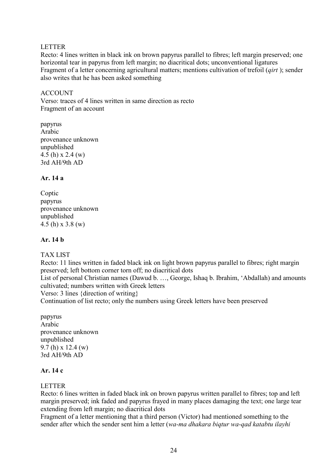### LETTER

Recto: 4 lines written in black ink on brown papyrus parallel to fibres; left margin preserved; one horizontal tear in papyrus from left margin; no diacritical dots; unconventional ligatures Fragment of a letter concerning agricultural matters; mentions cultivation of trefoil (*qirt* ); sender also writes that he has been asked something

#### ACCOUNT

Verso: traces of 4 lines written in same direction as recto Fragment of an account

papyrus Arabic provenance unknown unpublished 4.5 (h) x 2.4 (w) 3rd AH/9th AD

### **Ar. 14 a**

Coptic papyrus provenance unknown unpublished 4.5 (h) x 3.8 (w)

### **Ar. 14 b**

# TAX LIST

Recto: 11 lines written in faded black ink on light brown papyrus parallel to fibres; right margin preserved; left bottom corner torn off; no diacritical dots

List of personal Christian names (Dawud b. …, George, Ishaq b. Ibrahim, 'Abdallah) and amounts cultivated; numbers written with Greek letters

Verso: 3 lines {direction of writing}

Continuation of list recto; only the numbers using Greek letters have been preserved

papyrus Arabic provenance unknown unpublished 9.7 (h) x 12.4 (w) 3rd AH/9th AD

### **Ar. 14 c**

#### LETTER

Recto: 6 lines written in faded black ink on brown papyrus written parallel to fibres; top and left margin preserved; ink faded and papyrus frayed in many places damaging the text; one large tear extending from left margin; no diacritical dots

Fragment of a letter mentioning that a third person (Victor) had mentioned something to the sender after which the sender sent him a letter (*wa-ma dhakara biqtur wa-qad katabtu ilayhi*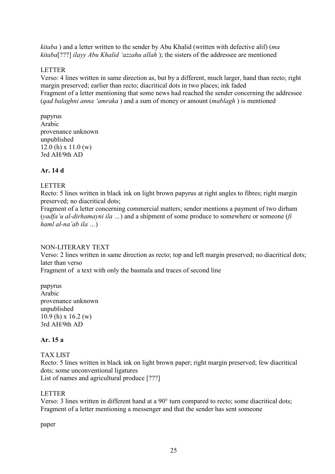*kitaba* ) and a letter written to the sender by Abu Khalid (written with defective alif) (*ma kitaba*[???] *ilayy Abu Khalid 'azzahu allah* ); the sisters of the addressee are mentioned

# LETTER

Verso: 4 lines written in same direction as, but by a different, much larger, hand than recto; right margin preserved; earlier than recto; diacritical dots in two places; ink faded Fragment of a letter mentioning that some news had reached the sender concerning the addressee (*qad balaghni anna 'amraka* ) and a sum of money or amount (*mablagh* ) is mentioned

papyrus Arabic provenance unknown unpublished 12.0 (h) x 11.0 (w) 3rd AH/9th AD

# **Ar. 14 d**

# LETTER

Recto: 5 lines written in black ink on light brown papyrus at right angles to fibres; right margin preserved; no diacritical dots;

Fragment of a letter concerning commercial matters; sender mentions a payment of two dirham (*yadfa'u al-dirhamayni ila …*) and a shipment of some produce to somewhere or someone (*fi haml al-na'ab ila …*)

# NON-LITERARY TEXT

Verso: 2 lines written in same direction as recto; top and left margin preserved; no diacritical dots; later than verso

Fragment of a text with only the basmala and traces of second line

papyrus Arabic provenance unknown unpublished 10.9 (h) x 16.2 (w) 3rd AH/9th AD

# **Ar. 15 a**

# TAX LIST

Recto: 5 lines written in black ink on light brown paper; right margin preserved; few diacritical dots; some unconventional ligatures List of names and agricultural produce [???]

# LETTER

Verso: 3 lines written in different hand at a 90° turn compared to recto; some diacritical dots; Fragment of a letter mentioning a messenger and that the sender has sent someone

paper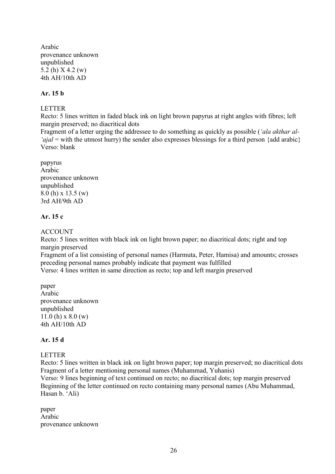Arabic provenance unknown unpublished 5.2 (h) X 4.2 (w) 4th AH/10th AD

# **Ar. 15 b**

# LETTER

Recto: 5 lines written in faded black ink on light brown papyrus at right angles with fibres; left margin preserved; no diacritical dots

Fragment of a letter urging the addressee to do something as quickly as possible (*'ala akthar al- 'ajal* = with the utmost hurry) the sender also expresses blessings for a third person {add arabic} Verso: blank

papyrus Arabic provenance unknown unpublished 8.0 (h) x 13.5 (w) 3rd AH/9th AD

### **Ar. 15 c**

ACCOUNT

Recto: 5 lines written with black ink on light brown paper; no diacritical dots; right and top margin preserved

Fragment of a list consisting of personal names (Harmuta, Peter, Hamisa) and amounts; crosses preceding personal names probably indicate that payment was fulfilled Verso: 4 lines written in same direction as recto; top and left margin preserved

paper Arabic provenance unknown unpublished 11.0 (h) x 8.0 (w) 4th AH/10th AD

# **Ar. 15 d**

# LETTER

Recto: 5 lines written in black ink on light brown paper; top margin preserved; no diacritical dots Fragment of a letter mentioning personal names (Muhammad, Yuhanis)

Verso: 9 lines beginning of text continued on recto; no diacritical dots; top margin preserved Beginning of the letter continued on recto containing many personal names (Abu Muhammad, Hasan b. 'Ali)

paper Arabic provenance unknown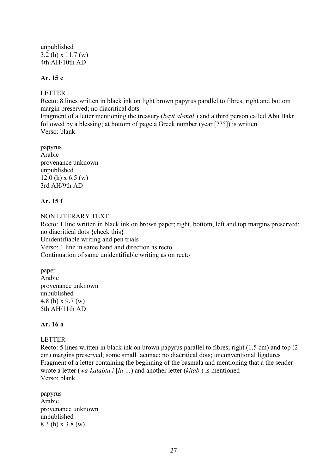unpublished 3.2 (h) x 11.7 (w) 4th AH/10th AD

# **Ar. 15 e**

#### **LETTER**

Recto: 8 lines written in black ink on light brown papyrus parallel to fibres; right and bottom margin preserved; no diacritical dots

Fragment of a letter mentioning the treasury (*bayt al-mal* ) and a third person called Abu Bakr followed by a blessing; at bottom of page a Greek number (year [???]) is written Verso: blank

papyrus Arabic provenance unknown unpublished  $12.0$  (h) x 6.5 (w) 3rd AH/9th AD

### **Ar. 15 f**

NON LITERARY TEXT Recto: 1 line written in black ink on brown paper; right, bottom, left and top margins preserved; no diacritical dots {check this} Unidentifiable writing and pen trials Verso: 1 line in same hand and direction as recto Continuation of same unidentifiable writing as on recto

paper Arabic provenance unknown unpublished 4.8 (h) x 9.7 (w) 5th AH/11th AD

#### **Ar. 16 a**

#### LETTER

Recto: 5 lines written in black ink on brown papyrus parallel to fibres; right (1.5 cm) and top (2 cm) margins preserved; some small lacunae; no diacritical dots; unconventional ligatures Fragment of a letter containing the beginning of the basmala and mentioning that a the sender wrote a letter (*wa-katabtu i* [*la …*) and another letter (*kitab* ) is mentioned Verso: blank

papyrus Arabic provenance unknown unpublished 8.3 (h) x 3.8 (w)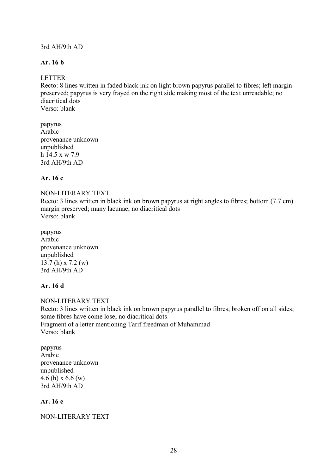### 3rd AH/9th AD

### **Ar. 16 b**

### LETTER

Recto: 8 lines written in faded black ink on light brown papyrus parallel to fibres; left margin preserved; papyrus is very frayed on the right side making most of the text unreadable; no diacritical dots Verso: blank

papyrus Arabic provenance unknown unpublished h 14.5 x w 7.9 3rd AH/9th AD

### **Ar. 16 c**

#### NON-LITERARY TEXT

Recto: 3 lines written in black ink on brown papyrus at right angles to fibres; bottom (7.7 cm) margin preserved; many lacunae; no diacritical dots Verso: blank

papyrus Arabic provenance unknown unpublished 13.7 (h) x 7.2 (w) 3rd AH/9th AD

#### **Ar. 16 d**

NON-LITERARY TEXT Recto: 3 lines written in black ink on brown papyrus parallel to fibres; broken off on all sides; some fibres have come lose; no diacritical dots Fragment of a letter mentioning Tarif freedman of Muhammad Verso: blank

papyrus Arabic provenance unknown unpublished 4.6 (h) x 6.6 (w) 3rd AH/9th AD

### **Ar. 16 e**

#### NON-LITERARY TEXT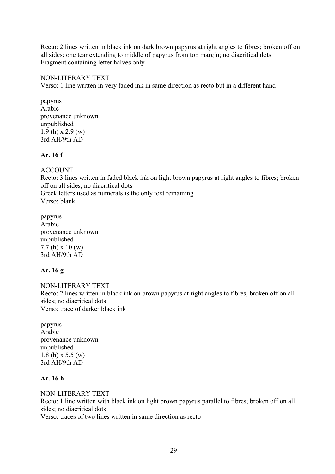Recto: 2 lines written in black ink on dark brown papyrus at right angles to fibres; broken off on all sides; one tear extending to middle of papyrus from top margin; no diacritical dots Fragment containing letter halves only

### NON-LITERARY TEXT

Verso: 1 line written in very faded ink in same direction as recto but in a different hand

papyrus Arabic provenance unknown unpublished 1.9 (h) x 2.9 (w) 3rd AH/9th AD

### **Ar. 16 f**

# ACCOUNT

Recto: 3 lines written in faded black ink on light brown papyrus at right angles to fibres; broken off on all sides; no diacritical dots Greek letters used as numerals is the only text remaining Verso: blank

papyrus Arabic provenance unknown unpublished 7.7 (h) x 10 (w) 3rd AH/9th AD

# **Ar. 16 g**

NON-LITERARY TEXT Recto: 2 lines written in black ink on brown papyrus at right angles to fibres; broken off on all sides; no diacritical dots Verso: trace of darker black ink

papyrus Arabic provenance unknown unpublished 1.8 (h) x 5.5 (w) 3rd AH/9th AD

# **Ar. 16 h**

NON-LITERARY TEXT Recto: 1 line written with black ink on light brown papyrus parallel to fibres; broken off on all sides; no diacritical dots Verso: traces of two lines written in same direction as recto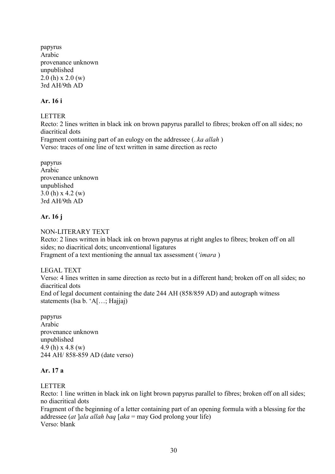papyrus Arabic provenance unknown unpublished  $2.0$  (h) x  $2.0$  (w) 3rd AH/9th AD

### **Ar. 16 i**

LETTER

Recto: 2 lines written in black ink on brown papyrus parallel to fibres; broken off on all sides; no diacritical dots Fragment containing part of an eulogy on the addressee (*..ka allah* ) Verso: traces of one line of text written in same direction as recto

papyrus Arabic provenance unknown unpublished 3.0 (h) x 4.2 (w) 3rd AH/9th AD

### **Ar. 16 j**

NON-LITERARY TEXT

Recto: 2 lines written in black ink on brown papyrus at right angles to fibres; broken off on all sides; no diacritical dots; unconventional ligatures Fragment of a text mentioning the annual tax assessment (*'imara* )

#### LEGAL TEXT

Verso: 4 lines written in same direction as recto but in a different hand; broken off on all sides; no diacritical dots End of legal document containing the date 244 AH (858/859 AD) and autograph witness statements (Isa b. 'A[…; Hajjaj)

papyrus Arabic provenance unknown unpublished 4.9 (h) x 4.8 (w) 244 AH/ 858-859 AD (date verso)

# **Ar. 17 a**

### LETTER

Recto: 1 line written in black ink on light brown papyrus parallel to fibres; broken off on all sides; no diacritical dots

Fragment of the beginning of a letter containing part of an opening formula with a blessing for the addressee (*at* ]*ala allah baq* [*aka* = may God prolong your life) Verso: blank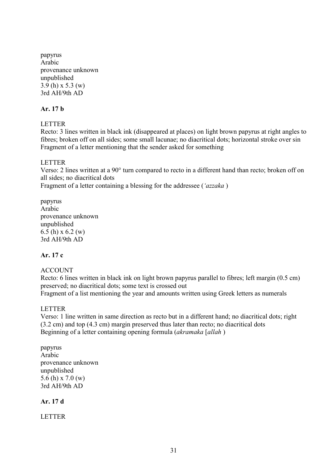papyrus Arabic provenance unknown unpublished 3.9 (h) x 5.3 (w) 3rd AH/9th AD

# **Ar. 17 b**

#### LETTER

Recto: 3 lines written in black ink (disappeared at places) on light brown papyrus at right angles to fibres; broken off on all sides; some small lacunae; no diacritical dots; horizontal stroke over sin Fragment of a letter mentioning that the sender asked for something

#### LETTER

Verso: 2 lines written at a 90° turn compared to recto in a different hand than recto; broken off on all sides; no diacritical dots

Fragment of a letter containing a blessing for the addressee (*'azzaka* )

papyrus Arabic provenance unknown unpublished 6.5 (h) x 6.2 (w) 3rd AH/9th AD

# **Ar. 17 c**

# ACCOUNT

Recto: 6 lines written in black ink on light brown papyrus parallel to fibres; left margin (0.5 cm) preserved; no diacritical dots; some text is crossed out Fragment of a list mentioning the year and amounts written using Greek letters as numerals

#### LETTER

Verso: 1 line written in same direction as recto but in a different hand; no diacritical dots; right (3.2 cm) and top (4.3 cm) margin preserved thus later than recto; no diacritical dots Beginning of a letter containing opening formula (*akramaka* [*allah* )

papyrus Arabic provenance unknown unpublished 5.6 (h) x 7.0 (w) 3rd AH/9th AD

# **Ar. 17 d**

LETTER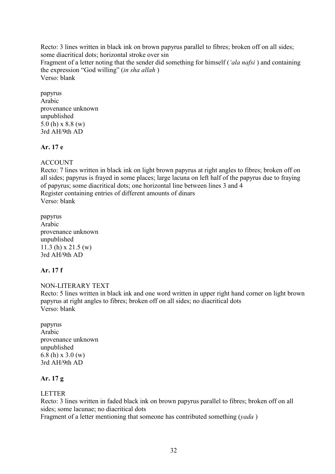Recto: 3 lines written in black ink on brown papyrus parallel to fibres; broken off on all sides; some diacritical dots; horizontal stroke over sin Fragment of a letter noting that the sender did something for himself (*'ala nafsi* ) and containing the expression "God willing" (*in sha allah* ) Verso: blank

papyrus Arabic provenance unknown unpublished 5.0 (h) x 8.8 (w) 3rd AH/9th AD

# **Ar. 17 e**

# ACCOUNT

Recto: 7 lines written in black ink on light brown papyrus at right angles to fibres; broken off on all sides; papyrus is frayed in some places; large lacuna on left half of the papyrus due to fraying of papyrus; some diacritical dots; one horizontal line between lines 3 and 4 Register containing entries of different amounts of dinars Verso: blank

papyrus Arabic provenance unknown unpublished 11.3 (h) x 21.5 (w) 3rd AH/9th AD

# **Ar. 17 f**

NON-LITERARY TEXT Recto: 5 lines written in black ink and one word written in upper right hand corner on light brown papyrus at right angles to fibres; broken off on all sides; no diacritical dots Verso: blank

papyrus Arabic provenance unknown unpublished 6.8 (h) x 3.0 (w) 3rd AH/9th AD

# **Ar. 17 g**

#### LETTER

Recto: 3 lines written in faded black ink on brown papyrus parallel to fibres; broken off on all sides; some lacunae; no diacritical dots

Fragment of a letter mentioning that someone has contributed something (*yada* )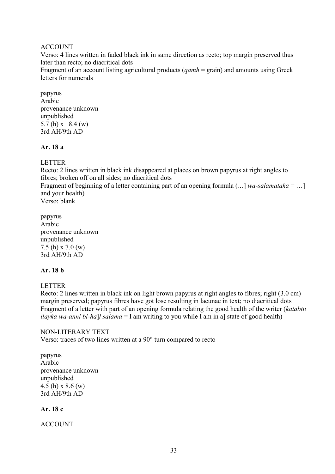### ACCOUNT

Verso: 4 lines written in faded black ink in same direction as recto; top margin preserved thus later than recto; no diacritical dots

Fragment of an account listing agricultural products (*qamh* = grain) and amounts using Greek letters for numerals

papyrus Arabic provenance unknown unpublished 5.7 (h) x 18.4 (w) 3rd AH/9th AD

#### **Ar. 18 a**

#### LETTER

Recto: 2 lines written in black ink disappeared at places on brown papyrus at right angles to fibres; broken off on all sides; no diacritical dots Fragment of beginning of a letter containing part of an opening formula (*…*] *wa-salamataka* = …] and your health) Verso: blank

papyrus Arabic provenance unknown unpublished 7.5 (h) x 7.0 (w) 3rd AH/9th AD

#### **Ar. 18 b**

#### LETTER

Recto: 2 lines written in black ink on light brown papyrus at right angles to fibres; right (3.0 cm) margin preserved; papyrus fibres have got lose resulting in lacunae in text; no diacritical dots Fragment of a letter with part of an opening formula relating the good health of the writer (*katabtu ilayka wa-anni bi-ha*]*l salama* = I am writing to you while I am in a] state of good health)

#### NON-LITERARY TEXT

Verso: traces of two lines written at a 90° turn compared to recto

papyrus Arabic provenance unknown unpublished 4.5 (h) x 8.6 (w) 3rd AH/9th AD

### **Ar. 18 c**

ACCOUNT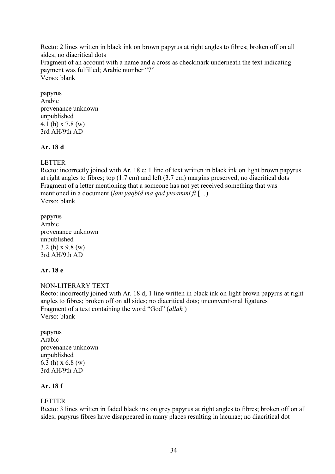Recto: 2 lines written in black ink on brown papyrus at right angles to fibres; broken off on all sides; no diacritical dots Fragment of an account with a name and a cross as checkmark underneath the text indicating payment was fulfilled; Arabic number "7" Verso: blank

papyrus Arabic provenance unknown unpublished 4.1 (h) x 7.8 (w) 3rd AH/9th AD

# **Ar. 18 d**

### LETTER

Recto: incorrectly joined with Ar. 18 e; 1 line of text written in black ink on light brown papyrus at right angles to fibres; top (1.7 cm) and left (3.7 cm) margins preserved; no diacritical dots Fragment of a letter mentioning that a someone has not yet received something that was mentioned in a document (*lam yaqbid ma qad yusammi fi* [*…*) Verso: blank

papyrus Arabic provenance unknown unpublished 3.2 (h) x 9.8 (w) 3rd AH/9th AD

# **Ar. 18 e**

NON-LITERARY TEXT Recto: incorrectly joined with Ar. 18 d; 1 line written in black ink on light brown papyrus at right angles to fibres; broken off on all sides; no diacritical dots; unconventional ligatures Fragment of a text containing the word "God" (*allah* ) Verso: blank

papyrus Arabic provenance unknown unpublished 6.3 (h) x 6.8 (w) 3rd AH/9th AD

# **Ar. 18 f**

#### LETTER

Recto: 3 lines written in faded black ink on grey papyrus at right angles to fibres; broken off on all sides; papyrus fibres have disappeared in many places resulting in lacunae; no diacritical dot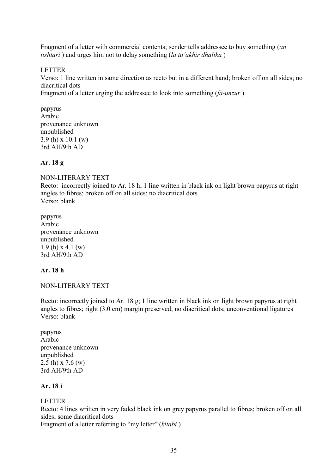Fragment of a letter with commercial contents; sender tells addressee to buy something (*an tishtari* ) and urges him not to delay something (*la tu'akhir dhalika* )

### LETTER

Verso: 1 line written in same direction as recto but in a different hand; broken off on all sides; no diacritical dots

Fragment of a letter urging the addressee to look into something (*fa-unzur* )

papyrus Arabic provenance unknown unpublished 3.9 (h) x 10.1 (w) 3rd AH/9th AD

### **Ar. 18 g**

NON-LITERARY TEXT Recto: incorrectly joined to Ar. 18 h; 1 line written in black ink on light brown papyrus at right angles to fibres; broken off on all sides; no diacritical dots Verso: blank

papyrus Arabic provenance unknown unpublished 1.9 (h) x 4.1 (w) 3rd AH/9th AD

# **Ar. 18 h**

NON-LITERARY TEXT

Recto: incorrectly joined to Ar. 18 g; 1 line written in black ink on light brown papyrus at right angles to fibres; right (3.0 cm) margin preserved; no diacritical dots; unconventional ligatures Verso: blank

papyrus Arabic provenance unknown unpublished 2.5 (h) x 7.6 (w) 3rd AH/9th AD

# **Ar. 18 i**

# LETTER

Recto: 4 lines written in very faded black ink on grey papyrus parallel to fibres; broken off on all sides; some diacritical dots

Fragment of a letter referring to "my letter" (*kitabi* )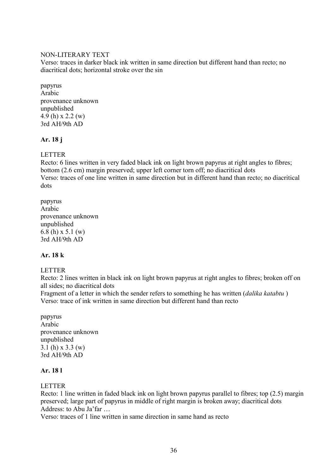### NON-LITERARY TEXT

Verso: traces in darker black ink written in same direction but different hand than recto; no diacritical dots; horizontal stroke over the sin

papyrus Arabic provenance unknown unpublished 4.9 (h) x 2.2 (w) 3rd AH/9th AD

# **Ar. 18 j**

**LETTER** 

Recto: 6 lines written in very faded black ink on light brown papyrus at right angles to fibres; bottom (2.6 cm) margin preserved; upper left corner torn off; no diacritical dots Verso: traces of one line written in same direction but in different hand than recto; no diacritical dots

papyrus Arabic provenance unknown unpublished 6.8 (h) x 5.1 (w) 3rd AH/9th AD

# **Ar. 18 k**

# LETTER

Recto: 2 lines written in black ink on light brown papyrus at right angles to fibres; broken off on all sides; no diacritical dots

Fragment of a letter in which the sender refers to something he has written (*dalika katabtu* ) Verso: trace of ink written in same direction but different hand than recto

papyrus Arabic provenance unknown unpublished 3.1 (h) x 3.3 (w) 3rd AH/9th AD

# **Ar. 18 l**

# LETTER

Recto: 1 line written in faded black ink on light brown papyrus parallel to fibres; top (2.5) margin preserved; large part of papyrus in middle of right margin is broken away; diacritical dots Address: to Abu Ja'far …

Verso: traces of 1 line written in same direction in same hand as recto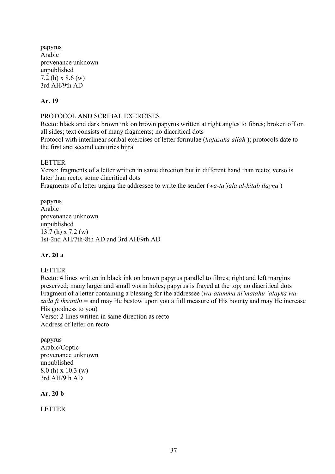papyrus Arabic provenance unknown unpublished 7.2 (h) x 8.6 (w) 3rd AH/9th AD

# **Ar. 19**

PROTOCOL AND SCRIBAL EXERCISES

Recto: black and dark brown ink on brown papyrus written at right angles to fibres; broken off on all sides; text consists of many fragments; no diacritical dots

Protocol with interlinear scribal exercises of letter formulae (*hafazaka allah* ); protocols date to the first and second centuries hijra

### LETTER

Verso: fragments of a letter written in same direction but in different hand than recto; verso is later than recto; some diacritical dots

Fragments of a letter urging the addressee to write the sender (*wa-ta'jala al-kitab ilayna* )

papyrus Arabic provenance unknown unpublished 13.7 (h) x 7.2 (w) 1st-2nd AH/7th-8th AD and 3rd AH/9th AD

### **Ar. 20 a**

### LETTER

Recto: 4 lines written in black ink on brown papyrus parallel to fibres; right and left margins preserved; many larger and small worm holes; papyrus is frayed at the top; no diacritical dots Fragment of a letter containing a blessing for the addressee (*wa-atamma ni'matahu 'alayka wazada fi ihsanihi* = and may He bestow upon you a full measure of His bounty and may He increase His goodness to you) Verso: 2 lines written in same direction as recto

Address of letter on recto

papyrus Arabic/Coptic provenance unknown unpublished 8.0 (h) x 10.3 (w) 3rd AH/9th AD

**Ar. 20 b**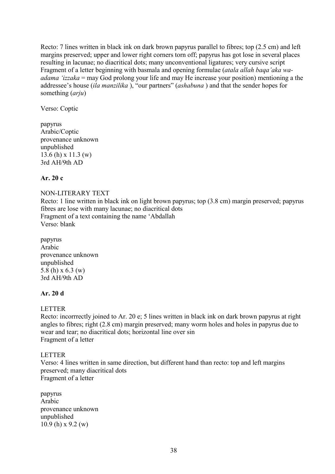Recto: 7 lines written in black ink on dark brown papyrus parallel to fibres; top (2.5 cm) and left margins preserved; upper and lower right corners torn off; papyrus has got lose in several places resulting in lacunae; no diacritical dots; many unconventional ligatures; very cursive script Fragment of a letter beginning with basmala and opening formulae (*atala allah baqa'aka waadama 'izzaka* = may God prolong your life and may He increase your position) mentioning a the addressee's house (*ila manzilika* ), "our partners" (*ashabuna* ) and that the sender hopes for something (*arju*)

Verso: Coptic

papyrus Arabic/Coptic provenance unknown unpublished 13.6 (h) x 11.3 (w) 3rd AH/9th AD

# **Ar. 20 c**

# NON-LITERARY TEXT

Recto: 1 line written in black ink on light brown papyrus; top (3.8 cm) margin preserved; papyrus fibres are lose with many lacunae; no diacritical dots Fragment of a text containing the name 'Abdallah Verso: blank

papyrus Arabic provenance unknown unpublished 5.8 (h) x 6.3 (w) 3rd AH/9th AD

## **Ar. 20 d**

### LETTER

Recto: incorrrectly joined to Ar. 20 e; 5 lines written in black ink on dark brown papyrus at right angles to fibres; right (2.8 cm) margin preserved; many worm holes and holes in papyrus due to wear and tear; no diacritical dots; horizontal line over sin Fragment of a letter

# LETTER

Verso: 4 lines written in same direction, but different hand than recto: top and left margins preserved; many diacritical dots Fragment of a letter

papyrus Arabic provenance unknown unpublished 10.9 (h) x 9.2 (w)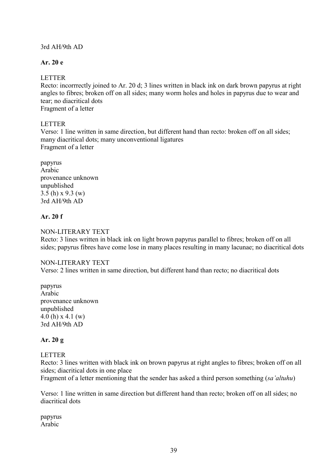## 3rd AH/9th AD

# **Ar. 20 e**

## LETTER

Recto: incorrrectly joined to Ar. 20 d; 3 lines written in black ink on dark brown papyrus at right angles to fibres; broken off on all sides; many worm holes and holes in papyrus due to wear and tear; no diacritical dots Fragment of a letter

## LETTER

Verso: 1 line written in same direction, but different hand than recto: broken off on all sides; many diacritical dots; many unconventional ligatures Fragment of a letter

papyrus Arabic provenance unknown unpublished 3.5 (h) x 9.3 (w) 3rd AH/9th AD

## **Ar. 20 f**

## NON-LITERARY TEXT

Recto: 3 lines written in black ink on light brown papyrus parallel to fibres; broken off on all sides; papyrus fibres have come lose in many places resulting in many lacunae; no diacritical dots

### NON-LITERARY TEXT

Verso: 2 lines written in same direction, but different hand than recto; no diacritical dots

papyrus Arabic provenance unknown unpublished 4.0 (h) x 4.1 (w) 3rd AH/9th AD

# **Ar. 20 g**

### LETTER

Recto: 3 lines written with black ink on brown papyrus at right angles to fibres; broken off on all sides; diacritical dots in one place

Fragment of a letter mentioning that the sender has asked a third person something (*sa'altuhu*)

Verso: 1 line written in same direction but different hand than recto; broken off on all sides; no diacritical dots

papyrus Arabic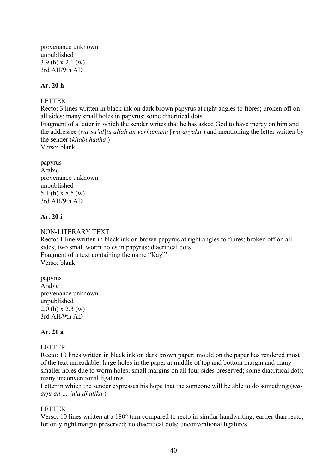provenance unknown unpublished 3.9 (h) x 2.1 (w) 3rd AH/9th AD

### **Ar. 20 h**

### LETTER

Recto: 3 lines written in black ink on dark brown papyrus at right angles to fibres; broken off on all sides; many small holes in papyrus; some diacritical dots

Fragment of a letter in which the sender writes that he has asked God to have mercy on him and the addressee (*wa-sa'al*]*tu allah an yarhamuna* [*wa-ayyaka* ) and mentioning the letter written by the sender (*kitabi hadha* )

Verso: blank

papyrus Arabic provenance unknown unpublished 5.1 (h) x 8.5 (w) 3rd AH/9th AD

### **Ar. 20 i**

## NON-LITERARY TEXT

Recto: 1 line written in black ink on brown papyrus at right angles to fibres; broken off on all sides; two small worm holes in papyrus; diacritical dots Fragment of a text containing the name "Kayl" Verso: blank

papyrus Arabic provenance unknown unpublished 2.0 (h) x 2.3 (w) 3rd AH/9th AD

# **Ar. 21 a**

# LETTER

Recto: 10 lines written in black ink on dark brown paper; mould on the paper has rendered most of the text unreadable; large holes in the paper at middle of top and bottom margin and many smaller holes due to worm holes; small margins on all four sides preserved; some diacritical dots; many unconventional ligatures

Letter in which the sender expresses his hope that the someone will be able to do something (*waarju an … 'ala dhalika* )

### LETTER

Verso: 10 lines written at a 180° turn compared to recto in similar handwriting; earlier than recto, for only right margin preserved; no diacritical dots; unconventional ligatures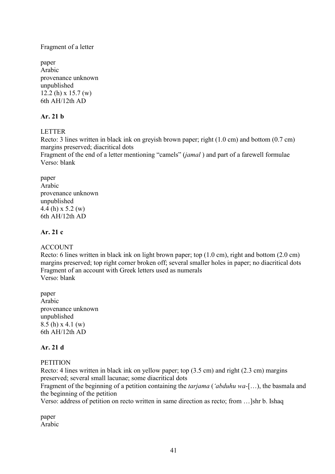### Fragment of a letter

paper Arabic provenance unknown unpublished 12.2 (h) x 15.7 (w) 6th AH/12th AD

# **Ar. 21 b**

# **LETTER**

Recto: 3 lines written in black ink on greyish brown paper; right (1.0 cm) and bottom (0.7 cm) margins preserved; diacritical dots

Fragment of the end of a letter mentioning "camels" (*jamal* ) and part of a farewell formulae Verso: blank

paper Arabic provenance unknown unpublished 4.4 (h) x 5.2 (w) 6th AH/12th AD

# **Ar. 21 c**

### ACCOUNT

Recto: 6 lines written in black ink on light brown paper; top (1.0 cm), right and bottom (2.0 cm) margins preserved; top right corner broken off; several smaller holes in paper; no diacritical dots Fragment of an account with Greek letters used as numerals Verso: blank

paper Arabic provenance unknown unpublished 8.5 (h) x 4.1 (w) 6th AH/12th AD

# **Ar. 21 d**

### **PETITION**

Recto: 4 lines written in black ink on yellow paper; top (3.5 cm) and right (2.3 cm) margins preserved; several small lacunae; some diacritical dots

Fragment of the beginning of a petition containing the *tarjama* (*'abduhu wa-*[…), the basmala and the beginning of the petition

Verso: address of petition on recto written in same direction as recto; from …]shr b. Ishaq

paper Arabic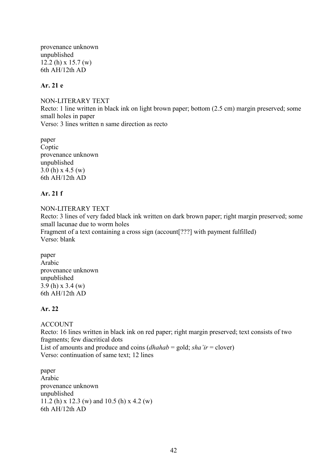provenance unknown unpublished 12.2 (h) x 15.7 (w) 6th AH/12th AD

# **Ar. 21 e**

NON-LITERARY TEXT Recto: 1 line written in black ink on light brown paper; bottom (2.5 cm) margin preserved; some small holes in paper Verso: 3 lines written n same direction as recto

paper Coptic provenance unknown unpublished 3.0 (h) x 4.5 (w) 6th AH/12th AD

## **Ar. 21 f**

NON-LITERARY TEXT Recto: 3 lines of very faded black ink written on dark brown paper; right margin preserved; some small lacunae due to worm holes Fragment of a text containing a cross sign (account [???] with payment fulfilled) Verso: blank

paper Arabic provenance unknown unpublished 3.9 (h) x 3.4 (w) 6th AH/12th AD

# **Ar. 22**

# ACCOUNT

Recto: 16 lines written in black ink on red paper; right margin preserved; text consists of two fragments; few diacritical dots List of amounts and produce and coins (*dhahab* = gold; *sha'ir* = clover) Verso: continuation of same text; 12 lines

paper Arabic provenance unknown unpublished 11.2 (h) x 12.3 (w) and 10.5 (h) x 4.2 (w) 6th AH/12th AD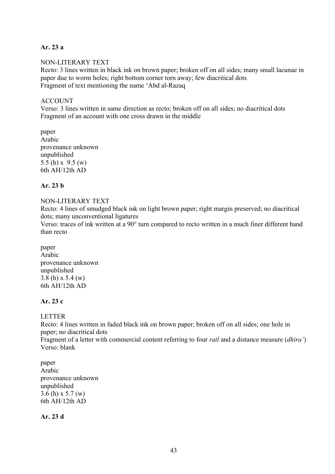# **Ar. 23 a**

### NON-LITERARY TEXT

Recto: 3 lines written in black ink on brown paper; broken off on all sides; many small lacunae in paper due to worm holes; right bottom corner torn away; few diacritical dots Fragment of text mentioning the name 'Abd al-Razaq

### ACCOUNT

Verso: 3 lines written in same direction as recto; broken off on all sides; no diacritical dots Fragment of an account with one cross drawn in the middle

paper Arabic provenance unknown unpublished 5.5 (h) x 9.5 (w) 6th AH/12th AD

## **Ar. 23 b**

### NON-LITERARY TEXT

Recto: 4 lines of smudged black ink on light brown paper; right margin preserved; no diacritical dots; many unconventional ligatures

Verso: traces of ink written at a 90° turn compared to recto written in a much finer different hand than recto

paper Arabic provenance unknown unpublished 3.8 (h) x 5.4 (w) 6th AH/12th AD

# **Ar. 23 c**

LETTER

Recto: 4 lines written in faded black ink on brown paper; broken off on all sides; one hole in paper; no diacritical dots Fragment of a letter with commercial content referring to four *ratl* and a distance measure (*dhira'*) Verso: blank

paper Arabic provenance unknown unpublished 3.6 (h) x 5.7 (w) 6th AH/12th AD

**Ar. 23 d**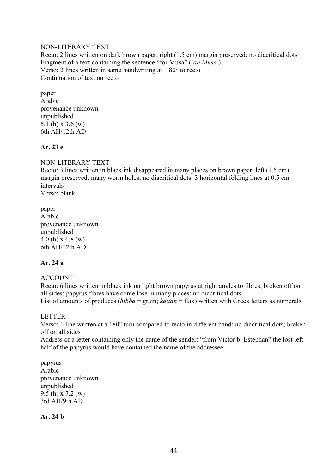### NON-LITERARY TEXT

Recto: 2 lines written on dark brown paper; right (1.5 cm) margin preserved; no diacritical dots Fragment of a text containing the sentence "for Musa" (*'an Musa* ) Verso: 2 lines written in same handwriting at 180° to recto Continuation of text on recto

paper Arabic provenance unknown unpublished 5.1 (h) x 3.6 (w) 6th AH/12th AD

## **Ar. 23 e**

## NON-LITERARY TEXT

Recto: 3 lines written in black ink disappeared in many places on brown paper; left (1.5 cm) margin preserved; many worm holes; no diacritical dots; 3 horizontal folding lines at 0.5 cm intervals Verso: blank

paper Arabic provenance unknown unpublished 4.0 (h) x 6.8 (w) 6th AH/12th AD

### **Ar. 24 a**

### ACCOUNT

Recto: 6 lines written in black ink on light brown papyrus at right angles to fibres; broken off on all sides; papyrus fibres have come lose in many places; no diacritical dots List of amounts of produces *(hibba = grain; kattan = flax)* written with Greek letters as numerals

### LETTER

Verso: 1 line written at a 180° turn compared to recto in different hand; no diacritical dots; broken off on all sides

Address of a letter containing only the name of the sender: "from Victor b. Estephan" the lost left half of the papyrus would have contained the name of the addressee

papyrus Arabic provenance unknown unpublished 9.5 (h) x 7.2 (w) 3rd AH/9th AD

**Ar. 24 b**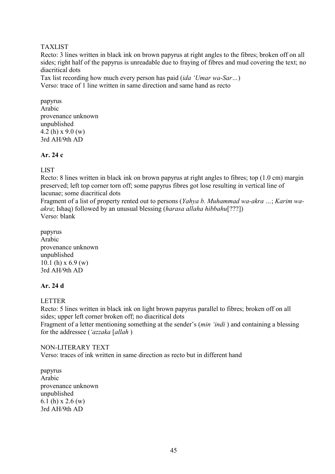## TAXLIST

Recto: 3 lines written in black ink on brown papyrus at right angles to the fibres; broken off on all sides; right half of the papyrus is unreadable due to fraying of fibres and mud covering the text; no diacritical dots

Tax list recording how much every person has paid (*ida 'Umar wa-Sar…*) Verso: trace of 1 line written in same direction and same hand as recto

papyrus Arabic provenance unknown unpublished 4.2 (h) x 9.0 (w) 3rd AH/9th AD

## **Ar. 24 c**

# LIST

Recto: 8 lines written in black ink on brown papyrus at right angles to fibres; top (1.0 cm) margin preserved; left top corner torn off; some papyrus fibres got lose resulting in vertical line of lacunae; some diacritical dots

Fragment of a list of property rented out to persons (*Yahya b. Muhammad wa-akra …*; *Karim waakra*; Ishaq) followed by an unusual blessing (*harasa allaha hibbahu*[???]) Verso: blank

papyrus Arabic provenance unknown unpublished 10.1 (h)  $x$  6.9 (w) 3rd AH/9th AD

# **Ar. 24 d**

### LETTER

Recto: 5 lines written in black ink on light brown papyrus parallel to fibres; broken off on all sides; upper left corner broken off; no diacritical dots Fragment of a letter mentioning something at the sender's (*min 'indi* ) and containing a blessing for the addressee (*'azzaka* [*allah* )

### NON-LITERARY TEXT

Verso: traces of ink written in same direction as recto but in different hand

papyrus Arabic provenance unknown unpublished 6.1 (h) x 2.6 (w) 3rd AH/9th AD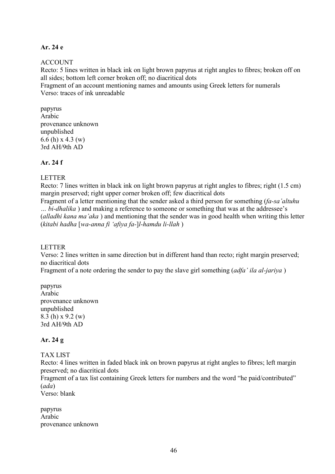# **Ar. 24 e**

## ACCOUNT

Recto: 5 lines written in black ink on light brown papyrus at right angles to fibres; broken off on all sides; bottom left corner broken off; no diacritical dots

Fragment of an account mentioning names and amounts using Greek letters for numerals Verso: traces of ink unreadable

papyrus Arabic provenance unknown unpublished 6.6 (h) x 4.3 (w) 3rd AH/9th AD

## **Ar. 24 f**

## LETTER

Recto: 7 lines written in black ink on light brown papyrus at right angles to fibres; right (1.5 cm) margin preserved; right upper corner broken off; few diacritical dots

Fragment of a letter mentioning that the sender asked a third person for something (*fa-sa'altuhu … bi-dhalika* ) and making a reference to someone or something that was at the addressee's (*alladhi kana ma'aka* ) and mentioning that the sender was in good health when writing this letter (*kitabi hadha* [*wa-anna fi 'afiya fa-*]*l-hamdu li-llah* )

### LETTER

Verso: 2 lines written in same direction but in different hand than recto; right margin preserved; no diacritical dots

Fragment of a note ordering the sender to pay the slave girl something (*adfa' ila al-jariya* )

papyrus Arabic provenance unknown unpublished 8.3 (h) x 9.2 (w) 3rd AH/9th AD

# **Ar. 24 g**

# TAX LIST

Recto: 4 lines written in faded black ink on brown papyrus at right angles to fibres; left margin preserved; no diacritical dots

Fragment of a tax list containing Greek letters for numbers and the word "he paid/contributed" (*ada*)

Verso: blank

papyrus Arabic provenance unknown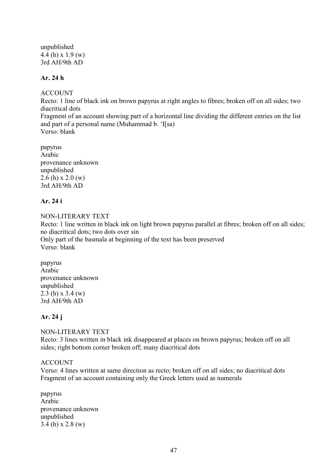unpublished 4.4 (h) x 1.9 (w) 3rd AH/9th AD

# **Ar. 24 h**

ACCOUNT

Recto: 1 line of black ink on brown papyrus at right angles to fibres; broken off on all sides; two diacritical dots

Fragment of an account showing part of a horizontal line dividing the different entries on the list and part of a personal name (Muhammad b. 'I[sa) Verso: blank

papyrus Arabic provenance unknown unpublished 2.6 (h) x 2.0 (w) 3rd AH/9th AD

# **Ar. 24 i**

NON-LITERARY TEXT Recto: 1 line written in black ink on light brown papyrus parallel at fibres; broken off on all sides; no diacritical dots; two dots over sin Only part of the basmala at beginning of the text has been preserved Verso: blank

papyrus Arabic provenance unknown unpublished 2.3 (h) x 3.4 (w) 3rd AH/9th AD

# **Ar. 24 j**

NON-LITERARY TEXT Recto: 3 lines written in black ink disappeared at places on brown papyrus; broken off on all sides; right bottom corner broken off; many diacritical dots

# ACCOUNT

Verso: 4 lines written at same direction as recto; broken off on all sides; no diacritical dots Fragment of an account containing only the Greek letters used as numerals

papyrus Arabic provenance unknown unpublished 3.4 (h) x 2.8 (w)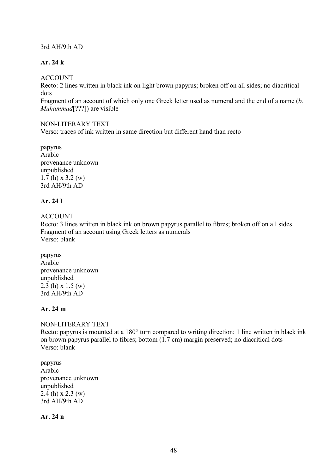3rd AH/9th AD

# **Ar. 24 k**

ACCOUNT

Recto: 2 lines written in black ink on light brown papyrus; broken off on all sides; no diacritical dots

Fragment of an account of which only one Greek letter used as numeral and the end of a name (*b. Muhammad*[???]) are visible

### NON-LITERARY TEXT

Verso: traces of ink written in same direction but different hand than recto

papyrus Arabic provenance unknown unpublished 1.7 (h) x 3.2 (w) 3rd AH/9th AD

# **Ar. 24 l**

ACCOUNT

Recto: 3 lines written in black ink on brown papyrus parallel to fibres; broken off on all sides Fragment of an account using Greek letters as numerals Verso: blank

papyrus Arabic provenance unknown unpublished 2.3 (h) x 1.5 (w) 3rd AH/9th AD

# **Ar. 24 m**

NON-LITERARY TEXT

Recto: papyrus is mounted at a 180° turn compared to writing direction; 1 line written in black ink on brown papyrus parallel to fibres; bottom (1.7 cm) margin preserved; no diacritical dots Verso: blank

papyrus Arabic provenance unknown unpublished 2.4 (h) x 2.3 (w) 3rd AH/9th AD

**Ar. 24 n**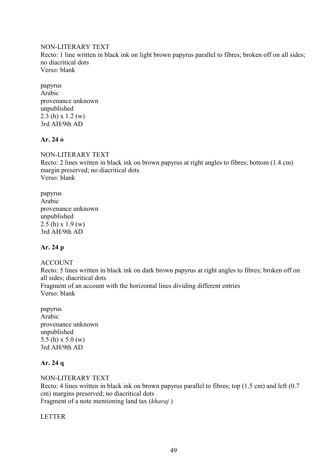### NON-LITERARY TEXT

Recto: 1 line written in black ink on light brown papyrus parallel to fibres; broken off on all sides; no diacritical dots Verso: blank

papyrus Arabic provenance unknown unpublished 2.3 (h) x 1.2 (w) 3rd AH/9th AD

# **Ar. 24 o**

NON-LITERARY TEXT Recto: 2 lines written in black ink on brown papyrus at right angles to fibres; bottom (1.4 cm) margin preserved; no diacritical dots Verso: blank

papyrus Arabic provenance unknown unpublished  $2.5$  (h) x 1.9 (w) 3rd AH/9th AD

# **Ar. 24 p**

# ACCOUNT

Recto: 5 lines written in black ink on dark brown papyrus at right angles to fibres; broken off on all sides; diacritical dots Fragment of an account with the horizontal lines dividing different entries Verso: blank

papyrus Arabic provenance unknown unpublished 5.5 (h) x 5.0 (w) 3rd AH/9th AD

# **Ar. 24 q**

NON-LITERARY TEXT Recto: 4 lines written in black ink on brown papyrus parallel to fibres; top (1.5 cm) and left (0.7 cm) margins preserved; no diacritical dots Fragment of a note mentioning land tax (*kharaj* )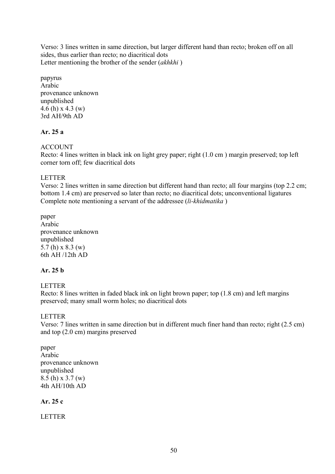Verso: 3 lines written in same direction, but larger different hand than recto; broken off on all sides, thus earlier than recto; no diacritical dots Letter mentioning the brother of the sender (*akhkhi* )

papyrus Arabic provenance unknown unpublished 4.6 (h) x 4.3 (w) 3rd AH/9th AD

# **Ar. 25 a**

## **ACCOUNT**

Recto: 4 lines written in black ink on light grey paper; right (1.0 cm ) margin preserved; top left corner torn off; few diacritical dots

## LETTER

Verso: 2 lines written in same direction but different hand than recto; all four margins (top 2.2 cm; bottom 1.4 cm) are preserved so later than recto; no diacritical dots; unconventional ligatures Complete note mentioning a servant of the addressee (*li-khidmatika* )

paper Arabic provenance unknown unpublished 5.7 (h) x 8.3 (w) 6th AH /12th AD

# **Ar. 25 b**

### LETTER

Recto: 8 lines written in faded black ink on light brown paper; top (1.8 cm) and left margins preserved; many small worm holes; no diacritical dots

### LETTER

Verso: 7 lines written in same direction but in different much finer hand than recto; right (2.5 cm) and top (2.0 cm) margins preserved

paper Arabic provenance unknown unpublished 8.5 (h) x 3.7 (w) 4th AH/10th AD

# **Ar. 25 c**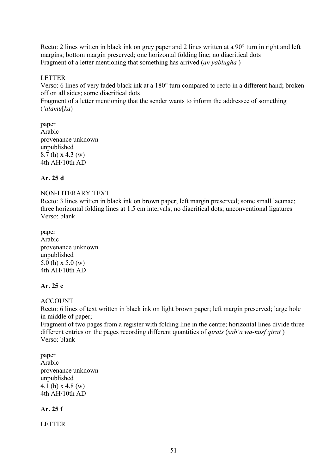Recto: 2 lines written in black ink on grey paper and 2 lines written at a 90° turn in right and left margins; bottom margin preserved; one horizontal folding line; no diacritical dots Fragment of a letter mentioning that something has arrived (*an yablugha* )

## LETTER

Verso: 6 lines of very faded black ink at a 180° turn compared to recto in a different hand; broken off on all sides; some diacritical dots

Fragment of a letter mentioning that the sender wants to inform the addressee of something (*'alamu*[*ka*)

paper Arabic provenance unknown unpublished 8.7 (h) x 4.3 (w) 4th AH/10th AD

# **Ar. 25 d**

### NON-LITERARY TEXT

Recto: 3 lines written in black ink on brown paper; left margin preserved; some small lacunae; three horizontal folding lines at 1.5 cm intervals; no diacritical dots; unconventional ligatures Verso: blank

paper Arabic provenance unknown unpublished 5.0 (h) x 5.0 (w) 4th AH/10th AD

## **Ar. 25 e**

### ACCOUNT

Recto: 6 lines of text written in black ink on light brown paper; left margin preserved; large hole in middle of paper;

Fragment of two pages from a register with folding line in the centre; horizontal lines divide three different entries on the pages recording different quantities of *qirats* (*sab'a wa-nusf qirat* ) Verso: blank

paper Arabic provenance unknown unpublished 4.1 (h) x 4.8 (w) 4th AH/10th AD

### **Ar. 25 f**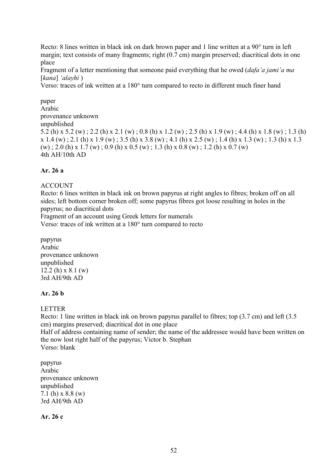Recto: 8 lines written in black ink on dark brown paper and 1 line written at a 90° turn in left margin; text consists of many fragments; right (0.7 cm) margin preserved; diacritical dots in one place

Fragment of a letter mentioning that someone paid everything that he owed (*dafa'a jami'a ma*  [*kana*] *'alayhi* )

Verso: traces of ink written at a 180° turn compared to recto in different much finer hand

paper Arabic provenance unknown unpublished 5.2 (h) x 5.2 (w) ; 2.2 (h) x 2.1 (w) ; 0.8 (h) x 1.2 (w) ; 2.5 (h) x 1.9 (w) ; 4.4 (h) x 1.8 (w) ; 1.3 (h)  $x 1.4 (w)$ ; 2.1 (h)  $x 1.9 (w)$ ; 3.5 (h)  $x 3.8 (w)$ ; 4.1 (h)  $x 2.5 (w)$ ; 1.4 (h)  $x 1.3 (w)$ ; 1.3 (h)  $x 1.3$  $(w)$ ; 2.0 (h) x 1.7 (w); 0.9 (h) x 0.5 (w); 1.3 (h) x 0.8 (w); 1.2 (h) x 0.7 (w) 4th AH/10th AD

# **Ar. 26 a**

#### ACCOUNT

Recto: 6 lines written in black ink on brown papyrus at right angles to fibres; broken off on all sides; left bottom corner broken off; some papyrus fibres got loose resulting in holes in the papyrus; no diacritical dots

Fragment of an account using Greek letters for numerals

Verso: traces of ink written at a 180° turn compared to recto

papyrus Arabic provenance unknown unpublished 12.2 (h) x 8.1 (w) 3rd AH/9th AD

### **Ar. 26 b**

LETTER

Recto: 1 line written in black ink on brown papyrus parallel to fibres; top (3.7 cm) and left (3.5 cm) margins preserved; diacritical dot in one place

Half of address containing name of sender; the name of the addressee would have been written on the now lost right half of the papyrus; Victor b. Stephan Verso: blank

papyrus Arabic provenance unknown unpublished 7.1 (h) x 8.8 (w) 3rd AH/9th AD

**Ar. 26 c**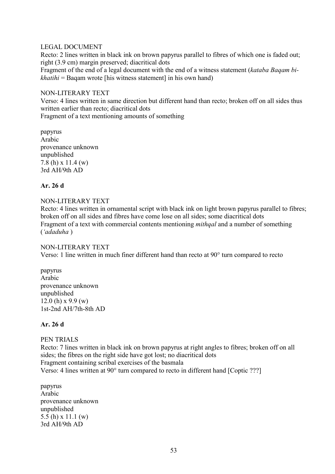### LEGAL DOCUMENT

Recto: 2 lines written in black ink on brown papyrus parallel to fibres of which one is faded out; right (3.9 cm) margin preserved; diacritical dots

Fragment of the end of a legal document with the end of a witness statement (*kataba Baqam bikhatihi* = Baqam wrote [his witness statement] in his own hand)

### NON-LITERARY TEXT

Verso: 4 lines written in same direction but different hand than recto; broken off on all sides thus written earlier than recto; diacritical dots

Fragment of a text mentioning amounts of something

papyrus Arabic provenance unknown unpublished 7.8 (h) x 11.4 (w) 3rd AH/9th AD

## **Ar. 26 d**

## NON-LITERARY TEXT

Recto: 4 lines written in ornamental script with black ink on light brown papyrus parallel to fibres; broken off on all sides and fibres have come lose on all sides; some diacritical dots Fragment of a text with commercial contents mentioning *mithqal* and a number of something (*'adaduha* )

### NON-LITERARY TEXT

Verso: 1 line written in much finer different hand than recto at 90° turn compared to recto

papyrus Arabic provenance unknown unpublished 12.0 (h)  $x\,9.9$  (w) 1st-2nd AH/7th-8th AD

### **Ar. 26 d**

### PEN TRIALS

Recto: 7 lines written in black ink on brown papyrus at right angles to fibres; broken off on all sides; the fibres on the right side have got lost; no diacritical dots Fragment containing scribal exercises of the basmala Verso: 4 lines written at 90° turn compared to recto in different hand [Coptic ???]

papyrus Arabic provenance unknown unpublished 5.5 (h) x 11.1 (w) 3rd AH/9th AD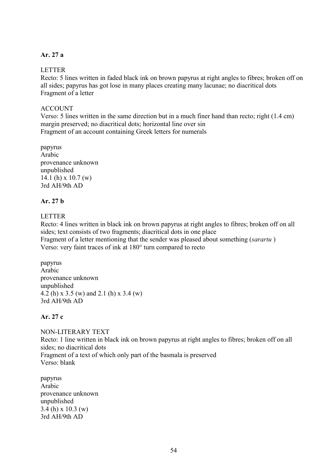## **Ar. 27 a**

## LETTER

Recto: 5 lines written in faded black ink on brown papyrus at right angles to fibres; broken off on all sides; papyrus has got lose in many places creating many lacunae; no diacritical dots Fragment of a letter

## ACCOUNT

Verso: 5 lines written in the same direction but in a much finer hand than recto; right (1.4 cm) margin preserved; no diacritical dots; horizontal line over sin Fragment of an account containing Greek letters for numerals

papyrus Arabic provenance unknown unpublished 14.1 (h) x 10.7 (w) 3rd AH/9th AD

## **Ar. 27 b**

**LETTER** 

Recto: 4 lines written in black ink on brown papyrus at right angles to fibres; broken off on all sides; text consists of two fragments; diacritical dots in one place Fragment of a letter mentioning that the sender was pleased about something (*sarartu* ) Verso: very faint traces of ink at 180° turn compared to recto

papyrus Arabic provenance unknown unpublished 4.2 (h) x 3.5 (w) and 2.1 (h) x 3.4 (w) 3rd AH/9th AD

# **Ar. 27 c**

NON-LITERARY TEXT Recto: 1 line written in black ink on brown papyrus at right angles to fibres; broken off on all sides; no diacritical dots Fragment of a text of which only part of the basmala is preserved Verso: blank

papyrus Arabic provenance unknown unpublished 3.4 (h) x 10.3 (w) 3rd AH/9th AD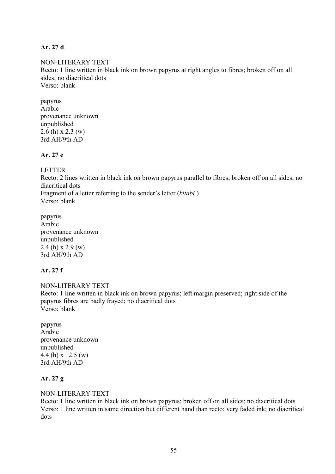## **Ar. 27 d**

NON-LITERARY TEXT Recto: 1 line written in black ink on brown papyrus at right angles to fibres; broken off on all sides; no diacritical dots Verso: blank

papyrus Arabic provenance unknown unpublished 2.6 (h) x 2.3 (w) 3rd AH/9th AD

## **Ar. 27 e**

LETTER

Recto: 2 lines written in black ink on brown papyrus parallel to fibres; broken off on all sides; no diacritical dots Fragment of a letter referring to the sender's letter (*kitabi* ) Verso: blank

papyrus Arabic provenance unknown unpublished 2.4 (h) x 2.9 (w) 3rd AH/9th AD

# **Ar. 27 f**

NON-LITERARY TEXT Recto: 1 line written in black ink on brown papyrus; left margin preserved; right side of the papyrus fibres are badly frayed; no diacritical dots Verso: blank

papyrus Arabic provenance unknown unpublished 4.4 (h) x 12.5 (w) 3rd AH/9th AD

# **Ar. 27 g**

NON-LITERARY TEXT

Recto: 1 line written in black ink on brown papyrus; broken off on all sides; no diacritical dots Verso: 1 line written in same direction but different hand than recto; very faded ink; no diacritical dots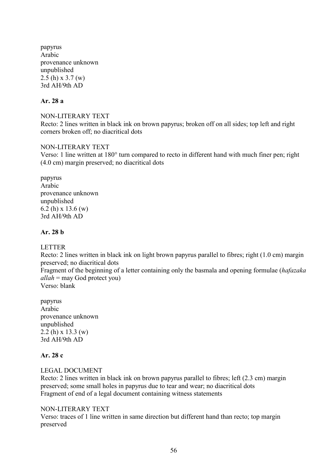papyrus Arabic provenance unknown unpublished 2.5 (h) x 3.7 (w) 3rd AH/9th AD

## **Ar. 28 a**

NON-LITERARY TEXT Recto: 2 lines written in black ink on brown papyrus; broken off on all sides; top left and right corners broken off; no diacritical dots

### NON-LITERARY TEXT

Verso: 1 line written at 180° turn compared to recto in different hand with much finer pen; right (4.0 cm) margin preserved; no diacritical dots

papyrus Arabic provenance unknown unpublished 6.2 (h) x 13.6 (w) 3rd AH/9th AD

### **Ar. 28 b**

### LETTER

Recto: 2 lines written in black ink on light brown papyrus parallel to fibres; right (1.0 cm) margin preserved; no diacritical dots

Fragment of the beginning of a letter containing only the basmala and opening formulae (*hafazaka allah* = may God protect you)

Verso: blank

papyrus Arabic provenance unknown unpublished 2.2 (h) x 13.3 (w) 3rd AH/9th AD

# **Ar. 28 c**

### LEGAL DOCUMENT

Recto: 2 lines written in black ink on brown papyrus parallel to fibres; left (2.3 cm) margin preserved; some small holes in papyrus due to tear and wear; no diacritical dots Fragment of end of a legal document containing witness statements

### NON-LITERARY TEXT

Verso: traces of 1 line written in same direction but different hand than recto; top margin preserved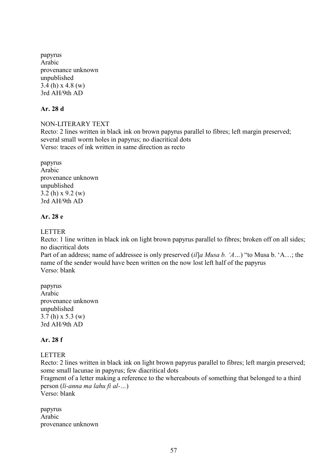papyrus Arabic provenance unknown unpublished 3.4 (h)  $x$  4.8 (w) 3rd AH/9th AD

# **Ar. 28 d**

# NON-LITERARY TEXT

Recto: 2 lines written in black ink on brown papyrus parallel to fibres; left margin preserved; several small worm holes in papyrus; no diacritical dots Verso: traces of ink written in same direction as recto

papyrus Arabic provenance unknown unpublished 3.2 (h) x 9.2 (w) 3rd AH/9th AD

## **Ar. 28 e**

### LETTER

Recto: 1 line written in black ink on light brown papyrus parallel to fibres; broken off on all sides; no diacritical dots

Part of an address; name of addressee is only preserved (*il*]*a Musa b. 'A…*) "to Musa b. 'A…; the name of the sender would have been written on the now lost left half of the papyrus Verso: blank

papyrus Arabic provenance unknown unpublished 3.7 (h) x 5.3 (w) 3rd AH/9th AD

### **Ar. 28 f**

### LETTER

Recto: 2 lines written in black ink on light brown papyrus parallel to fibres; left margin preserved; some small lacunae in papyrus; few diacritical dots

Fragment of a letter making a reference to the whereabouts of something that belonged to a third person (*li-anna ma lahu fi al-…*)

Verso: blank

papyrus Arabic provenance unknown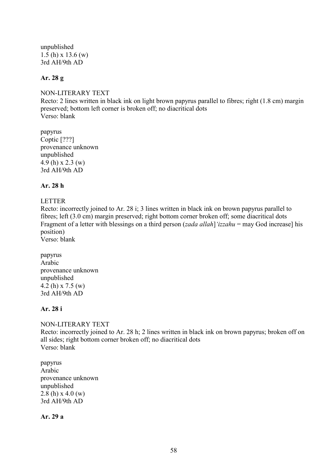unpublished 1.5 (h) x 13.6 (w) 3rd AH/9th AD

# **Ar. 28 g**

NON-LITERARY TEXT Recto: 2 lines written in black ink on light brown papyrus parallel to fibres; right (1.8 cm) margin preserved; bottom left corner is broken off; no diacritical dots Verso: blank

papyrus Coptic [???] provenance unknown unpublished 4.9 (h) x 2.3 (w) 3rd AH/9th AD

## **Ar. 28 h**

### LETTER

Recto: incorrectly joined to Ar. 28 i; 3 lines written in black ink on brown papyrus parallel to fibres; left (3.0 cm) margin preserved; right bottom corner broken off; some diacritical dots Fragment of a letter with blessings on a third person (*zada allah*]*'izzahu* = may God increase] his position)

Verso: blank

papyrus Arabic provenance unknown unpublished 4.2 (h) x 7.5 (w) 3rd AH/9th AD

# **Ar. 28 i**

NON-LITERARY TEXT Recto: incorrectly joined to Ar. 28 h; 2 lines written in black ink on brown papyrus; broken off on all sides; right bottom corner broken off; no diacritical dots Verso: blank

papyrus Arabic provenance unknown unpublished 2.8 (h)  $x$  4.0 (w) 3rd AH/9th AD

**Ar. 29 a**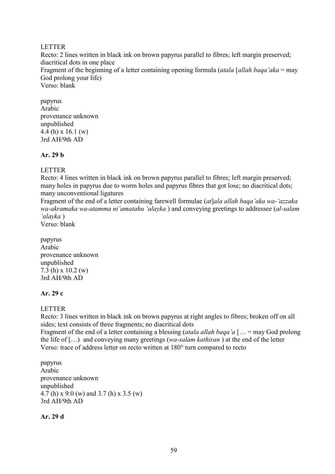### LETTER

Recto: 2 lines written in black ink on brown papyrus parallel to fibres; left margin preserved; diacritical dots in one place Fragment of the beginning of a letter containing opening formula (*atala* [*allah baqa'aka* = may God prolong your life) Verso: blank

papyrus Arabic provenance unknown unpublished 4.4 (h) x 16.1 (w) 3rd AH/9th AD

## **Ar. 29 b**

# LETTER

Recto: 4 lines written in black ink on brown papyrus parallel to fibres; left margin preserved; many holes in papyrus due to worm holes and papyrus fibres that got lose; no diacritical dots; many unconventional ligatures

Fragment of the end of a letter containing farewell formulae (*at*]*ala allah baqa'aka wa-'azzaka wa-akramaka wa-atamma ni'amatahu 'alayka* ) and conveying greetings to addressee (*al-salam 'alayka* )

Verso: blank

papyrus Arabic provenance unknown unpublished 7.3 (h) x 10.2 (w) 3rd AH/9th AD

# **Ar. 29 c**

LETTER

Recto: 3 lines written in black ink on brown papyrus at right angles to fibres; broken off on all sides; text consists of three fragments; no diacritical dots

Fragment of the end of a letter containing a blessing (*atala allah baqa'a* [… = may God prolong the life of […) and conveying many greetings (*wa-salam kathiran* ) at the end of the letter Verso: trace of address letter on recto written at 180° turn compared to recto

papyrus Arabic provenance unknown unpublished 4.7 (h) x 9.0 (w) and 3.7 (h) x 3.5 (w) 3rd AH/9th AD

**Ar. 29 d**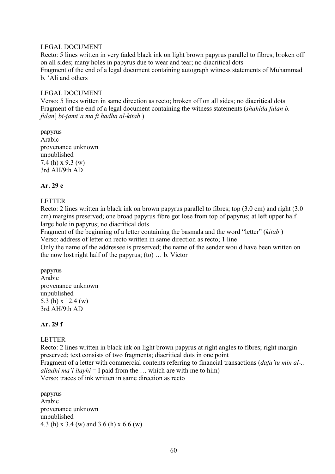### LEGAL DOCUMENT

Recto: 5 lines written in very faded black ink on light brown papyrus parallel to fibres; broken off on all sides; many holes in papyrus due to wear and tear; no diacritical dots Fragment of the end of a legal document containing autograph witness statements of Muhammad b. 'Ali and others

## LEGAL DOCUMENT

Verso: 5 lines written in same direction as recto; broken off on all sides; no diacritical dots Fragment of the end of a legal document containing the witness statements (*shahida fulan b. fulan*] *bi-jami'a ma fi hadha al-kitab* )

papyrus Arabic provenance unknown unpublished 7.4 (h) x 9.3 (w) 3rd AH/9th AD

## **Ar. 29 e**

#### LETTER

Recto: 2 lines written in black ink on brown papyrus parallel to fibres; top (3.0 cm) and right (3.0 cm) margins preserved; one broad papyrus fibre got lose from top of papyrus; at left upper half large hole in papyrus; no diacritical dots

Fragment of the beginning of a letter containing the basmala and the word "letter" (*kitab* ) Verso: address of letter on recto written in same direction as recto; 1 line

Only the name of the addressee is preserved; the name of the sender would have been written on the now lost right half of the papyrus; (to) … b. Victor

papyrus Arabic provenance unknown unpublished 5.3 (h) x 12.4 (w) 3rd AH/9th AD

### **Ar. 29 f**

### LETTER

Recto: 2 lines written in black ink on light brown papyrus at right angles to fibres; right margin preserved; text consists of two fragments; diacritical dots in one point Fragment of a letter with commercial contents referring to financial transactions (*dafa'tu min al-.. alladhi ma'i ilayhi* = I paid from the … which are with me to him) Verso: traces of ink written in same direction as recto

papyrus Arabic provenance unknown unpublished 4.3 (h) x 3.4 (w) and 3.6 (h) x 6.6 (w)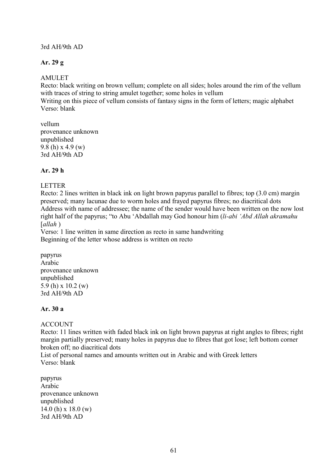## 3rd AH/9th AD

# **Ar. 29 g**

## AMULET

Recto: black writing on brown vellum; complete on all sides; holes around the rim of the vellum with traces of string to string amulet together; some holes in vellum

Writing on this piece of vellum consists of fantasy signs in the form of letters; magic alphabet Verso: blank

vellum provenance unknown unpublished 9.8 (h) x 4.9 (w) 3rd AH/9th AD

# **Ar. 29 h**

## LETTER

Recto: 2 lines written in black ink on light brown papyrus parallel to fibres; top (3.0 cm) margin preserved; many lacunae due to worm holes and frayed papyrus fibres; no diacritical dots Address with name of addressee; the name of the sender would have been written on the now lost right half of the papyrus; "to Abu 'Abdallah may God honour him (*li-abi 'Abd Allah akramahu*  [*allah* )

Verso: 1 line written in same direction as recto in same handwriting Beginning of the letter whose address is written on recto

papyrus Arabic provenance unknown unpublished 5.9 (h) x 10.2 (w) 3rd AH/9th AD

# **Ar. 30 a**

# **ACCOUNT**

Recto: 11 lines written with faded black ink on light brown papyrus at right angles to fibres; right margin partially preserved; many holes in papyrus due to fibres that got lose; left bottom corner broken off; no diacritical dots

List of personal names and amounts written out in Arabic and with Greek letters Verso: blank

papyrus Arabic provenance unknown unpublished 14.0 (h) x 18.0 (w) 3rd AH/9th AD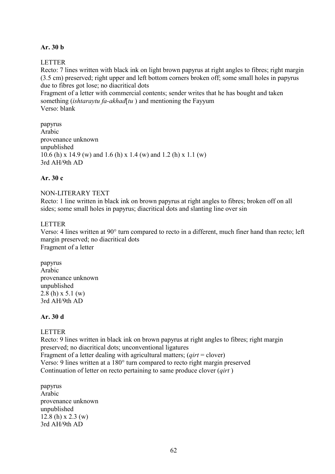# **Ar. 30 b**

# LETTER

Recto: 7 lines written with black ink on light brown papyrus at right angles to fibres; right margin (3.5 cm) preserved; right upper and left bottom corners broken off; some small holes in papyrus due to fibres got lose; no diacritical dots

Fragment of a letter with commercial contents; sender writes that he has bought and taken something (*ishtaraytu fa-akhad*[*tu* ) and mentioning the Fayyum Verso: blank

papyrus Arabic provenance unknown unpublished 10.6 (h) x 14.9 (w) and 1.6 (h) x 1.4 (w) and 1.2 (h) x 1.1 (w) 3rd AH/9th AD

# **Ar. 30 c**

# NON-LITERARY TEXT

Recto: 1 line written in black ink on brown papyrus at right angles to fibres; broken off on all sides; some small holes in papyrus; diacritical dots and slanting line over sin

## LETTER

Verso: 4 lines written at 90° turn compared to recto in a different, much finer hand than recto; left margin preserved; no diacritical dots Fragment of a letter

papyrus Arabic provenance unknown unpublished 2.8 (h) x 5.1 (w) 3rd AH/9th AD

# **Ar. 30 d**

# LETTER

Recto: 9 lines written in black ink on brown papyrus at right angles to fibres; right margin preserved; no diacritical dots; unconventional ligatures Fragment of a letter dealing with agricultural matters; (*qirt* = clover) Verso: 9 lines written at a 180° turn compared to recto right margin preserved Continuation of letter on recto pertaining to same produce clover (*qirt* )

papyrus Arabic provenance unknown unpublished  $12.8$  (h) x  $2.3$  (w) 3rd AH/9th AD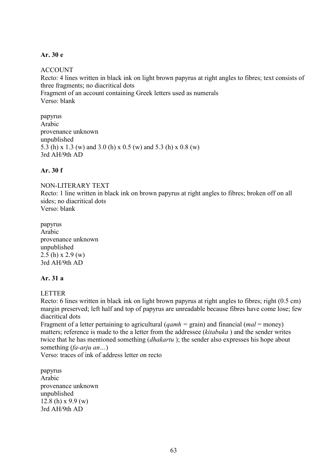### **Ar. 30 e**

## ACCOUNT

Recto: 4 lines written in black ink on light brown papyrus at right angles to fibres; text consists of three fragments; no diacritical dots Fragment of an account containing Greek letters used as numerals Verso: blank

papyrus Arabic provenance unknown unpublished 5.3 (h) x 1.3 (w) and 3.0 (h) x 0.5 (w) and 5.3 (h) x 0.8 (w) 3rd AH/9th AD

# **Ar. 30 f**

NON-LITERARY TEXT

Recto: 1 line written in black ink on brown papyrus at right angles to fibres; broken off on all sides; no diacritical dots Verso: blank

papyrus Arabic provenance unknown unpublished  $2.5$  (h) x  $2.9$  (w) 3rd AH/9th AD

### **Ar. 31 a**

LETTER

Recto: 6 lines written in black ink on light brown papyrus at right angles to fibres; right (0.5 cm) margin preserved; left half and top of papyrus are unreadable because fibres have come lose; few diacritical dots

Fragment of a letter pertaining to agricultural (*qamh =* grain) and financial (*mal* = money) matters; reference is made to the a letter from the addressee (*kitabuka* ) and the sender writes twice that he has mentioned something (*dhakartu* ); the sender also expresses his hope about something (*fa-arju an…*)

Verso: traces of ink of address letter on recto

papyrus Arabic provenance unknown unpublished 12.8 (h)  $x\ 9.9$  (w) 3rd AH/9th AD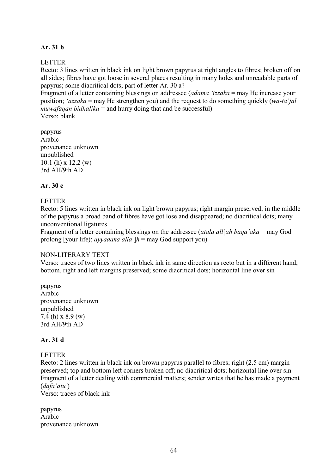# **Ar. 31 b**

### LETTER

Recto: 3 lines written in black ink on light brown papyrus at right angles to fibres; broken off on all sides; fibres have got loose in several places resulting in many holes and unreadable parts of papyrus; some diacritical dots; part of letter Ar. 30 a?

Fragment of a letter containing blessings on addressee (*adama 'izzaka* = may He increase your position; *'azzaka* = may He strengthen you) and the request to do something quickly (*wa-ta'jal muwafaqan bidhalika* = and hurry doing that and be successful) Verso: blank

papyrus Arabic provenance unknown unpublished 10.1 (h) x 12.2 (w) 3rd AH/9th AD

### **Ar. 30 c**

### LETTER

Recto: 5 lines written in black ink on light brown papyrus; right margin preserved; in the middle of the papyrus a broad band of fibres have got lose and disappeared; no diacritical dots; many unconventional ligatures

Fragment of a letter containing blessings on the addressee (*atala all*[*ah baqa'aka* = may God prolong [your life); *ayyadaka alla* ]*h* = may God support you)

#### NON-LITERARY TEXT

Verso: traces of two lines written in black ink in same direction as recto but in a different hand; bottom, right and left margins preserved; some diacritical dots; horizontal line over sin

papyrus Arabic provenance unknown unpublished 7.4 (h) x 8.9 (w) 3rd AH/9th AD

### **Ar. 31 d**

## LETTER

Recto: 2 lines written in black ink on brown papyrus parallel to fibres; right (2.5 cm) margin preserved; top and bottom left corners broken off; no diacritical dots; horizontal line over sin Fragment of a letter dealing with commercial matters; sender writes that he has made a payment (*dafa'atu* )

Verso: traces of black ink

papyrus Arabic provenance unknown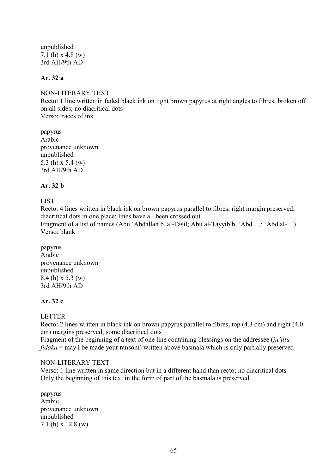unpublished 7.1 (h) x 4.8 (w) 3rd AH/9th AD

# **Ar. 32 a**

NON-LITERARY TEXT Recto: 1 line written in faded black ink on light brown papyrus at right angles to fibres; broken off on all sides; no diacritical dots Verso: traces of ink

papyrus Arabic provenance unknown unpublished 5.3 (h) x 5.4 (w) 3rd AH/9th AD

## **Ar. 32 b**

LIST

Recto: 4 lines written in black ink on brown papyrus parallel to fibres; right margin preserved; diacritical dots in one place; lines have all been crossed out Fragment of a list of names (Abu 'Abdallah b. al-Fasil; Abu al-Tayyib b. 'Abd …; 'Abd al-…) Verso: blank

papyrus Arabic provenance unknown unpublished 8.4 (h) x 5.3 (w) 3rd AH/9th AD

# **Ar. 32 c**

LETTER

Recto: 2 lines written in black ink on brown papyrus parallel to fibres; top (4.3 cm) and right (4.0 cm) margins preserved; some diacritical dots

Fragment of the beginning of a text of one line containing blessings on the addressee (*ju'iltu fidaka* = may I be made your ransom) written above basmala which is only partially preserved

### NON-LITERARY TEXT

Verso: 1 line written in same direction but in a different hand than recto; no diacritical dots Only the beginning of this text in the form of part of the basmala is preserved

papyrus Arabic provenance unknown unpublished 7.1 (h) x 12.8 (w)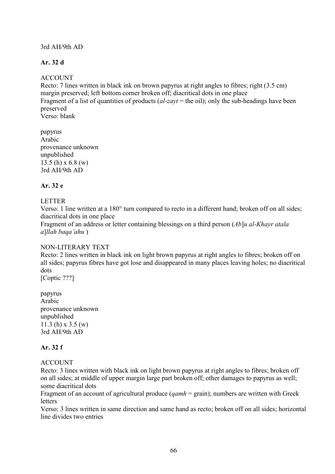## 3rd AH/9th AD

# **Ar. 32 d**

# ACCOUNT

Recto: 7 lines written in black ink on brown papyrus at right angles to fibres; right (3.5 cm) margin preserved; left bottom corner broken off; diacritical dots in one place Fragment of a list of quantities of products (*al-zayt* = the oil); only the sub-headings have been preserved Verso: blank

papyrus Arabic provenance unknown unpublished 13.5 (h) x 6.8 (w) 3rd AH/9th AD

## **Ar. 32 e**

## LETTER

Verso: 1 line written at a 180° turn compared to recto in a different hand; broken off on all sides; diacritical dots in one place

Fragment of an address or letter containing blessings on a third person (*Ab*]*u al-Khayr atala a*]*llah baqa'ahu* )

### NON-LITERARY TEXT

Recto: 2 lines written in black ink on light brown papyrus at right angles to fibres; broken off on all sides; papyrus fibres have got lose and disappeared in many places leaving holes; no diacritical dots

[Coptic ???]

papyrus Arabic provenance unknown unpublished 11.3 (h) x 3.5 (w) 3rd AH/9th AD

# **Ar. 32 f**

### ACCOUNT

Recto: 3 lines written with black ink on light brown papyrus at right angles to fibres; broken off on all sides; at middle of upper margin large part broken off; other damages to papyrus as well; some diacritical dots

Fragment of an account of agricultural produce (*qamh* = grain); numbers are written with Greek letters

Verso: 3 lines written in same direction and same hand as recto; broken off on all sides; horizontal line divides two entries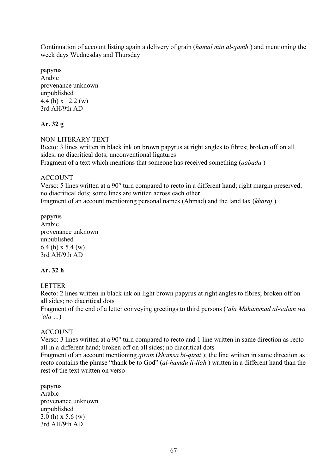Continuation of account listing again a delivery of grain (*hamal min al-qamh* ) and mentioning the week days Wednesday and Thursday

papyrus Arabic provenance unknown unpublished 4.4 (h) x 12.2 (w) 3rd AH/9th AD

# **Ar. 32 g**

NON-LITERARY TEXT

Recto: 3 lines written in black ink on brown papyrus at right angles to fibres; broken off on all sides; no diacritical dots; unconventional ligatures

Fragment of a text which mentions that someone has received something (*qabada* )

# ACCOUNT

Verso: 5 lines written at a 90° turn compared to recto in a different hand; right margin preserved; no diacritical dots; some lines are written across each other Fragment of an account mentioning personal names (Ahmad) and the land tax (*kharaj* )

papyrus Arabic provenance unknown unpublished 6.4 (h) x 5.4 (w) 3rd AH/9th AD

# **Ar. 32 h**

# LETTER

Recto: 2 lines written in black ink on light brown papyrus at right angles to fibres; broken off on all sides; no diacritical dots

Fragment of the end of a letter conveying greetings to third persons (*'ala Muhammad al-salam wa 'ala …*)

# ACCOUNT

Verso: 3 lines written at a 90° turn compared to recto and 1 line written in same direction as recto all in a different hand; broken off on all sides; no diacritical dots

Fragment of an account mentioning *qirats* (*khamsa bi-qirat* ); the line written in same direction as recto contains the phrase "thank be to God" (*al-hamdu li-llah* ) written in a different hand than the rest of the text written on verso

papyrus Arabic provenance unknown unpublished 3.0 (h) x 5.6 (w) 3rd AH/9th AD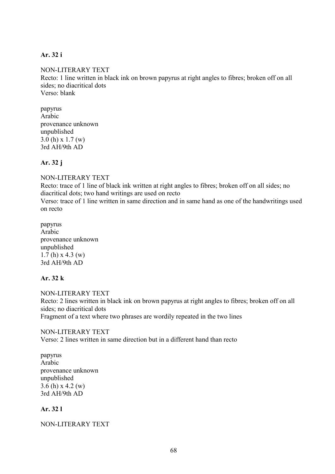## **Ar. 32 i**

NON-LITERARY TEXT Recto: 1 line written in black ink on brown papyrus at right angles to fibres; broken off on all sides; no diacritical dots Verso: blank

papyrus Arabic provenance unknown unpublished 3.0 (h) x 1.7 (w) 3rd AH/9th AD

## **Ar. 32 j**

NON-LITERARY TEXT

Recto: trace of 1 line of black ink written at right angles to fibres; broken off on all sides; no diacritical dots; two hand writings are used on recto

Verso: trace of 1 line written in same direction and in same hand as one of the handwritings used on recto

papyrus Arabic provenance unknown unpublished 1.7 (h)  $x$  4.3 (w) 3rd AH/9th AD

### **Ar. 32 k**

NON-LITERARY TEXT Recto: 2 lines written in black ink on brown papyrus at right angles to fibres; broken off on all sides; no diacritical dots Fragment of a text where two phrases are wordily repeated in the two lines

### NON-LITERARY TEXT

Verso: 2 lines written in same direction but in a different hand than recto

papyrus Arabic provenance unknown unpublished 3.6 (h) x 4.2 (w) 3rd AH/9th AD

### **Ar. 32 l**

### NON-LITERARY TEXT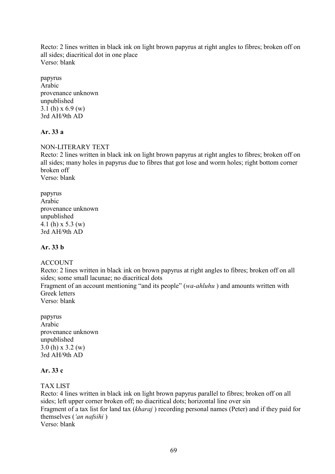Recto: 2 lines written in black ink on light brown papyrus at right angles to fibres; broken off on all sides; diacritical dot in one place Verso: blank

papyrus Arabic provenance unknown unpublished 3.1 (h) x 6.9 (w) 3rd AH/9th AD

## **Ar. 33 a**

### NON-LITERARY TEXT

Recto: 2 lines written in black ink on light brown papyrus at right angles to fibres; broken off on all sides; many holes in papyrus due to fibres that got lose and worm holes; right bottom corner broken off Verso: blank

papyrus Arabic provenance unknown unpublished 4.1 (h) x 5.3 (w) 3rd AH/9th AD

## **Ar. 33 b**

### ACCOUNT

Recto: 2 lines written in black ink on brown papyrus at right angles to fibres; broken off on all sides; some small lacunae; no diacritical dots

Fragment of an account mentioning "and its people" (*wa-ahluhu* ) and amounts written with Greek letters

Verso: blank

papyrus Arabic provenance unknown unpublished 3.0 (h) x 3.2 (w) 3rd AH/9th AD

### **Ar. 33 c**

### TAX LIST

Recto: 4 lines written in black ink on light brown papyrus parallel to fibres; broken off on all sides; left upper corner broken off; no diacritical dots; horizontal line over sin Fragment of a tax list for land tax (*kharaj* ) recording personal names (Peter) and if they paid for themselves (*'an nafsihi* ) Verso: blank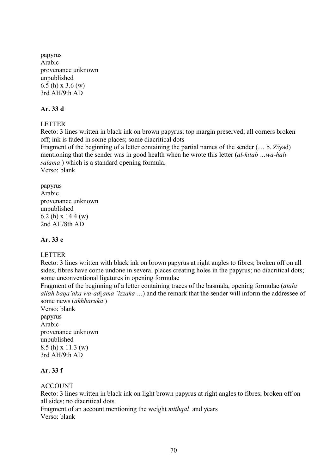papyrus Arabic provenance unknown unpublished 6.5 (h) x 3.6 (w) 3rd AH/9th AD

## **Ar. 33 d**

LETTER

Recto: 3 lines written in black ink on brown papyrus; top margin preserved; all corners broken off; ink is faded in some places; some diacritical dots

Fragment of the beginning of a letter containing the partial names of the sender (… b. Ziyad) mentioning that the sender was in good health when he wrote this letter (*al-kitab …wa-hali salama* ) which is a standard opening formula. Verso: blank

papyrus Arabic provenance unknown unpublished 6.2 (h) x 14.4 (w) 2nd AH/8th AD

# **Ar. 33 e**

# LETTER

Recto: 3 lines written with black ink on brown papyrus at right angles to fibres; broken off on all sides; fibres have come undone in several places creating holes in the papyrus; no diacritical dots; some unconventional ligatures in opening formulae

Fragment of the beginning of a letter containing traces of the basmala, opening formulae (*atala allah baqa'aka wa-ad*[*ama 'izzaka …*) and the remark that the sender will inform the addressee of some news (*akhbaruka* )

Verso: blank papyrus Arabic provenance unknown unpublished 8.5 (h) x 11.3 (w) 3rd AH/9th AD

# **Ar. 33 f**

**ACCOUNT** 

Recto: 3 lines written in black ink on light brown papyrus at right angles to fibres; broken off on all sides; no diacritical dots

Fragment of an account mentioning the weight *mithqal* and years Verso: blank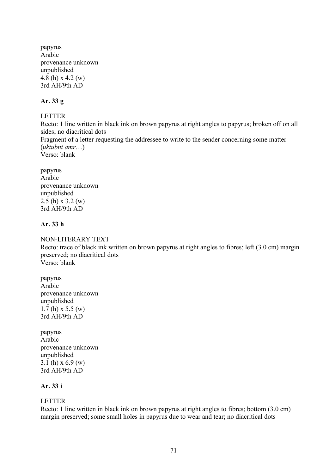papyrus Arabic provenance unknown unpublished 4.8 (h) x 4.2 (w) 3rd AH/9th AD

## **Ar. 33 g**

LETTER

Recto: 1 line written in black ink on brown papyrus at right angles to papyrus; broken off on all sides; no diacritical dots Fragment of a letter requesting the addressee to write to the sender concerning some matter (*uktubni amr*…) Verso: blank

papyrus Arabic provenance unknown unpublished 2.5 (h) x 3.2 (w) 3rd AH/9th AD

## **Ar. 33 h**

### NON-LITERARY TEXT

Recto: trace of black ink written on brown papyrus at right angles to fibres; left (3.0 cm) margin preserved; no diacritical dots Verso: blank

papyrus Arabic provenance unknown unpublished  $1.7(h) \times 5.5 (w)$ 3rd AH/9th AD

papyrus Arabic provenance unknown unpublished 3.1 (h)  $x 6.9 (w)$ 3rd AH/9th AD

# **Ar. 33 i**

# LETTER

Recto: 1 line written in black ink on brown papyrus at right angles to fibres; bottom (3.0 cm) margin preserved; some small holes in papyrus due to wear and tear; no diacritical dots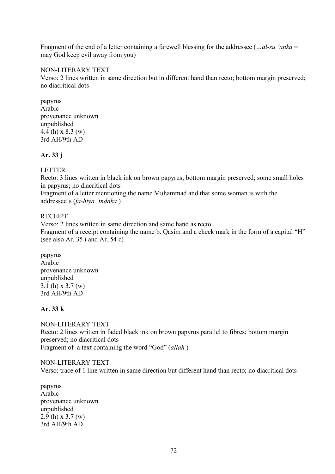Fragment of the end of a letter containing a farewell blessing for the addressee (*…al-su 'anka* = may God keep evil away from you)

## NON-LITERARY TEXT

Verso: 2 lines written in same direction but in different hand than recto; bottom margin preserved; no diacritical dots

papyrus Arabic provenance unknown unpublished 4.4 (h) x 8.3 (w) 3rd AH/9th AD

## **Ar. 33 j**

## LETTER

Recto: 3 lines written in black ink on brown papyrus; bottom margin preserved; some small holes in papyrus; no diacritical dots

Fragment of a letter mentioning the name Muhammad and that some woman is with the addressee's (*fa-hiya 'indaka* )

### **RECEIPT**

Verso: 2 lines written in same direction and same hand as recto Fragment of a receipt containing the name b. Qasim and a check mark in the form of a capital "H" (see also Ar. 35 i and Ar. 54 c)

papyrus Arabic provenance unknown unpublished 3.1 (h) x 3.7 (w) 3rd AH/9th AD

# **Ar. 33 k**

NON-LITERARY TEXT Recto: 2 lines written in faded black ink on brown papyrus parallel to fibres; bottom margin preserved; no diacritical dots Fragment of a text containing the word "God" (*allah* )

NON-LITERARY TEXT Verso: trace of 1 line written in same direction but different hand than recto; no diacritical dots

papyrus Arabic provenance unknown unpublished 2.9 (h) x 3.7 (w) 3rd AH/9th AD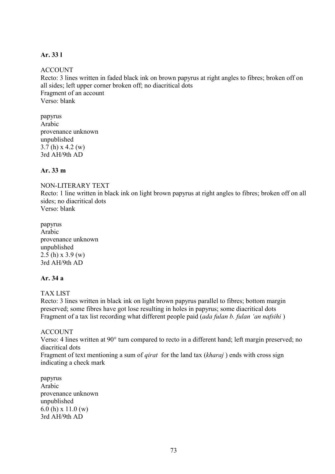### **Ar. 33 l**

### ACCOUNT

Recto: 3 lines written in faded black ink on brown papyrus at right angles to fibres; broken off on all sides; left upper corner broken off; no diacritical dots Fragment of an account Verso: blank

papyrus Arabic provenance unknown unpublished 3.7 (h) x 4.2 (w) 3rd AH/9th AD

# **Ar. 33 m**

### NON-LITERARY TEXT

Recto: 1 line written in black ink on light brown papyrus at right angles to fibres; broken off on all sides; no diacritical dots Verso: blank

papyrus Arabic provenance unknown unpublished 2.5 (h) x 3.9 (w) 3rd AH/9th AD

### **Ar. 34 a**

### TAX LIST

Recto: 3 lines written in black ink on light brown papyrus parallel to fibres; bottom margin preserved; some fibres have got lose resulting in holes in papyrus; some diacritical dots Fragment of a tax list recording what different people paid (*ada fulan b. fulan 'an nafsihi* )

### ACCOUNT

Verso: 4 lines written at 90° turn compared to recto in a different hand; left margin preserved; no diacritical dots

Fragment of text mentioning a sum of *qirat* for the land tax (*kharaj* ) ends with cross sign indicating a check mark

papyrus Arabic provenance unknown unpublished 6.0 (h) x 11.0 (w) 3rd AH/9th AD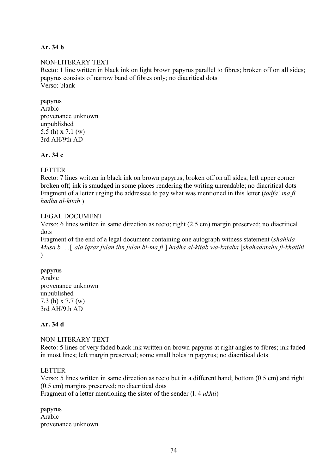## **Ar. 34 b**

# NON-LITERARY TEXT Recto: 1 line written in black ink on light brown papyrus parallel to fibres; broken off on all sides; papyrus consists of narrow band of fibres only; no diacritical dots Verso: blank

papyrus Arabic provenance unknown unpublished 5.5 (h) x 7.1 (w) 3rd AH/9th AD

### **Ar. 34 c**

### LETTER

Recto: 7 lines written in black ink on brown papyrus; broken off on all sides; left upper corner broken off; ink is smudged in some places rendering the writing unreadable; no diacritical dots Fragment of a letter urging the addressee to pay what was mentioned in this letter (*tadfa' ma fi hadha al-kitab* )

### LEGAL DOCUMENT

Verso: 6 lines written in same direction as recto; right (2.5 cm) margin preserved; no diacritical dots

Fragment of the end of a legal document containing one autograph witness statement (*shahida Musa b. …*[*'ala iqrar fulan ibn fulan bi-ma fi* ] *hadha al-kitab wa-kataba* [*shahadatahu fi-khatihi*   $\mathcal{L}$ 

papyrus Arabic provenance unknown unpublished 7.3 (h) x 7.7 (w) 3rd AH/9th AD

### **Ar. 34 d**

NON-LITERARY TEXT Recto: 5 lines of very faded black ink written on brown papyrus at right angles to fibres; ink faded in most lines; left margin preserved; some small holes in papyrus; no diacritical dots

### LETTER

Verso: 5 lines written in same direction as recto but in a different hand; bottom (0.5 cm) and right (0.5 cm) margins preserved; no diacritical dots Fragment of a letter mentioning the sister of the sender (l. 4 *ukhti*)

papyrus Arabic provenance unknown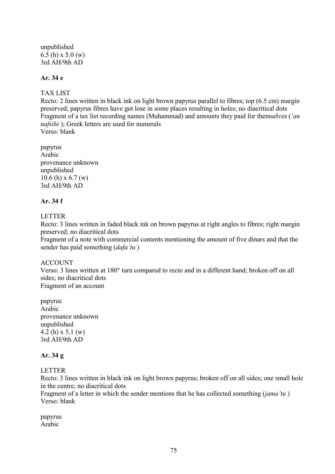unpublished 6.5 (h) x 5.0 (w) 3rd AH/9th AD

# **Ar. 34 e**

## TAX LIST

Recto: 2 lines written in black ink on light brown papyrus parallel to fibres; top (6.5 cm) margin preserved; papyrus fibres have got lose in some places resulting in holes; no diacritical dots Fragment of a tax list recording names (Muhammad) and amounts they paid for themselves (*'an nafsihi* ); Greek letters are used for numerals Verso: blank

papyrus Arabic provenance unknown unpublished 10.6 (h) x 6.7 (w) 3rd AH/9th AD

## **Ar. 34 f**

## LETTER

Recto: 3 lines written in faded black ink on brown papyrus at right angles to fibres; right margin preserved; no diacritical dots

Fragment of a note with commercial contents mentioning the amount of five dinars and that the sender has paid something (*dafa'tu* )

## ACCOUNT

Verso: 3 lines written at 180° turn compared to recto and in a different hand; broken off on all sides; no diacritical dots Fragment of an account

papyrus Arabic provenance unknown unpublished 4.2 (h) x 5.1 (w) 3rd AH/9th AD

### **Ar. 34 g**

## LETTER

Recto: 3 lines written in black ink on light brown papyrus; broken off on all sides; one small hole in the centre; no diacritical dots

Fragment of a letter in which the sender mentions that he has collected something (*jama'tu* ) Verso: blank

papyrus Arabic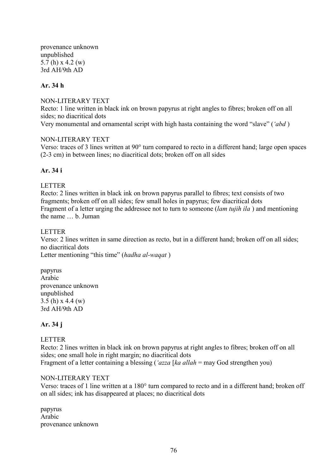provenance unknown unpublished 5.7 (h) x 4.2 (w) 3rd AH/9th AD

### **Ar. 34 h**

### NON-LITERARY TEXT

Recto: 1 line written in black ink on brown papyrus at right angles to fibres; broken off on all sides; no diacritical dots Very monumental and ornamental script with high hasta containing the word "slave" (*'abd* )

### NON-LITERARY TEXT

Verso: traces of 3 lines written at 90° turn compared to recto in a different hand; large open spaces (2-3 cm) in between lines; no diacritical dots; broken off on all sides

# **Ar. 34 i**

### LETTER

Recto: 2 lines written in black ink on brown papyrus parallel to fibres; text consists of two fragments; broken off on all sides; few small holes in papyrus; few diacritical dots Fragment of a letter urging the addressee not to turn to someone (*lam tujih ila* ) and mentioning the name … b. Juman

### LETTER

Verso: 2 lines written in same direction as recto, but in a different hand; broken off on all sides; no diacritical dots

Letter mentioning "this time" (*hadha al-waqat* )

papyrus Arabic provenance unknown unpublished 3.5 (h) x 4.4 (w) 3rd AH/9th AD

## **Ar. 34 j**

### LETTER

Recto: 2 lines written in black ink on brown papyrus at right angles to fibres; broken off on all sides; one small hole in right margin; no diacritical dots Fragment of a letter containing a blessing (*'azza* [*ka allah* = may God strengthen you)

### NON-LITERARY TEXT

Verso: traces of 1 line written at a 180° turn compared to recto and in a different hand; broken off on all sides; ink has disappeared at places; no diacritical dots

papyrus Arabic provenance unknown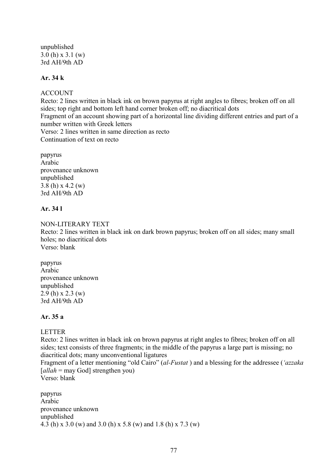unpublished 3.0 (h) x 3.1 (w) 3rd AH/9th AD

## **Ar. 34 k**

### ACCOUNT

Recto: 2 lines written in black ink on brown papyrus at right angles to fibres; broken off on all sides; top right and bottom left hand corner broken off; no diacritical dots Fragment of an account showing part of a horizontal line dividing different entries and part of a number written with Greek letters Verso: 2 lines written in same direction as recto Continuation of text on recto

papyrus Arabic provenance unknown unpublished 3.8 (h) x 4.2 (w) 3rd AH/9th AD

# **Ar. 34 l**

NON-LITERARY TEXT Recto: 2 lines written in black ink on dark brown papyrus; broken off on all sides; many small holes; no diacritical dots Verso: blank

papyrus Arabic provenance unknown unpublished 2.9 (h) x 2.3 (w) 3rd AH/9th AD

### **Ar. 35 a**

## LETTER

Recto: 2 lines written in black ink on brown papyrus at right angles to fibres; broken off on all sides; text consists of three fragments; in the middle of the papyrus a large part is missing; no diacritical dots; many unconventional ligatures

Fragment of a letter mentioning "old Cairo" (*al-Fustat* ) and a blessing for the addressee (*'azzaka*  [*allah* = may God] strengthen you)

Verso: blank

papyrus Arabic provenance unknown unpublished 4.3 (h) x 3.0 (w) and 3.0 (h) x 5.8 (w) and 1.8 (h) x 7.3 (w)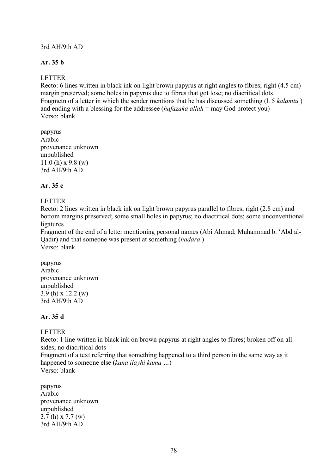### 3rd AH/9th AD

# **Ar. 35 b**

# LETTER

Recto: 6 lines written in black ink on light brown papyrus at right angles to fibres; right (4.5 cm) margin preserved; some holes in papyrus due to fibres that got lose; no diacritical dots Fragmetn of a letter in which the sender mentions that he has discussed something (l. 5 *kalamtu* ) and ending with a blessing for the addressee (*hafazaka allah* = may God protect you) Verso: blank

papyrus Arabic provenance unknown unpublished 11.0 (h)  $x$  9.8 (w) 3rd AH/9th AD

### **Ar. 35 c**

### LETTER

Recto: 2 lines written in black ink on light brown papyrus parallel to fibres; right (2.8 cm) and bottom margins preserved; some small holes in papyrus; no diacritical dots; some unconventional ligatures

Fragment of the end of a letter mentioning personal names (Abi Ahmad; Muhammad b. 'Abd al-Qadir) and that someone was present at something (*hadara* ) Verso: blank

papyrus Arabic provenance unknown unpublished 3.9 (h) x 12.2 (w) 3rd AH/9th AD

## **Ar. 35 d**

## LETTER

Recto: 1 line written in black ink on brown papyrus at right angles to fibres; broken off on all sides; no diacritical dots

Fragment of a text referring that something happened to a third person in the same way as it happened to someone else (*kana ilayhi kama …*)

Verso: blank

papyrus Arabic provenance unknown unpublished 3.7 (h) x 7.7 (w) 3rd AH/9th AD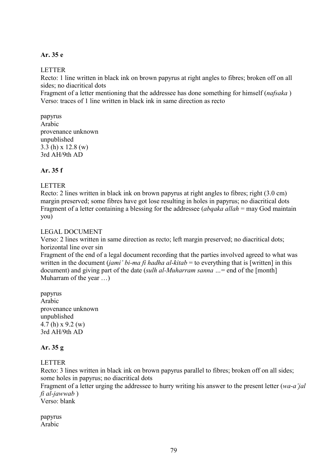### **Ar. 35 e**

### LETTER

Recto: 1 line written in black ink on brown papyrus at right angles to fibres; broken off on all sides; no diacritical dots

Fragment of a letter mentioning that the addressee has done something for himself (*nafsaka* ) Verso: traces of 1 line written in black ink in same direction as recto

papyrus Arabic provenance unknown unpublished 3.3 (h) x 12.8 (w) 3rd AH/9th AD

# **Ar. 35 f**

### LETTER

Recto: 2 lines written in black ink on brown papyrus at right angles to fibres; right (3.0 cm) margin preserved; some fibres have got lose resulting in holes in papyrus; no diacritical dots Fragment of a letter containing a blessing for the addressee (*abqaka allah* = may God maintain you)

### LEGAL DOCUMENT

Verso: 2 lines written in same direction as recto; left margin preserved; no diacritical dots; horizontal line over sin

Fragment of the end of a legal document recording that the parties involved agreed to what was written in the document (*jami' bi-ma fi hadha al-kitab* = to everything that is [written] in this document) and giving part of the date (*sulh al-Muharram sanna …*= end of the [month] Muharram of the year …)

papyrus Arabic provenance unknown unpublished 4.7 (h) x 9.2 (w) 3rd AH/9th AD

## **Ar. 35 g**

### LETTER

Recto: 3 lines written in black ink on brown papyrus parallel to fibres; broken off on all sides; some holes in papyrus; no diacritical dots

Fragment of a letter urging the addressee to hurry writing his answer to the present letter (*wa-a'jal fi al-jawwab* )

Verso: blank

papyrus Arabic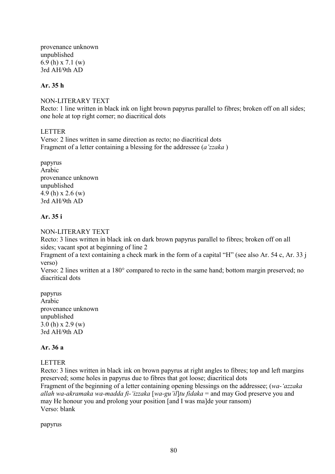provenance unknown unpublished 6.9 (h) x 7.1 (w) 3rd AH/9th AD

### **Ar. 35 h**

#### NON-LITERARY TEXT

Recto: 1 line written in black ink on light brown papyrus parallel to fibres; broken off on all sides; one hole at top right corner; no diacritical dots

### **LETTER**

Verso: 2 lines written in same direction as recto; no diacritical dots Fragment of a letter containing a blessing for the addressee (*a'zzaka* )

papyrus Arabic provenance unknown unpublished 4.9 (h) x 2.6 (w) 3rd AH/9th AD

### **Ar. 35 i**

### NON-LITERARY TEXT

Recto: 3 lines written in black ink on dark brown papyrus parallel to fibres; broken off on all sides; vacant spot at beginning of line 2

Fragment of a text containing a check mark in the form of a capital "H" (see also Ar. 54 c, Ar. 33 j verso)

Verso: 2 lines written at a 180° compared to recto in the same hand; bottom margin preserved; no diacritical dots

papyrus Arabic provenance unknown unpublished 3.0 (h) x 2.9 (w) 3rd AH/9th AD

### **Ar. 36 a**

### LETTER

Recto: 3 lines written in black ink on brown papyrus at right angles to fibres; top and left margins preserved; some holes in papyrus due to fibres that got loose; diacritical dots Fragment of the beginning of a letter containing opening blessings on the addressee; (*wa-'azzaka allah wa-akramaka wa-madda fi-'izzaka* [*wa-gu'il*]*tu fidaka* = and may God preserve you and may He honour you and prolong your position [and I was ma]de your ransom) Verso: blank

papyrus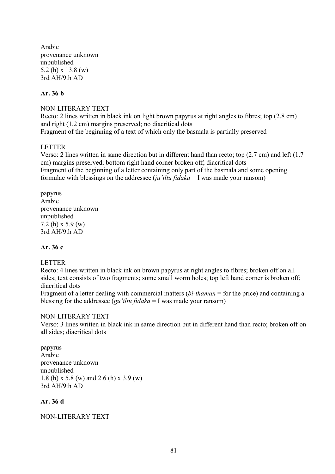Arabic provenance unknown unpublished 5.2 (h) x 13.8 (w) 3rd AH/9th AD

### **Ar. 36 b**

### NON-LITERARY TEXT

Recto: 2 lines written in black ink on light brown papyrus at right angles to fibres; top (2.8 cm) and right (1.2 cm) margins preserved; no diacritical dots Fragment of the beginning of a text of which only the basmala is partially preserved

### LETTER

Verso: 2 lines written in same direction but in different hand than recto; top (2.7 cm) and left (1.7 cm) margins preserved; bottom right hand corner broken off; diacritical dots Fragment of the beginning of a letter containing only part of the basmala and some opening formulae with blessings on the addressee (*ju'iltu fidaka* = I was made your ransom)

papyrus Arabic provenance unknown unpublished 7.2 (h) x 5.9 (w) 3rd AH/9th AD

### **Ar. 36 c**

### LETTER

Recto: 4 lines written in black ink on brown papyrus at right angles to fibres; broken off on all sides; text consists of two fragments; some small worm holes; top left hand corner is broken off; diacritical dots

Fragment of a letter dealing with commercial matters (*bi-thaman* = for the price) and containing a blessing for the addressee (*gu'iltu fidaka* = I was made your ransom)

### NON-LITERARY TEXT

Verso: 3 lines written in black ink in same direction but in different hand than recto; broken off on all sides; diacritical dots

papyrus Arabic provenance unknown unpublished 1.8 (h) x 5.8 (w) and 2.6 (h) x 3.9 (w) 3rd AH/9th AD

### **Ar. 36 d**

### NON-LITERARY TEXT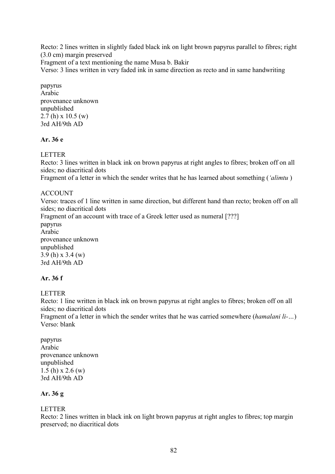Recto: 2 lines written in slightly faded black ink on light brown papyrus parallel to fibres; right (3.0 cm) margin preserved Fragment of a text mentioning the name Musa b. Bakir

Verso: 3 lines written in very faded ink in same direction as recto and in same handwriting

papyrus Arabic provenance unknown unpublished 2.7 (h) x 10.5 (w) 3rd AH/9th AD

## **Ar. 36 e**

LETTER

Recto: 3 lines written in black ink on brown papyrus at right angles to fibres; broken off on all sides; no diacritical dots

Fragment of a letter in which the sender writes that he has learned about something (*'alimtu* )

# ACCOUNT

Verso: traces of 1 line written in same direction, but different hand than recto; broken off on all sides; no diacritical dots Fragment of an account with trace of a Greek letter used as numeral [???] papyrus Arabic provenance unknown unpublished 3.9 (h) x 3.4 (w) 3rd AH/9th AD

## **Ar. 36 f**

# LETTER

Recto: 1 line written in black ink on brown papyrus at right angles to fibres; broken off on all sides; no diacritical dots

Fragment of a letter in which the sender writes that he was carried somewhere (*hamalani li-…*) Verso: blank

papyrus Arabic provenance unknown unpublished 1.5 (h) x 2.6 (w) 3rd AH/9th AD

# **Ar. 36 g**

## LETTER

Recto: 2 lines written in black ink on light brown papyrus at right angles to fibres; top margin preserved; no diacritical dots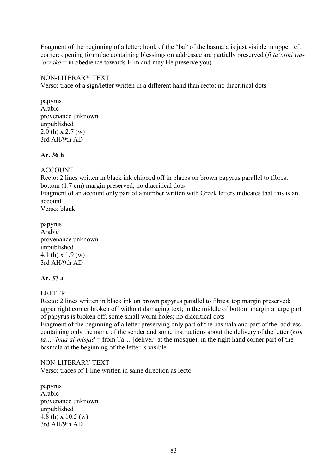Fragment of the beginning of a letter; hook of the "ba" of the basmala is just visible in upper left corner; opening formulae containing blessings on addressee are partially preserved (*fi ta'atihi wa- 'azzaka* = in obedience towards Him and may He preserve you)

### NON-LITERARY TEXT

Verso: trace of a sign/letter written in a different hand than recto; no diacritical dots

papyrus Arabic provenance unknown unpublished 2.0 (h) x 2.7 (w) 3rd AH/9th AD

### **Ar. 36 h**

ACCOUNT

Recto: 2 lines written in black ink chipped off in places on brown papyrus parallel to fibres; bottom (1.7 cm) margin preserved; no diacritical dots

Fragment of an account only part of a number written with Greek letters indicates that this is an account

Verso: blank

papyrus Arabic provenance unknown unpublished 4.1 (h) x 1.9 (w) 3rd AH/9th AD

### **Ar. 37 a**

LETTER

Recto: 2 lines written in black ink on brown papyrus parallel to fibres; top margin preserved; upper right corner broken off without damaging text; in the middle of bottom margin a large part of papyrus is broken off; some small worm holes; no diacritical dots

Fragment of the beginning of a letter preserving only part of the basmala and part of the address containing only the name of the sender and some instructions about the delivery of the letter (*min ta… 'inda al-misjad* = from Ta… [deliver] at the mosque); in the right hand corner part of the basmala at the beginning of the letter is visible

### NON-LITERARY TEXT

Verso: traces of 1 line written in same direction as recto

papyrus Arabic provenance unknown unpublished 4.8 (h) x 10.5 (w) 3rd AH/9th AD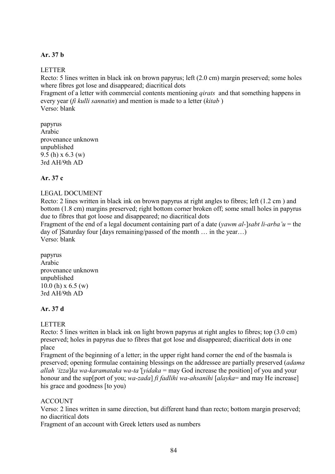### **Ar. 37 b**

### LETTER

Recto: 5 lines written in black ink on brown papyrus; left (2.0 cm) margin preserved; some holes where fibres got lose and disappeared; diacritical dots

Fragment of a letter with commercial contents mentioning *qirats* and that something happens in every year (*fi kulli sannatin*) and mention is made to a letter (*kitab* ) Verso: blank

papyrus Arabic provenance unknown unpublished 9.5 (h) x 6.3 (w) 3rd AH/9th AD

### **Ar. 37 c**

### LEGAL DOCUMENT

Recto: 2 lines written in black ink on brown papyrus at right angles to fibres; left (1.2 cm ) and bottom (1.8 cm) margins preserved; right bottom corner broken off; some small holes in papyrus due to fibres that got loose and disappeared; no diacritical dots

Fragment of the end of a legal document containing part of a date (*yawm al-*]*sabt li-arba'u* = the day of ]Saturday four [days remaining/passed of the month … in the year…) Verso: blank

papyrus Arabic provenance unknown unpublished  $10.0$  (h) x 6.5 (w) 3rd AH/9th AD

## **Ar. 37 d**

## **LETTER**

Recto: 5 lines written in black ink on light brown papyrus at right angles to fibres; top (3.0 cm) preserved; holes in papyrus due to fibres that got lose and disappeared; diacritical dots in one place

Fragment of the beginning of a letter; in the upper right hand corner the end of the basmala is preserved; opening formulae containing blessings on the addressee are partially preserved (*adama allah 'izza*]*ka wa-karamataka wa-ta'*[*yidaka* = may God increase the position] of you and your honour and the sup[port of you; *wa-zada*] *fi fadlihi wa-ahsanihi* [*alayka*= and may He increase] his grace and goodness [to you)

### ACCOUNT

Verso: 2 lines written in same direction, but different hand than recto; bottom margin preserved; no diacritical dots

Fragment of an account with Greek letters used as numbers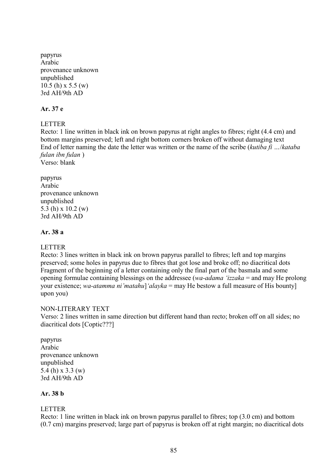papyrus Arabic provenance unknown unpublished 10.5 (h) x 5.5 (w) 3rd AH/9th AD

### **Ar. 37 e**

### LETTER

Recto: 1 line written in black ink on brown papyrus at right angles to fibres; right (4.4 cm) and bottom margins preserved; left and right bottom corners broken off without damaging text End of letter naming the date the letter was written or the name of the scribe (*kutiba fi …*/*kataba fulan ibn fulan* )

Verso: blank

papyrus Arabic provenance unknown unpublished 5.3 (h) x 10.2 (w) 3rd AH/9th AD

### **Ar. 38 a**

### LETTER

Recto: 3 lines written in black ink on brown papyrus parallel to fibres; left and top margins preserved; some holes in papyrus due to fibres that got lose and broke off; no diacritical dots Fragment of the beginning of a letter containing only the final part of the basmala and some opening formulae containing blessings on the addressee (*wa-adama 'izzaka* = and may He prolong your existence; *wa-atamma ni'matahu*]*'alayka* = may He bestow a full measure of His bounty] upon you)

### NON-LITERARY TEXT

Verso: 2 lines written in same direction but different hand than recto; broken off on all sides; no diacritical dots [Coptic???]

papyrus Arabic provenance unknown unpublished 5.4 (h) x 3.3 (w) 3rd AH/9th AD

# **Ar. 38 b**

## LETTER

Recto: 1 line written in black ink on brown papyrus parallel to fibres; top (3.0 cm) and bottom (0.7 cm) margins preserved; large part of papyrus is broken off at right margin; no diacritical dots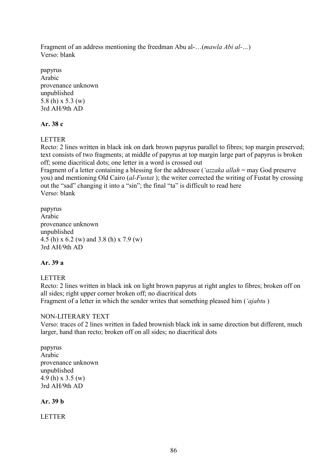Fragment of an address mentioning the freedman Abu al-…(*mawla Abi al-…*) Verso: blank

papyrus Arabic provenance unknown unpublished 5.8 (h) x 5.3 (w) 3rd AH/9th AD

## **Ar. 38 c**

LETTER

Recto: 2 lines written in black ink on dark brown papyrus parallel to fibres; top margin preserved; text consists of two fragments; at middle of papyrus at top margin large part of papyrus is broken off; some diacritical dots; one letter in a word is crossed out

Fragment of a letter containing a blessing for the addressee (*'azzaka allah* = may God preserve you) and mentioning Old Cairo (*al-Fustat* ); the writer corrected the writing of Fustat by crossing out the "sad" changing it into a "sin"; the final "ta" is difficult to read here Verso: blank

papyrus Arabic provenance unknown unpublished 4.5 (h) x 6.2 (w) and 3.8 (h) x 7.9 (w) 3rd AH/9th AD

# **Ar. 39 a**

LETTER Recto: 2 lines written in black ink on light brown papyrus at right angles to fibres; broken off on all sides; right upper corner broken off; no diacritical dots Fragment of a letter in which the sender writes that something pleased him (*'ajabtu* )

## NON-LITERARY TEXT

Verso: traces of 2 lines written in faded brownish black ink in same direction but different, much larger, hand than recto; broken off on all sides; no diacritical dots

papyrus Arabic provenance unknown unpublished 4.9 (h) x 3.5 (w) 3rd AH/9th AD

**Ar. 39 b**

LETTER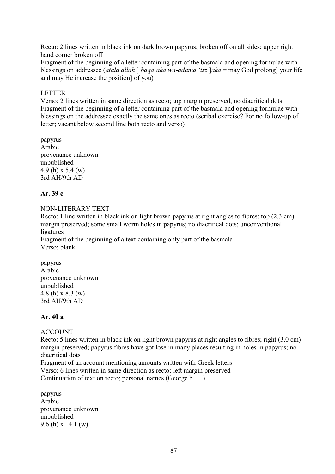Recto: 2 lines written in black ink on dark brown papyrus; broken off on all sides; upper right hand corner broken off

Fragment of the beginning of a letter containing part of the basmala and opening formulae with blessings on addressee (*atala allah* ] *baqa'aka wa-adama 'izz* ]*aka* = may God prolong] your life and may He increase the position] of you)

### LETTER

Verso: 2 lines written in same direction as recto; top margin preserved; no diacritical dots Fragment of the beginning of a letter containing part of the basmala and opening formulae with blessings on the addressee exactly the same ones as recto (scribal exercise? For no follow-up of letter; vacant below second line both recto and verso)

papyrus Arabic provenance unknown unpublished 4.9 (h) x 5.4 (w) 3rd AH/9th AD

### **Ar. 39 c**

### NON-LITERARY TEXT

Recto: 1 line written in black ink on light brown papyrus at right angles to fibres; top (2.3 cm) margin preserved; some small worm holes in papyrus; no diacritical dots; unconventional ligatures

Fragment of the beginning of a text containing only part of the basmala Verso: blank

papyrus Arabic provenance unknown unpublished 4.8 (h) x 8.3 (w) 3rd AH/9th AD

### **Ar. 40 a**

## ACCOUNT

Recto: 5 lines written in black ink on light brown papyrus at right angles to fibres; right (3.0 cm) margin preserved; papyrus fibres have got lose in many places resulting in holes in papyrus; no diacritical dots

Fragment of an account mentioning amounts written with Greek letters Verso: 6 lines written in same direction as recto: left margin preserved Continuation of text on recto; personal names (George b. …)

papyrus Arabic provenance unknown unpublished 9.6 (h) x 14.1 (w)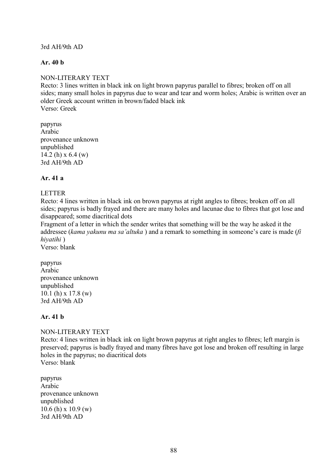### 3rd AH/9th AD

### **Ar. 40 b**

### NON-LITERARY TEXT

Recto: 3 lines written in black ink on light brown papyrus parallel to fibres; broken off on all sides; many small holes in papyrus due to wear and tear and worm holes; Arabic is written over an older Greek account written in brown/faded black ink Verso: Greek

papyrus Arabic provenance unknown unpublished 14.2 (h) x 6.4 (w) 3rd AH/9th AD

### **Ar. 41 a**

### LETTER

Recto: 4 lines written in black ink on brown papyrus at right angles to fibres; broken off on all sides; papyrus is badly frayed and there are many holes and lacunae due to fibres that got lose and disappeared; some diacritical dots

Fragment of a letter in which the sender writes that something will be the way he asked it the addressee (*kama yakunu ma sa'altuka* ) and a remark to something in someone's care is made (*fi hiyatihi* )

Verso: blank

papyrus Arabic provenance unknown unpublished 10.1 (h) x 17.8 (w) 3rd AH/9th AD

### **Ar. 41 b**

### NON-LITERARY TEXT

Recto: 4 lines written in black ink on light brown papyrus at right angles to fibres; left margin is preserved; papyrus is badly frayed and many fibres have got lose and broken off resulting in large holes in the papyrus; no diacritical dots Verso: blank

papyrus Arabic provenance unknown unpublished 10.6 (h) x 10.9 (w) 3rd AH/9th AD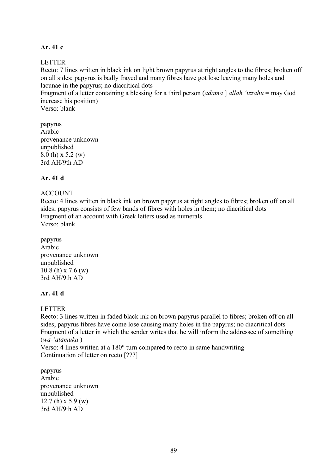### **Ar. 41 c**

### LETTER

Recto: 7 lines written in black ink on light brown papyrus at right angles to the fibres; broken off on all sides; papyrus is badly frayed and many fibres have got lose leaving many holes and lacunae in the papyrus; no diacritical dots

Fragment of a letter containing a blessing for a third person (*adama* ] *allah 'izzahu* = may God increase his position)

Verso: blank

papyrus Arabic provenance unknown unpublished 8.0 (h) x 5.2 (w) 3rd AH/9th AD

## **Ar. 41 d**

## ACCOUNT

Recto: 4 lines written in black ink on brown papyrus at right angles to fibres; broken off on all sides; papyrus consists of few bands of fibres with holes in them; no diacritical dots Fragment of an account with Greek letters used as numerals Verso: blank

papyrus Arabic provenance unknown unpublished 10.8 (h) x 7.6 (w) 3rd AH/9th AD

### **Ar. 41 d**

## **LETTER**

Recto: 3 lines written in faded black ink on brown papyrus parallel to fibres; broken off on all sides; papyrus fibres have come lose causing many holes in the papyrus; no diacritical dots Fragment of a letter in which the sender writes that he will inform the addressee of something (*wa-'alamuka* )

Verso: 4 lines written at a 180° turn compared to recto in same handwriting Continuation of letter on recto [???]

papyrus Arabic provenance unknown unpublished 12.7 (h)  $x$  5.9 (w) 3rd AH/9th AD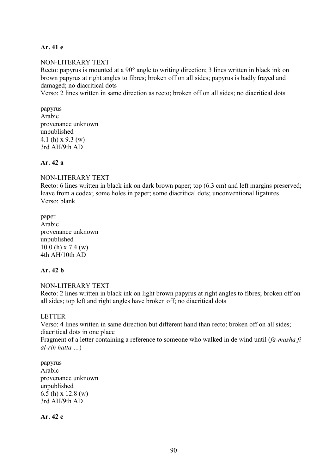### **Ar. 41 e**

### NON-LITERARY TEXT

Recto: papyrus is mounted at a 90° angle to writing direction; 3 lines written in black ink on brown papyrus at right angles to fibres; broken off on all sides; papyrus is badly frayed and damaged; no diacritical dots

Verso: 2 lines written in same direction as recto; broken off on all sides; no diacritical dots

papyrus Arabic provenance unknown unpublished 4.1 (h) x 9.3 (w) 3rd AH/9th AD

### **Ar. 42 a**

### NON-LITERARY TEXT

Recto: 6 lines written in black ink on dark brown paper; top (6.3 cm) and left margins preserved; leave from a codex; some holes in paper; some diacritical dots; unconventional ligatures Verso: blank

paper Arabic provenance unknown unpublished 10.0 (h) x 7.4 (w) 4th AH/10th AD

## **Ar. 42 b**

NON-LITERARY TEXT Recto: 2 lines written in black ink on light brown papyrus at right angles to fibres; broken off on all sides; top left and right angles have broken off; no diacritical dots

### LETTER

Verso: 4 lines written in same direction but different hand than recto; broken off on all sides; diacritical dots in one place

Fragment of a letter containing a reference to someone who walked in de wind until (*fa-masha fi al-rih hatta …*)

papyrus Arabic provenance unknown unpublished 6.5 (h) x 12.8 (w) 3rd AH/9th AD

**Ar. 42 c**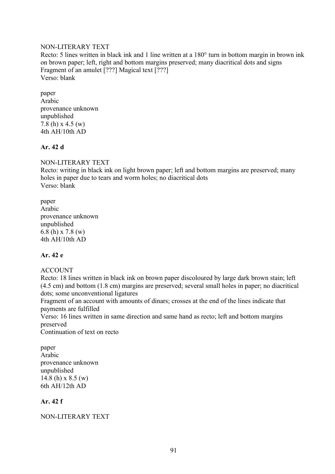### NON-LITERARY TEXT

Recto: 5 lines written in black ink and 1 line written at a 180° turn in bottom margin in brown ink on brown paper; left, right and bottom margins preserved; many diacritical dots and signs Fragment of an amulet [???] Magical text [???] Verso: blank

paper Arabic provenance unknown unpublished 7.8 (h) x 4.5 (w) 4th AH/10th AD

## **Ar. 42 d**

## NON-LITERARY TEXT

Recto: writing in black ink on light brown paper; left and bottom margins are preserved; many holes in paper due to tears and worm holes; no diacritical dots Verso: blank

paper Arabic provenance unknown unpublished 6.8 (h) x 7.8 (w) 4th AH/10th AD

## **Ar. 42 e**

## ACCOUNT

Recto: 18 lines written in black ink on brown paper discoloured by large dark brown stain; left (4.5 cm) and bottom (1.8 cm) margins are preserved; several small holes in paper; no diacritical dots; some unconventional ligatures

Fragment of an account with amounts of dinars; crosses at the end of the lines indicate that payments are fulfilled

Verso: 16 lines written in same direction and same hand as recto; left and bottom margins preserved

Continuation of text on recto

paper Arabic provenance unknown unpublished 14.8 (h) x 8.5 (w) 6th AH/12th AD

### **Ar. 42 f**

### NON-LITERARY TEXT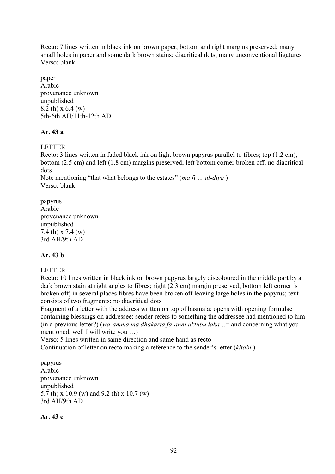Recto: 7 lines written in black ink on brown paper; bottom and right margins preserved; many small holes in paper and some dark brown stains; diacritical dots; many unconventional ligatures Verso: blank

paper Arabic provenance unknown unpublished 8.2 (h) x 6.4 (w) 5th-6th AH/11th-12th AD

# **Ar. 43 a**

LETTER

Recto: 3 lines written in faded black ink on light brown papyrus parallel to fibres; top (1.2 cm), bottom (2.5 cm) and left (1.8 cm) margins preserved; left bottom corner broken off; no diacritical dots

Note mentioning "that what belongs to the estates" (*ma fi … al-diya* ) Verso: blank

papyrus Arabic provenance unknown unpublished 7.4 (h) x 7.4 (w) 3rd AH/9th AD

# **Ar. 43 b**

## LETTER

Recto: 10 lines written in black ink on brown papyrus largely discoloured in the middle part by a dark brown stain at right angles to fibres; right (2.3 cm) margin preserved; bottom left corner is broken off; in several places fibres have been broken off leaving large holes in the papyrus; text consists of two fragments; no diacritical dots

Fragment of a letter with the address written on top of basmala; opens with opening formulae containing blessings on addressee; sender refers to something the addressee had mentioned to him (in a previous letter?) (*wa-amma ma dhakarta fa-anni aktubu laka…*= and concerning what you mentioned, well I will write you …)

Verso: 5 lines written in same direction and same hand as recto

Continuation of letter on recto making a reference to the sender's letter (*kitabi* )

papyrus Arabic provenance unknown unpublished 5.7 (h) x 10.9 (w) and 9.2 (h) x 10.7 (w) 3rd AH/9th AD

**Ar. 43 c**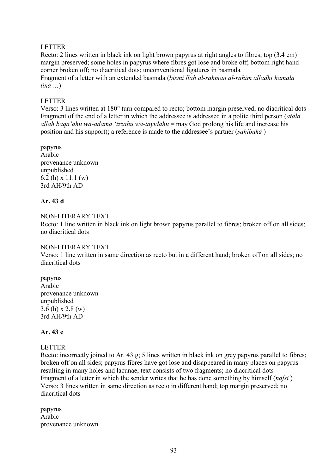### LETTER

Recto: 2 lines written in black ink on light brown papyrus at right angles to fibres; top (3.4 cm) margin preserved; some holes in papyrus where fibres got lose and broke off; bottom right hand corner broken off; no diacritical dots; unconventional ligatures in basmala Fragment of a letter with an extended basmala (*bismi llah al-rahman al-rahim alladhi hamala lina …*)

### LETTER

Verso: 3 lines written at 180° turn compared to recto; bottom margin preserved; no diacritical dots Fragment of the end of a letter in which the addressee is addressed in a polite third person (*atala allah baqa'ahu wa-adama 'izzahu wa-tayidahu* = may God prolong his life and increase his position and his support); a reference is made to the addressee's partner (*sahibuka* )

papyrus Arabic provenance unknown unpublished 6.2 (h) x 11.1 (w) 3rd AH/9th AD

## **Ar. 43 d**

### NON-LITERARY TEXT

Recto: 1 line written in black ink on light brown papyrus parallel to fibres; broken off on all sides; no diacritical dots

### NON-LITERARY TEXT

Verso: 1 line written in same direction as recto but in a different hand; broken off on all sides; no diacritical dots

papyrus Arabic provenance unknown unpublished 3.6 (h) x 2.8 (w) 3rd AH/9th AD

## **Ar. 43 e**

### LETTER

Recto: incorrectly joined to Ar. 43 g; 5 lines written in black ink on grey papyrus parallel to fibres; broken off on all sides; papyrus fibres have got lose and disappeared in many places on papyrus resulting in many holes and lacunae; text consists of two fragments; no diacritical dots Fragment of a letter in which the sender writes that he has done something by himself (*nafsi* ) Verso: 3 lines written in same direction as recto in different hand; top margin preserved; no diacritical dots

papyrus Arabic provenance unknown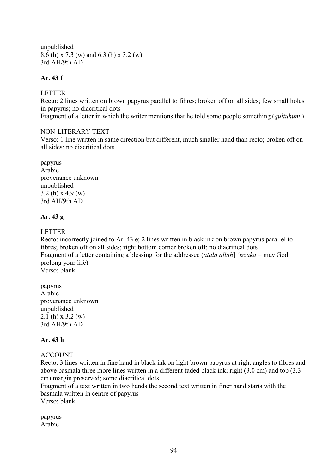unpublished 8.6 (h) x 7.3 (w) and 6.3 (h) x 3.2 (w) 3rd AH/9th AD

# **Ar. 43 f**

### LETTER

Recto: 2 lines written on brown papyrus parallel to fibres; broken off on all sides; few small holes in papyrus; no diacritical dots

Fragment of a letter in which the writer mentions that he told some people something (*qultuhum* )

### NON-LITERARY TEXT

Verso: 1 line written in same direction but different, much smaller hand than recto; broken off on all sides; no diacritical dots

papyrus Arabic provenance unknown unpublished 3.2 (h) x 4.9 (w) 3rd AH/9th AD

## **Ar. 43 g**

## LETTER

Recto: incorrectly joined to Ar. 43 e; 2 lines written in black ink on brown papyrus parallel to fibres; broken off on all sides; right bottom corner broken off; no diacritical dots Fragment of a letter containing a blessing for the addressee (*atala allah*] *'izzaka* = may God prolong your life) Verso: blank

papyrus Arabic provenance unknown unpublished 2.1 (h) x 3.2 (w) 3rd AH/9th AD

## **Ar. 43 h**

## ACCOUNT

Recto: 3 lines written in fine hand in black ink on light brown papyrus at right angles to fibres and above basmala three more lines written in a different faded black ink; right (3.0 cm) and top (3.3 cm) margin preserved; some diacritical dots

Fragment of a text written in two hands the second text written in finer hand starts with the basmala written in centre of papyrus Verso: blank

papyrus Arabic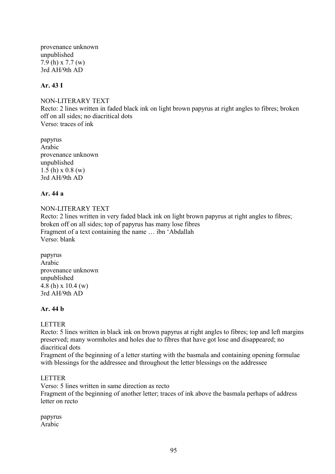provenance unknown unpublished 7.9 (h) x 7.7 (w) 3rd AH/9th AD

### **Ar. 43 I**

NON-LITERARY TEXT Recto: 2 lines written in faded black ink on light brown papyrus at right angles to fibres; broken off on all sides; no diacritical dots Verso: traces of ink

papyrus Arabic provenance unknown unpublished 1.5 (h) x 0.8 (w) 3rd AH/9th AD

### **Ar. 44 a**

NON-LITERARY TEXT Recto: 2 lines written in very faded black ink on light brown papyrus at right angles to fibres; broken off on all sides; top of papyrus has many lose fibres Fragment of a text containing the name … ibn 'Abdallah Verso: blank

papyrus Arabic provenance unknown unpublished 4.8 (h) x 10.4 (w) 3rd AH/9th AD

### **Ar. 44 b**

### **LETTER**

Recto: 5 lines written in black ink on brown papyrus at right angles to fibres; top and left margins preserved; many wormholes and holes due to fibres that have got lose and disappeared; no diacritical dots

Fragment of the beginning of a letter starting with the basmala and containing opening formulae with blessings for the addressee and throughout the letter blessings on the addressee

### LETTER

Verso: 5 lines written in same direction as recto

Fragment of the beginning of another letter; traces of ink above the basmala perhaps of address letter on recto

papyrus Arabic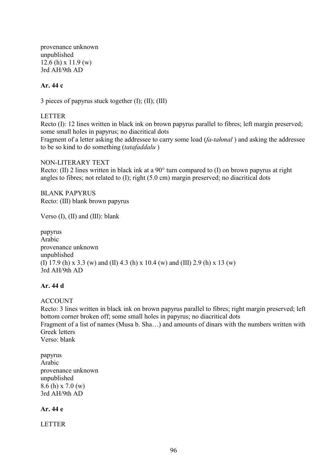provenance unknown unpublished 12.6 (h) x 11.9 (w) 3rd AH/9th AD

### **Ar. 44 c**

3 pieces of papyrus stuck together (I); (II); (III)

### LETTER

Recto (I): 12 lines written in black ink on brown papyrus parallel to fibres; left margin preserved; some small holes in papyrus; no diacritical dots Fragment of a letter asking the addressee to carry some load (*fa-tahmal* ) and asking the addressee

to be so kind to do something (*tatafaddalu* )

NON-LITERARY TEXT Recto: (II) 2 lines written in black ink at a 90° turn compared to (I) on brown papyrus at right angles to fibres; not related to (I); right (5.0 cm) margin preserved; no diacritical dots

BLANK PAPYRUS Recto: (III) blank brown papyrus

Verso (I), (II) and (III): blank

papyrus Arabic provenance unknown unpublished (I) 17.9 (h) x 3.3 (w) and (II) 4.3 (h) x 10.4 (w) and (III) 2.9 (h) x 13 (w) 3rd AH/9th AD

## **Ar. 44 d**

ACCOUNT

Recto: 3 lines written in black ink on brown papyrus parallel to fibres; right margin preserved; left bottom corner broken off; some small holes in papyrus; no diacritical dots Fragment of a list of names (Musa b. Sha…) and amounts of dinars with the numbers written with Greek letters Verso: blank

papyrus Arabic provenance unknown unpublished 8.6 (h) x 7.0 (w) 3rd AH/9th AD

### **Ar. 44 e**

LETTER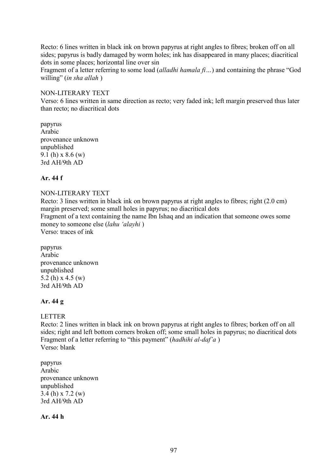Recto: 6 lines written in black ink on brown papyrus at right angles to fibres; broken off on all sides; papyrus is badly damaged by worm holes; ink has disappeared in many places; diacritical dots in some places; horizontal line over sin

Fragment of a letter referring to some load (*alladhi hamala fi…*) and containing the phrase "God willing" (*in sha allah* )

#### NON-LITERARY TEXT

Verso: 6 lines written in same direction as recto; very faded ink; left margin preserved thus later than recto; no diacritical dots

papyrus Arabic provenance unknown unpublished 9.1 (h) x 8.6 (w) 3rd AH/9th AD

### **Ar. 44 f**

### NON-LITERARY TEXT

Recto: 3 lines written in black ink on brown papyrus at right angles to fibres; right (2.0 cm) margin preserved; some small holes in papyrus; no diacritical dots Fragment of a text containing the name Ibn Ishaq and an indication that someone owes some money to someone else (*lahu 'alayhi* ) Verso: traces of ink

papyrus Arabic provenance unknown unpublished 5.2 (h) x 4.5 (w) 3rd AH/9th AD

### **Ar. 44 g**

### LETTER

Recto: 2 lines written in black ink on brown papyrus at right angles to fibres; borken off on all sides; right and left bottom corners broken off; some small holes in papyrus; no diacritical dots Fragment of a letter referring to "this payment" (*hadhihi al-daf'a* ) Verso: blank

papyrus Arabic provenance unknown unpublished 3.4 (h) x 7.2 (w) 3rd AH/9th AD

**Ar. 44 h**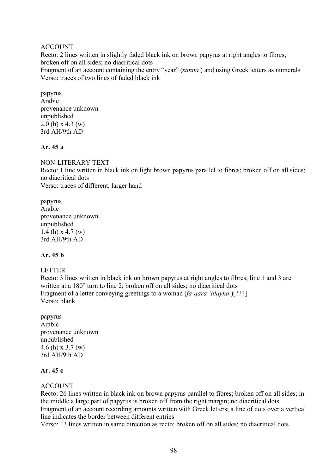### ACCOUNT

Recto: 2 lines written in slightly faded black ink on brown papyrus at right angles to fibres; broken off on all sides; no diacritical dots Fragment of an account containing the entry "year" (*sanna* ) and using Greek letters as numerals Verso: traces of two lines of faded black ink

papyrus Arabic provenance unknown unpublished  $2.0$  (h) x 4.3 (w) 3rd AH/9th AD

### **Ar. 45 a**

NON-LITERARY TEXT

Recto: 1 line written in black ink on light brown papyrus parallel to fibres; broken off on all sides; no diacritical dots Verso: traces of different, larger hand

papyrus Arabic provenance unknown unpublished 1.4 (h) x 4.7 (w) 3rd AH/9th AD

## **Ar. 45 b**

### LETTER

Recto: 3 lines written in black ink on brown papyrus at right angles to fibres; line 1 and 3 are written at a 180 $^{\circ}$  turn to line 2; broken off on all sides; no diacritical dots Fragment of a letter conveying greetings to a woman (*fa-qara 'alayha* )[???] Verso: blank

papyrus Arabic provenance unknown unpublished 4.6 (h) x 3.7 (w) 3rd AH/9th AD

### **Ar. 45 c**

### **ACCOUNT**

Recto: 26 lines written in black ink on brown papyrus parallel to fibres; broken off on all sides; in the middle a large part of papyrus is broken off from the right margin; no diacritical dots Fragment of an account recording amounts written with Greek letters; a line of dots over a vertical line indicates the border between different entries

Verso: 13 lines written in same direction as recto; broken off on all sides; no diacritical dots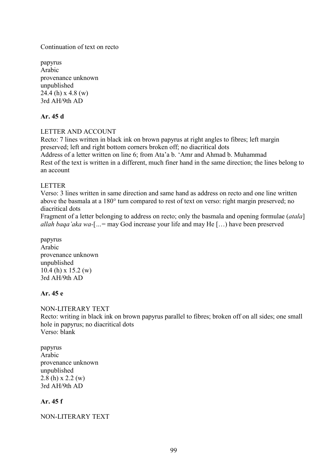### Continuation of text on recto

papyrus Arabic provenance unknown unpublished 24.4 (h) x 4.8 (w) 3rd AH/9th AD

### **Ar. 45 d**

### LETTER AND ACCOUNT

Recto: 7 lines written in black ink on brown papyrus at right angles to fibres; left margin preserved; left and right bottom corners broken off; no diacritical dots Address of a letter written on line 6; from Ata'a b. 'Amr and Ahmad b. Muhammad Rest of the text is written in a different, much finer hand in the same direction; the lines belong to an account

### LETTER

Verso: 3 lines written in same direction and same hand as address on recto and one line written above the basmala at a 180° turn compared to rest of text on verso: right margin preserved; no diacritical dots

Fragment of a letter belonging to address on recto; only the basmala and opening formulae (*atala*] *allah baqa'aka wa-*[*…*= may God increase your life and may He […) have been preserved

papyrus Arabic provenance unknown unpublished 10.4 (h) x 15.2 (w) 3rd AH/9th AD

# **Ar. 45 e**

NON-LITERARY TEXT Recto: writing in black ink on brown papyrus parallel to fibres; broken off on all sides; one small hole in papyrus; no diacritical dots Verso: blank

| papyrus               |
|-----------------------|
| Arabic                |
| provenance unknown    |
| unpublished           |
| $2.8$ (h) x $2.2$ (w) |
| 3rd AH/9th AD         |

## **Ar. 45 f**

### NON-LITERARY TEXT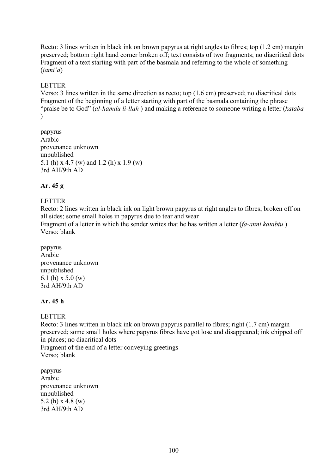Recto: 3 lines written in black ink on brown papyrus at right angles to fibres; top (1.2 cm) margin preserved; bottom right hand corner broken off; text consists of two fragments; no diacritical dots Fragment of a text starting with part of the basmala and referring to the whole of something (*jami'a*)

## LETTER

Verso: 3 lines written in the same direction as recto; top (1.6 cm) preserved; no diacritical dots Fragment of the beginning of a letter starting with part of the basmala containing the phrase "praise be to God" (*al-hamdu li-llah* ) and making a reference to someone writing a letter (*kataba*   $\mathcal{L}$ 

papyrus Arabic provenance unknown unpublished 5.1 (h) x 4.7 (w) and 1.2 (h) x 1.9 (w) 3rd AH/9th AD

### **Ar. 45 g**

### LETTER

Recto: 2 lines written in black ink on light brown papyrus at right angles to fibres; broken off on all sides; some small holes in papyrus due to tear and wear Fragment of a letter in which the sender writes that he has written a letter (*fa-anni katabtu* ) Verso: blank

papyrus Arabic provenance unknown unpublished 6.1 (h) x 5.0 (w) 3rd AH/9th AD

### **Ar. 45 h**

### LETTER

Recto: 3 lines written in black ink on brown papyrus parallel to fibres; right (1.7 cm) margin preserved; some small holes where papyrus fibres have got lose and disappeared; ink chipped off in places; no diacritical dots Fragment of the end of a letter conveying greetings Verso; blank

papyrus Arabic provenance unknown unpublished 5.2 (h)  $x$  4.8 (w) 3rd AH/9th AD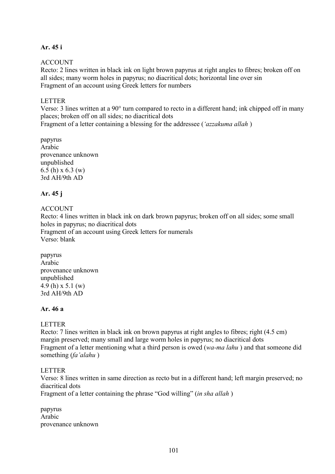## **Ar. 45 i**

## ACCOUNT

Recto: 2 lines written in black ink on light brown papyrus at right angles to fibres; broken off on all sides; many worm holes in papyrus; no diacritical dots; horizontal line over sin Fragment of an account using Greek letters for numbers

### LETTER

Verso: 3 lines written at a 90° turn compared to recto in a different hand; ink chipped off in many places; broken off on all sides; no diacritical dots

Fragment of a letter containing a blessing for the addressee (*'azzakuma allah* )

papyrus Arabic provenance unknown unpublished 6.5 (h) x 6.3 (w) 3rd AH/9th AD

## **Ar. 45 j**

## ACCOUNT

Recto: 4 lines written in black ink on dark brown papyrus; broken off on all sides; some small holes in papyrus; no diacritical dots Fragment of an account using Greek letters for numerals Verso: blank

papyrus Arabic provenance unknown unpublished 4.9 (h) x 5.1 (w) 3rd AH/9th AD

## **Ar. 46 a**

## **LETTER**

Recto: 7 lines written in black ink on brown papyrus at right angles to fibres; right (4.5 cm) margin preserved; many small and large worm holes in papyrus; no diacritical dots Fragment of a letter mentioning what a third person is owed (*wa-ma lahu* ) and that someone did something (*fa'alahu* )

### LETTER

Verso: 8 lines written in same direction as recto but in a different hand; left margin preserved; no diacritical dots

Fragment of a letter containing the phrase "God willing" (*in sha allah* )

papyrus Arabic provenance unknown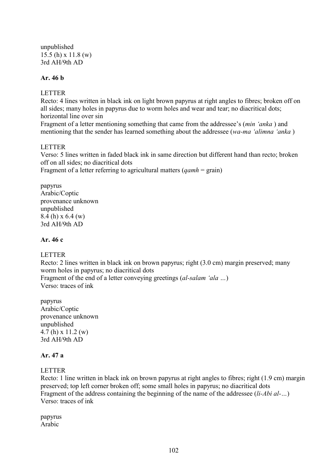unpublished 15.5 (h) x 11.8 (w) 3rd AH/9th AD

# **Ar. 46 b**

### LETTER

Recto: 4 lines written in black ink on light brown papyrus at right angles to fibres; broken off on all sides; many holes in papyrus due to worm holes and wear and tear; no diacritical dots; horizontal line over sin

Fragment of a letter mentioning something that came from the addressee's (*min 'anka* ) and mentioning that the sender has learned something about the addressee (*wa-ma 'alimna 'anka* )

### LETTER

Verso: 5 lines written in faded black ink in same direction but different hand than recto; broken off on all sides; no diacritical dots

Fragment of a letter referring to agricultural matters (*qamh* = grain)

papyrus Arabic/Coptic provenance unknown unpublished 8.4 (h) x 6.4 (w) 3rd AH/9th AD

### **Ar. 46 c**

## LETTER

Recto: 2 lines written in black ink on brown papyrus; right (3.0 cm) margin preserved; many worm holes in papyrus; no diacritical dots Fragment of the end of a letter conveying greetings (*al-salam 'ala …*)

Verso: traces of ink

papyrus Arabic/Coptic provenance unknown unpublished 4.7 (h) x 11.2 (w) 3rd AH/9th AD

### **Ar. 47 a**

## LETTER

Recto: 1 line written in black ink on brown papyrus at right angles to fibres; right (1.9 cm) margin preserved; top left corner broken off; some small holes in papyrus; no diacritical dots Fragment of the address containing the beginning of the name of the addressee (*li-Abi al-…*) Verso: traces of ink

papyrus Arabic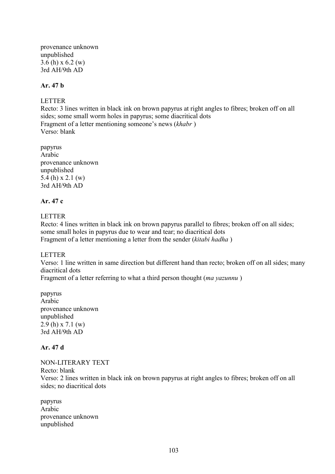provenance unknown unpublished 3.6 (h) x 6.2 (w) 3rd AH/9th AD

### **Ar. 47 b**

### LETTER

Recto: 3 lines written in black ink on brown papyrus at right angles to fibres; broken off on all sides; some small worm holes in papyrus; some diacritical dots Fragment of a letter mentioning someone's news (*khabr* ) Verso: blank

papyrus Arabic provenance unknown unpublished 5.4 (h) x 2.1 (w) 3rd AH/9th AD

## **Ar. 47 c**

LETTER

Recto: 4 lines written in black ink on brown papyrus parallel to fibres; broken off on all sides; some small holes in papyrus due to wear and tear; no diacritical dots Fragment of a letter mentioning a letter from the sender (*kitabi hadha* )

### LETTER

Verso: 1 line written in same direction but different hand than recto; broken off on all sides; many diacritical dots

Fragment of a letter referring to what a third person thought (*ma yazunnu* )

papyrus Arabic provenance unknown unpublished 2.9 (h) x 7.1 (w) 3rd AH/9th AD

## **Ar. 47 d**

NON-LITERARY TEXT Recto: blank Verso: 2 lines written in black ink on brown papyrus at right angles to fibres; broken off on all sides; no diacritical dots

papyrus Arabic provenance unknown unpublished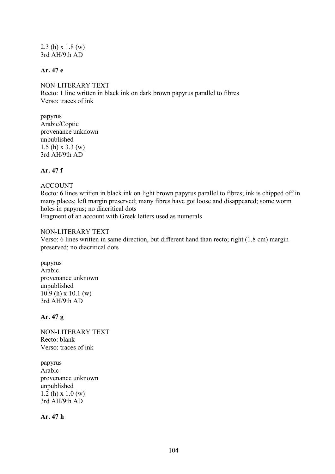2.3 (h) x 1.8 (w) 3rd AH/9th AD

## **Ar. 47 e**

NON-LITERARY TEXT Recto: 1 line written in black ink on dark brown papyrus parallel to fibres Verso: traces of ink

papyrus Arabic/Coptic provenance unknown unpublished 1.5 (h) x 3.3 (w) 3rd AH/9th AD

# **Ar. 47 f**

#### ACCOUNT

Recto: 6 lines written in black ink on light brown papyrus parallel to fibres; ink is chipped off in many places; left margin preserved; many fibres have got loose and disappeared; some worm holes in papyrus; no diacritical dots Fragment of an account with Greek letters used as numerals

#### NON-LITERARY TEXT

Verso: 6 lines written in same direction, but different hand than recto; right (1.8 cm) margin preserved; no diacritical dots

papyrus Arabic provenance unknown unpublished 10.9 (h) x 10.1 (w) 3rd AH/9th AD

### **Ar. 47 g**

NON-LITERARY TEXT Recto: blank Verso: traces of ink

papyrus Arabic provenance unknown unpublished 1.2 (h) x 1.0 (w) 3rd AH/9th AD

**Ar. 47 h**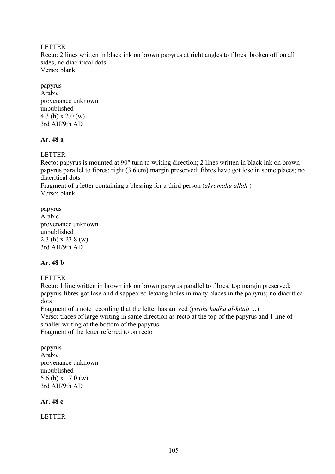LETTER

Recto: 2 lines written in black ink on brown papyrus at right angles to fibres; broken off on all sides; no diacritical dots Verso: blank

papyrus Arabic provenance unknown unpublished 4.3 (h) x 2.0 (w) 3rd AH/9th AD

## **Ar. 48 a**

LETTER

Recto: papyrus is mounted at 90° turn to writing direction; 2 lines written in black ink on brown papyrus parallel to fibres; right (3.6 cm) margin preserved; fibres have got lose in some places; no diacritical dots

Fragment of a letter containing a blessing for a third person (*akramahu allah* ) Verso: blank

papyrus Arabic provenance unknown unpublished 2.3 (h) x 23.8 (w) 3rd AH/9th AD

## **Ar. 48 b**

### LETTER

Recto: 1 line written in brown ink on brown papyrus parallel to fibres; top margin preserved; papyrus fibres got lose and disappeared leaving holes in many places in the papyrus; no diacritical dots

Fragment of a note recording that the letter has arrived (*yusilu hadha al-kitab …*) Verso: traces of large writing in same direction as recto at the top of the papyrus and 1 line of smaller writing at the bottom of the papyrus Fragment of the letter referred to on recto

papyrus Arabic provenance unknown unpublished 5.6 (h) x 17.0 (w) 3rd AH/9th AD

**Ar. 48 c**

LETTER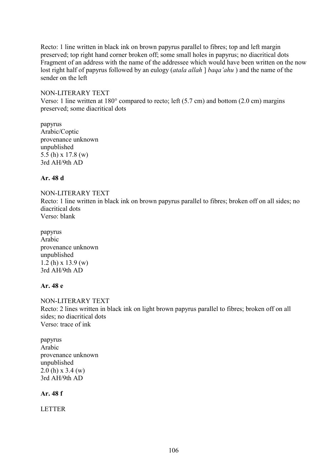Recto: 1 line written in black ink on brown papyrus parallel to fibres; top and left margin preserved; top right hand corner broken off; some small holes in papyrus; no diacritical dots Fragment of an address with the name of the addressee which would have been written on the now lost right half of papyrus followed by an eulogy (*atala allah* ] *baqa'ahu* ) and the name of the sender on the left

### NON-LITERARY TEXT

Verso: 1 line written at 180° compared to recto; left (5.7 cm) and bottom (2.0 cm) margins preserved; some diacritical dots

papyrus Arabic/Coptic provenance unknown unpublished 5.5 (h) x 17.8 (w) 3rd AH/9th AD

## **Ar. 48 d**

### NON-LITERARY TEXT

Recto: 1 line written in black ink on brown papyrus parallel to fibres; broken off on all sides; no diacritical dots Verso: blank

papyrus Arabic provenance unknown unpublished 1.2 (h) x 13.9 (w) 3rd AH/9th AD

## **Ar. 48 e**

NON-LITERARY TEXT Recto: 2 lines written in black ink on light brown papyrus parallel to fibres; broken off on all sides; no diacritical dots Verso: trace of ink

papyrus Arabic provenance unknown unpublished 2.0 (h) x 3.4 (w) 3rd AH/9th AD

## **Ar. 48 f**

LETTER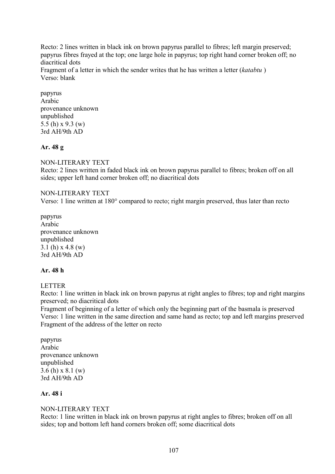Recto: 2 lines written in black ink on brown papyrus parallel to fibres; left margin preserved; papyrus fibres frayed at the top; one large hole in papyrus; top right hand corner broken off; no diacritical dots Fragment of a letter in which the sender writes that he has written a letter (*katabtu* ) Verso: blank

papyrus Arabic provenance unknown unpublished 5.5 (h) x 9.3 (w) 3rd AH/9th AD

## **Ar. 48 g**

## NON-LITERARY TEXT

Recto: 2 lines written in faded black ink on brown papyrus parallel to fibres; broken off on all sides; upper left hand corner broken off; no diacritical dots

### NON-LITERARY TEXT

Verso: 1 line written at 180° compared to recto; right margin preserved, thus later than recto

papyrus Arabic provenance unknown unpublished 3.1 (h) x 4.8 (w) 3rd AH/9th AD

### **Ar. 48 h**

### LETTER

Recto: 1 line written in black ink on brown papyrus at right angles to fibres; top and right margins preserved; no diacritical dots

Fragment of beginning of a letter of which only the beginning part of the basmala is preserved Verso: 1 line written in the same direction and same hand as recto; top and left margins preserved Fragment of the address of the letter on recto

papyrus Arabic provenance unknown unpublished 3.6 (h) x 8.1 (w) 3rd AH/9th AD

### **Ar. 48 i**

### NON-LITERARY TEXT

Recto: 1 line written in black ink on brown papyrus at right angles to fibres; broken off on all sides; top and bottom left hand corners broken off; some diacritical dots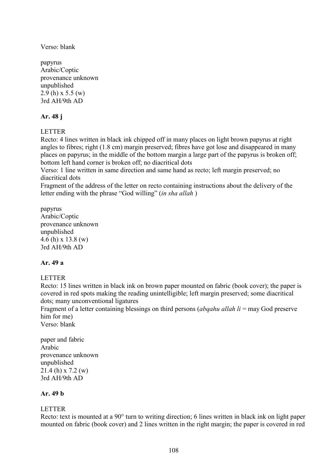Verso: blank

papyrus Arabic/Coptic provenance unknown unpublished 2.9 (h) x 5.5 (w) 3rd AH/9th AD

## **Ar. 48 j**

**LETTER** 

Recto: 4 lines written in black ink chipped off in many places on light brown papyrus at right angles to fibres; right (1.8 cm) margin preserved; fibres have got lose and disappeared in many places on papyrus; in the middle of the bottom margin a large part of the papyrus is broken off; bottom left hand corner is broken off; no diacritical dots

Verso: 1 line written in same direction and same hand as recto; left margin preserved; no diacritical dots

Fragment of the address of the letter on recto containing instructions about the delivery of the letter ending with the phrase "God willing" (*in sha allah* )

papyrus Arabic/Coptic provenance unknown unpublished 4.6 (h) x 13.8 (w) 3rd AH/9th AD

## **Ar. 49 a**

## LETTER

Recto: 15 lines written in black ink on brown paper mounted on fabric (book cover); the paper is covered in red spots making the reading unintelligible; left margin preserved; some diacritical dots; many unconventional ligatures

Fragment of a letter containing blessings on third persons (*abqahu allah li* = may God preserve him for me)

Verso: blank

paper and fabric Arabic provenance unknown unpublished 21.4 (h) x 7.2 (w) 3rd AH/9th AD

# **Ar. 49 b**

## LETTER

Recto: text is mounted at a 90° turn to writing direction; 6 lines written in black ink on light paper mounted on fabric (book cover) and 2 lines written in the right margin; the paper is covered in red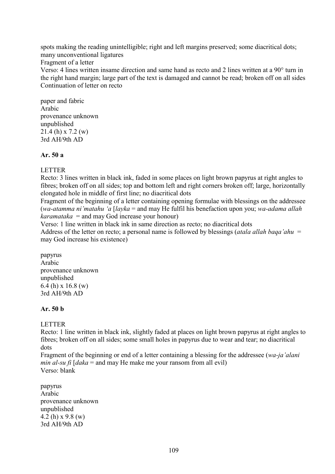spots making the reading unintelligible; right and left margins preserved; some diacritical dots; many unconventional ligatures Fragment of a letter Verso: 4 lines written insame direction and same hand as recto and 2 lines written at a 90° turn in the right hand margin; large part of the text is damaged and cannot be read; broken off on all sides

Continuation of letter on recto

paper and fabric Arabic provenance unknown unpublished 21.4 (h) x 7.2 (w) 3rd AH/9th AD

#### **Ar. 50 a**

#### LETTER

Recto: 3 lines written in black ink, faded in some places on light brown papyrus at right angles to fibres; broken off on all sides; top and bottom left and right corners broken off; large, horizontally elongated hole in middle of first line; no diacritical dots

Fragment of the beginning of a letter containing opening formulae with blessings on the addressee (*wa-atamma ni'matahu 'a* [*layka* = and may He fulfil his benefaction upon you; *wa-adama allah karamataka* = and may God increase your honour)

Verso: 1 line written in black ink in same direction as recto; no diacritical dots Address of the letter on recto; a personal name is followed by blessings (*atala allah baqa'ahu* = may God increase his existence)

papyrus Arabic provenance unknown unpublished 6.4 (h) x 16.8 (w) 3rd AH/9th AD

## **Ar. 50 b**

#### **LETTER**

Recto: 1 line written in black ink, slightly faded at places on light brown papyrus at right angles to fibres; broken off on all sides; some small holes in papyrus due to wear and tear; no diacritical dots

Fragment of the beginning or end of a letter containing a blessing for the addressee (*wa-ja'alani min al-su fi*  $\lceil daka \rceil$  and may He make me your ransom from all evil) Verso: blank

papyrus Arabic provenance unknown unpublished 4.2 (h) x 9.8 (w) 3rd AH/9th AD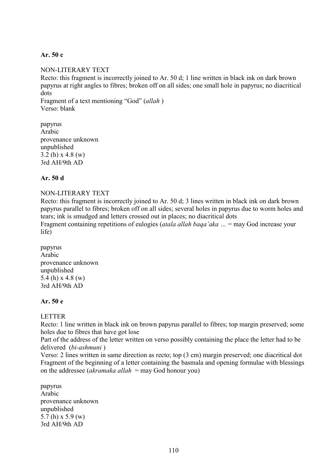### **Ar. 50 c**

#### NON-LITERARY TEXT

Recto: this fragment is incorrectly joined to Ar. 50 d; 1 line written in black ink on dark brown papyrus at right angles to fibres; broken off on all sides; one small hole in papyrus; no diacritical dots Fragment of a text mentioning "God" (*allah* )

Verso: blank

papyrus Arabic provenance unknown unpublished 3.2 (h) x 4.8 (w) 3rd AH/9th AD

### **Ar. 50 d**

life)

### NON-LITERARY TEXT

Recto: this fragment is incorrectly joined to Ar. 50 d; 3 lines written in black ink on dark brown papyrus parallel to fibres; broken off on all sides; several holes in papyrus due to worm holes and tears; ink is smudged and letters crossed out in places; no diacritical dots Fragment containing repetitions of eulogies (*atala allah baqa'aka …* = may God increase your

papyrus Arabic provenance unknown unpublished 5.4 (h) x 4.8 (w) 3rd AH/9th AD

#### **Ar. 50 e**

#### LETTER

Recto: 1 line written in black ink on brown papyrus parallel to fibres; top margin preserved; some holes due to fibres that have got lose

Part of the address of the letter written on verso possibly containing the place the letter had to be delivered (*bi-ashmuni* )

Verso: 2 lines written in same direction as recto; top (3 cm) margin preserved; one diacritical dot Fragment of the beginning of a letter containing the basmala and opening formulae with blessings on the addressee (*akramaka allah* = may God honour you)

papyrus Arabic provenance unknown unpublished 5.7 (h) x 5.9 (w) 3rd AH/9th AD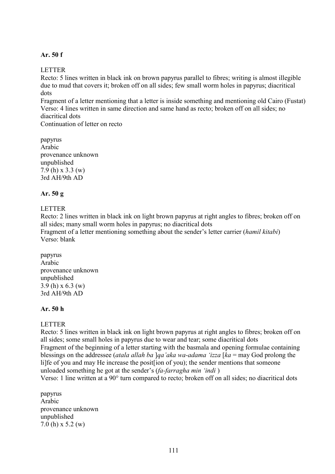#### **Ar. 50 f**

### **LETTER**

Recto: 5 lines written in black ink on brown papyrus parallel to fibres; writing is almost illegible due to mud that covers it; broken off on all sides; few small worm holes in papyrus; diacritical dots

Fragment of a letter mentioning that a letter is inside something and mentioning old Cairo (Fustat) Verso: 4 lines written in same direction and same hand as recto; broken off on all sides; no diacritical dots

Continuation of letter on recto

papyrus Arabic provenance unknown unpublished 7.9 (h) x 3.3 (w) 3rd AH/9th AD

### **Ar. 50 g**

### LETTER

Recto: 2 lines written in black ink on light brown papyrus at right angles to fibres; broken off on all sides; many small worm holes in papyrus; no diacritical dots

Fragment of a letter mentioning something about the sender's letter carrier (*hamil kitabi*) Verso: blank

papyrus Arabic provenance unknown unpublished 3.9 (h) x 6.3 (w) 3rd AH/9th AD

## **Ar. 50 h**

## **LETTER**

Recto: 5 lines written in black ink on light brown papyrus at right angles to fibres; broken off on all sides; some small holes in papyrus due to wear and tear; some diacritical dots Fragment of the beginning of a letter starting with the basmala and opening formulae containing blessings on the addressee (*atala allah ba* ]*qa'aka wa-adama 'izza* [*ka* = may God prolong the li]fe of you and may He increase the posit[ion of you); the sender mentions that someone unloaded something he got at the sender's (*fa-farragha min 'indi* )

Verso: 1 line written at a 90° turn compared to recto; broken off on all sides; no diacritical dots

papyrus Arabic provenance unknown unpublished 7.0 (h) x 5.2 (w)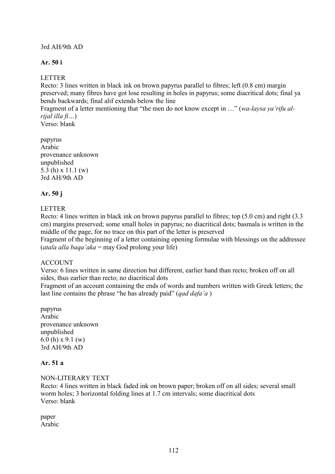## 3rd AH/9th AD

# **Ar. 50 i**

# LETTER

Recto: 3 lines written in black ink on brown papyrus parallel to fibres; left (0.8 cm) margin preserved; many fibres have got lose resulting in holes in papyrus; some diacritical dots; final ya bends backwards; final alif extends below the line

Fragment of a letter mentioning that "the men do not know except in …" (*wa-laysa ya'rifu alrijal illa fi…*)

Verso: blank

papyrus Arabic provenance unknown unpublished 5.3 (h) x 11.1 (w) 3rd AH/9th AD

# **Ar. 50 j**

# LETTER

Recto: 4 lines written in black ink on brown papyrus parallel to fibres; top (5.0 cm) and right (3.3 cm) margins preserved; some small holes in papyrus; no diacritical dots; basmala is written in the middle of the page, for no trace on this part of the letter is preserved

Fragment of the beginning of a letter containing opening formulae with blessings on the addressee (*atala alla baqa'aka* = may God prolong your life)

## ACCOUNT

Verso: 6 lines written in same direction but different, earlier hand than recto; broken off on all sides, thus earlier than recto; no diacritical dots

Fragment of an account containing the ends of words and numbers written with Greek letters; the last line contains the phrase "he has already paid" (*qad dafa'a* )

papyrus Arabic provenance unknown unpublished 6.0 (h) x 9.1 (w) 3rd AH/9th AD

## **Ar. 51 a**

#### NON-LITERARY TEXT

Recto: 4 lines written in black faded ink on brown paper; broken off on all sides; several small worm holes; 3 horizontal folding lines at 1.7 cm intervals; some diacritical dots Verso: blank

paper Arabic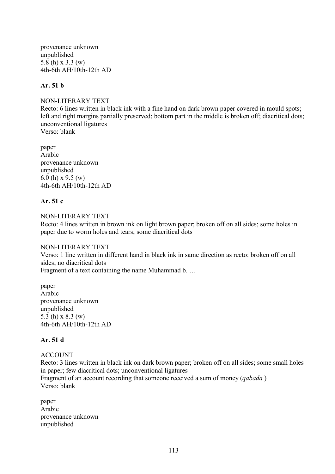provenance unknown unpublished 5.8 (h) x 3.3 (w) 4th-6th AH/10th-12th AD

### **Ar. 51 b**

NON-LITERARY TEXT Recto: 6 lines written in black ink with a fine hand on dark brown paper covered in mould spots; left and right margins partially preserved; bottom part in the middle is broken off; diacritical dots; unconventional ligatures Verso: blank

paper Arabic provenance unknown unpublished 6.0 (h) x 9.5 (w) 4th-6th AH/10th-12th AD

## **Ar. 51 c**

NON-LITERARY TEXT Recto: 4 lines written in brown ink on light brown paper; broken off on all sides; some holes in paper due to worm holes and tears; some diacritical dots

NON-LITERARY TEXT Verso: 1 line written in different hand in black ink in same direction as recto: broken off on all sides; no diacritical dots Fragment of a text containing the name Muhammad b. …

paper Arabic provenance unknown unpublished 5.3 (h) x 8.3 (w) 4th-6th AH/10th-12th AD

## **Ar. 51 d**

## ACCOUNT

Recto: 3 lines written in black ink on dark brown paper; broken off on all sides; some small holes in paper; few diacritical dots; unconventional ligatures Fragment of an account recording that someone received a sum of money (*qabada* ) Verso: blank

paper Arabic provenance unknown unpublished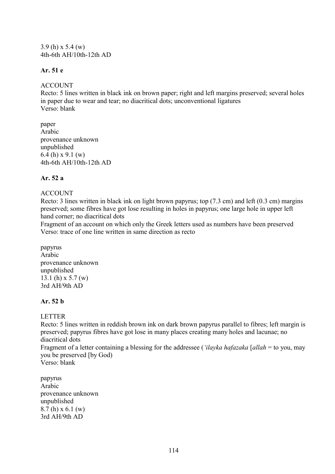3.9 (h) x 5.4 (w) 4th-6th AH/10th-12th AD

## **Ar. 51 e**

### **ACCOUNT**

Recto: 5 lines written in black ink on brown paper; right and left margins preserved; several holes in paper due to wear and tear; no diacritical dots; unconventional ligatures Verso: blank

paper Arabic provenance unknown unpublished 6.4 (h) x 9.1 (w) 4th-6th AH/10th-12th AD

## **Ar. 52 a**

## ACCOUNT

Recto: 3 lines written in black ink on light brown papyrus; top (7.3 cm) and left (0.3 cm) margins preserved; some fibres have got lose resulting in holes in papyrus; one large hole in upper left hand corner; no diacritical dots

Fragment of an account on which only the Greek letters used as numbers have been preserved Verso: trace of one line written in same direction as recto

papyrus Arabic provenance unknown unpublished 13.1 (h) x 5.7 (w) 3rd AH/9th AD

## **Ar. 52 b**

## LETTER

Recto: 5 lines written in reddish brown ink on dark brown papyrus parallel to fibres; left margin is preserved; papyrus fibres have got lose in many places creating many holes and lacunae; no diacritical dots

Fragment of a letter containing a blessing for the addressee (*'ilayka hafazaka* [*allah* = to you, may you be preserved [by God)

Verso: blank

papyrus Arabic provenance unknown unpublished 8.7 (h) x 6.1 (w) 3rd AH/9th AD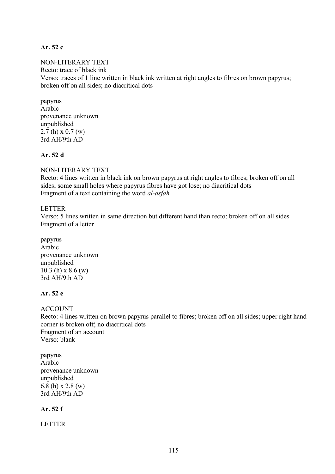#### **Ar. 52 c**

NON-LITERARY TEXT Recto: trace of black ink Verso: traces of 1 line written in black ink written at right angles to fibres on brown papyrus; broken off on all sides; no diacritical dots

papyrus Arabic provenance unknown unpublished 2.7 (h) x 0.7 (w) 3rd AH/9th AD

### **Ar. 52 d**

NON-LITERARY TEXT

Recto: 4 lines written in black ink on brown papyrus at right angles to fibres; broken off on all sides; some small holes where papyrus fibres have got lose; no diacritical dots Fragment of a text containing the word *al-asfah*

### LETTER

Verso: 5 lines written in same direction but different hand than recto; broken off on all sides Fragment of a letter

papyrus Arabic provenance unknown unpublished 10.3 (h) x 8.6 (w) 3rd AH/9th AD

### **Ar. 52 e**

ACCOUNT Recto: 4 lines written on brown papyrus parallel to fibres; broken off on all sides; upper right hand corner is broken off; no diacritical dots Fragment of an account Verso: blank

papyrus Arabic provenance unknown unpublished 6.8 (h) x 2.8 (w) 3rd AH/9th AD

## **Ar. 52 f**

LETTER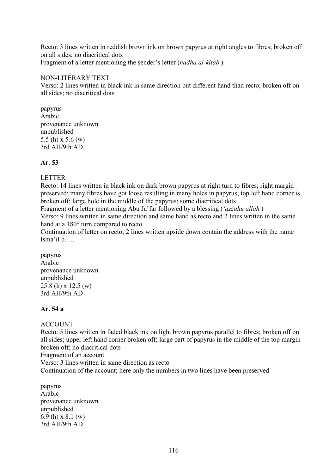Recto: 3 lines written in reddish brown ink on brown papyrus at right angles to fibres; broken off on all sides; no diacritical dots Fragment of a letter mentioning the sender's letter (*hadha al-kitab* )

### NON-LITERARY TEXT

Verso: 2 lines written in black ink in same direction but different hand than recto; broken off on all sides; no diacritical dots

papyrus Arabic provenance unknown unpublished 5.5 (h) x 5.6 (w) 3rd AH/9th AD

## **Ar. 53**

### LETTER

Recto: 14 lines written in black ink on dark brown papyrus at right turn to fibres; right margin preserved; many fibres have got loose resulting in many holes in papyrus; top left hand corner is broken off; large hole in the middle of the papyrus; some diacritical dots

Fragment of a letter mentioning Abu Ja'far followed by a blessing (*'azzahu allah* )

Verso: 9 lines written in same direction and same hand as recto and 2 lines written in the same hand at a 180° turn compared to recto

Continuation of letter on recto; 2 lines written upside down contain the address with the name Isma'il b. …

papyrus Arabic provenance unknown unpublished 25.8 (h) x 12.5 (w) 3rd AH/9th AD

## **Ar. 54 a**

## **ACCOUNT**

Recto: 5 lines written in faded black ink on light brown papyrus parallel to fibres; broken off on all sides; upper left hand corner broken off; large part of papyrus in the middle of the top margin broken off; no diacritical dots

Fragment of an account

Verso: 3 lines written in same direction as recto

Continuation of the account; here only the numbers in two lines have been preserved

papyrus Arabic provenance unknown unpublished 6.9 (h) x 8.1 (w) 3rd AH/9th AD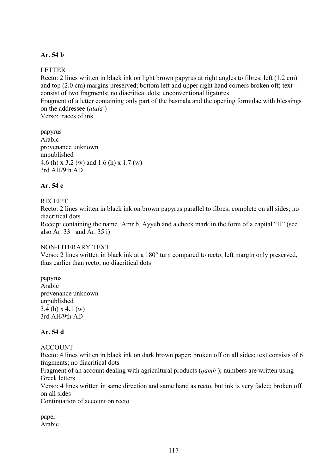## **Ar. 54 b**

### LETTER

Recto: 2 lines written in black ink on light brown papyrus at right angles to fibres; left (1.2 cm) and top (2.0 cm) margins preserved; bottom left and upper right hand corners broken off; text consist of two fragments; no diacritical dots; unconventional ligatures Fragment of a letter containing only part of the basmala and the opening formulae with blessings on the addressee (*atala* )

Verso: traces of ink

papyrus Arabic provenance unknown unpublished 4.6 (h) x 3.2 (w) and 1.6 (h) x 1.7 (w) 3rd AH/9th AD

### **Ar. 54 c**

#### **RECEIPT**

Recto: 2 lines written in black ink on brown papyrus parallel to fibres; complete on all sides; no diacritical dots

Receipt containing the name 'Amr b. Ayyub and a check mark in the form of a capital "H" (see also Ar. 33 j and Ar. 35 i)

#### NON-LITERARY TEXT

Verso: 2 lines written in black ink at a 180° turn compared to recto; left margin only preserved, thus earlier than recto; no diacritical dots

papyrus Arabic provenance unknown unpublished 3.4 (h) x 4.1 (w) 3rd AH/9th AD

### **Ar. 54 d**

#### ACCOUNT

Recto: 4 lines written in black ink on dark brown paper; broken off on all sides; text consists of 6 fragments; no diacritical dots

Fragment of an account dealing with agricultural products (*qamh* ); numbers are written using Greek letters

Verso: 4 lines written in same direction and same hand as recto, but ink is very faded; broken off on all sides

Continuation of account on recto

paper Arabic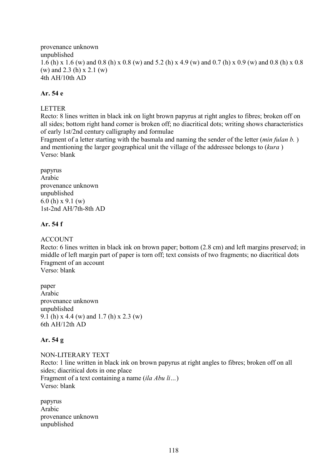provenance unknown unpublished 1.6 (h) x 1.6 (w) and 0.8 (h) x 0.8 (w) and 5.2 (h) x 4.9 (w) and 0.7 (h) x 0.9 (w) and 0.8 (h) x 0.8 (w) and 2.3 (h) x 2.1 (w) 4th AH/10th AD

## **Ar. 54 e**

## LETTER

Recto: 8 lines written in black ink on light brown papyrus at right angles to fibres; broken off on all sides; bottom right hand corner is broken off; no diacritical dots; writing shows characteristics of early 1st/2nd century calligraphy and formulae

Fragment of a letter starting with the basmala and naming the sender of the letter (*min fulan b.* ) and mentioning the larger geographical unit the village of the addressee belongs to (*kura* ) Verso: blank

papyrus Arabic provenance unknown unpublished 6.0 (h) x 9.1 (w) 1st-2nd AH/7th-8th AD

## **Ar. 54 f**

### ACCOUNT

Recto: 6 lines written in black ink on brown paper; bottom (2.8 cm) and left margins preserved; in middle of left margin part of paper is torn off; text consists of two fragments; no diacritical dots Fragment of an account

Verso: blank

paper Arabic provenance unknown unpublished 9.1 (h) x 4.4 (w) and 1.7 (h) x 2.3 (w) 6th AH/12th AD

## **Ar. 54 g**

NON-LITERARY TEXT Recto: 1 line written in black ink on brown papyrus at right angles to fibres; broken off on all sides; diacritical dots in one place Fragment of a text containing a name (*ila Abu li…*) Verso: blank

papyrus Arabic provenance unknown unpublished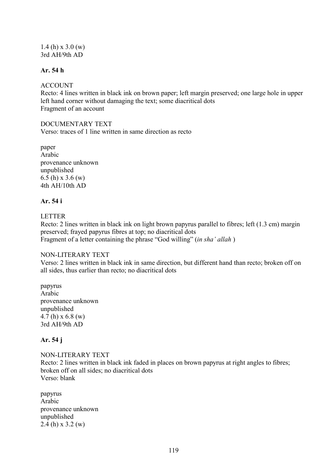1.4 (h) x 3.0 (w) 3rd AH/9th AD

#### **Ar. 54 h**

#### **ACCOUNT**

Recto: 4 lines written in black ink on brown paper; left margin preserved; one large hole in upper left hand corner without damaging the text; some diacritical dots Fragment of an account

#### DOCUMENTARY TEXT

Verso: traces of 1 line written in same direction as recto

paper Arabic provenance unknown unpublished 6.5 (h) x 3.6 (w) 4th AH/10th AD

## **Ar. 54 i**

LETTER

Recto: 2 lines written in black ink on light brown papyrus parallel to fibres; left (1.3 cm) margin preserved; frayed papyrus fibres at top; no diacritical dots Fragment of a letter containing the phrase "God willing" (*in sha' allah* )

#### NON-LITERARY TEXT

Verso: 2 lines written in black ink in same direction, but different hand than recto; broken off on all sides, thus earlier than recto; no diacritical dots

papyrus Arabic provenance unknown unpublished 4.7 (h) x 6.8 (w) 3rd AH/9th AD

## **Ar. 54 j**

NON-LITERARY TEXT Recto: 2 lines written in black ink faded in places on brown papyrus at right angles to fibres; broken off on all sides; no diacritical dots Verso: blank

papyrus Arabic provenance unknown unpublished 2.4 (h) x 3.2 (w)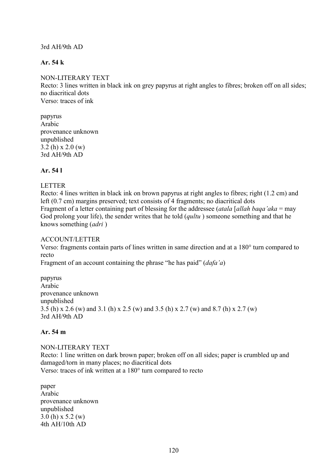### 3rd AH/9th AD

### **Ar. 54 k**

#### NON-LITERARY TEXT

Recto: 3 lines written in black ink on grey papyrus at right angles to fibres; broken off on all sides; no diacritical dots Verso: traces of ink

papyrus Arabic provenance unknown unpublished 3.2 (h) x 2.0 (w) 3rd AH/9th AD

# **Ar. 54 l**

#### LETTER

Recto: 4 lines written in black ink on brown papyrus at right angles to fibres; right (1.2 cm) and left (0.7 cm) margins preserved; text consists of 4 fragments; no diacritical dots Fragment of a letter containing part of blessing for the addressee (*atala* [*allah baqa'aka* = may God prolong your life), the sender writes that he told (*qultu* ) someone something and that he knows something (*adri* )

#### ACCOUNT/LETTER

Verso: fragments contain parts of lines written in same direction and at a 180° turn compared to recto

Fragment of an account containing the phrase "he has paid" (*dafa'a*)

papyrus Arabic provenance unknown unpublished 3.5 (h) x 2.6 (w) and 3.1 (h) x 2.5 (w) and 3.5 (h) x 2.7 (w) and 8.7 (h) x 2.7 (w) 3rd AH/9th AD

#### **Ar. 54 m**

NON-LITERARY TEXT Recto: 1 line written on dark brown paper; broken off on all sides; paper is crumbled up and damaged/torn in many places; no diacritical dots Verso: traces of ink written at a 180° turn compared to recto

paper Arabic provenance unknown unpublished 3.0 (h) x 5.2 (w) 4th AH/10th AD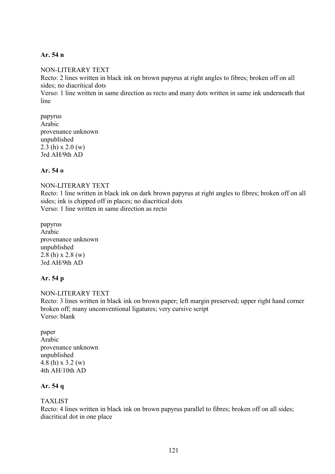### **Ar. 54 n**

#### NON-LITERARY TEXT

Recto: 2 lines written in black ink on brown papyrus at right angles to fibres; broken off on all sides; no diacritical dots

Verso: 1 line written in same direction as recto and many dots written in same ink underneath that line

papyrus Arabic provenance unknown unpublished  $2.3$  (h) x  $2.0$  (w) 3rd AH/9th AD

### **Ar. 54 o**

NON-LITERARY TEXT Recto: 1 line written in black ink on dark brown papyrus at right angles to fibres; broken off on all sides; ink is chipped off in places; no diacritical dots Verso: 1 line written in same direction as recto

papyrus Arabic provenance unknown unpublished 2.8 (h) x 2.8 (w) 3rd AH/9th AD

## **Ar. 54 p**

NON-LITERARY TEXT Recto: 3 lines written in black ink on brown paper; left margin preserved; upper right hand corner broken off; many unconventional ligatures; very cursive script Verso: blank

paper Arabic provenance unknown unpublished 4.8 (h) x 3.2 (w) 4th AH/10th AD

### **Ar. 54 q**

#### TAXLIST

Recto: 4 lines written in black ink on brown papyrus parallel to fibres; broken off on all sides; diacritical dot in one place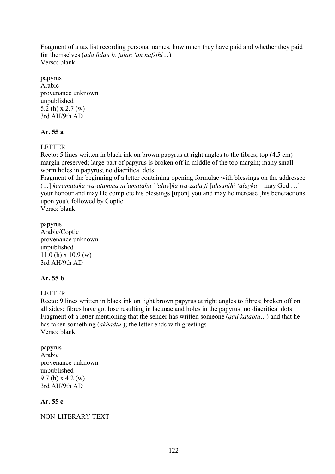Fragment of a tax list recording personal names, how much they have paid and whether they paid for themselves (*ada fulan b. fulan 'an nafsihi…*) Verso: blank

papyrus Arabic provenance unknown unpublished 5.2 (h) x 2.7 (w) 3rd AH/9th AD

## **Ar. 55 a**

LETTER

Recto: 5 lines written in black ink on brown papyrus at right angles to the fibres; top (4.5 cm) margin preserved; large part of papyrus is broken off in middle of the top margin; many small worm holes in papyrus; no diacritical dots

Fragment of the beginning of a letter containing opening formulae with blessings on the addressee (*…*] *karamataka wa-atamma ni'amatahu* [*'alay*]*ka wa-zada fi* [*ahsanihi 'alayka* = may God …] your honour and may He complete his blessings [upon] you and may he increase [his benefactions upon you), followed by Coptic Verso: blank

papyrus Arabic/Coptic provenance unknown

unpublished 11.0 (h) x 10.9 (w) 3rd AH/9th AD

## **Ar. 55 b**

## LETTER

Recto: 9 lines written in black ink on light brown papyrus at right angles to fibres; broken off on all sides; fibres have got lose resulting in lacunae and holes in the papyrus; no diacritical dots Fragment of a letter mentioning that the sender has written someone (*qad katabtu…*) and that he has taken something (*akhadtu* ); the letter ends with greetings Verso: blank

papyrus Arabic provenance unknown unpublished 9.7 (h) x 4.2 (w) 3rd AH/9th AD

# **Ar. 55 c**

NON-LITERARY TEXT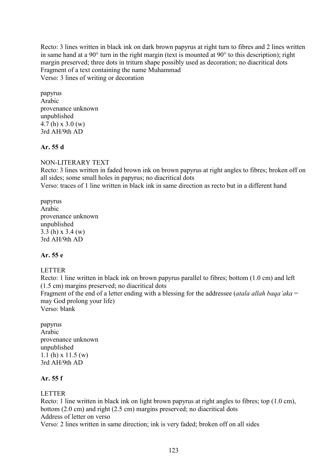Recto: 3 lines written in black ink on dark brown papyrus at right turn to fibres and 2 lines written in same hand at a 90° turn in the right margin (text is mounted at 90° to this description); right margin preserved; three dots in triturn shape possibly used as decoration; no diacritical dots Fragment of a text containing the name Muhammad Verso: 3 lines of writing or decoration

papyrus Arabic provenance unknown unpublished 4.7 (h) x 3.0 (w) 3rd AH/9th AD

## **Ar. 55 d**

## NON-LITERARY TEXT

Recto: 3 lines written in faded brown ink on brown papyrus at right angles to fibres; broken off on all sides; some small holes in papyrus; no diacritical dots

Verso: traces of 1 line written in black ink in same direction as recto but in a different hand

papyrus Arabic provenance unknown unpublished 3.3 (h) x 3.4 (w) 3rd AH/9th AD

# **Ar. 55 e**

# LETTER

Recto: 1 line written in black ink on brown papyrus parallel to fibres; bottom (1.0 cm) and left (1.5 cm) margins preserved; no diacritical dots

Fragment of the end of a letter ending with a blessing for the addressee (*atala allah baqa'aka* = may God prolong your life)

Verso: blank

papyrus Arabic provenance unknown unpublished 1.1 (h) x 11.5 (w) 3rd AH/9th AD

## **Ar. 55 f**

# LETTER

Recto: 1 line written in black ink on light brown papyrus at right angles to fibres; top (1.0 cm), bottom (2.0 cm) and right (2.5 cm) margins preserved; no diacritical dots Address of letter on verso

Verso: 2 lines written in same direction; ink is very faded; broken off on all sides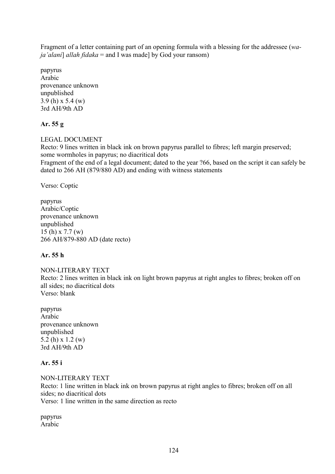Fragment of a letter containing part of an opening formula with a blessing for the addressee (*waja'alani*] *allah fidaka* = and I was made] by God your ransom)

papyrus Arabic provenance unknown unpublished 3.9 (h) x 5.4 (w) 3rd AH/9th AD

# **Ar. 55 g**

### LEGAL DOCUMENT

Recto: 9 lines written in black ink on brown papyrus parallel to fibres; left margin preserved; some wormholes in papyrus; no diacritical dots

Fragment of the end of a legal document; dated to the year ?66, based on the script it can safely be dated to 266 AH (879/880 AD) and ending with witness statements

Verso: Coptic

papyrus Arabic/Coptic provenance unknown unpublished 15 (h) x 7.7 (w) 266 AH/879-880 AD (date recto)

## **Ar. 55 h**

NON-LITERARY TEXT Recto: 2 lines written in black ink on light brown papyrus at right angles to fibres; broken off on all sides; no diacritical dots Verso: blank

papyrus Arabic provenance unknown unpublished 5.2 (h) x 1.2 (w) 3rd AH/9th AD

## **Ar. 55 i**

NON-LITERARY TEXT Recto: 1 line written in black ink on brown papyrus at right angles to fibres; broken off on all sides; no diacritical dots Verso: 1 line written in the same direction as recto

papyrus Arabic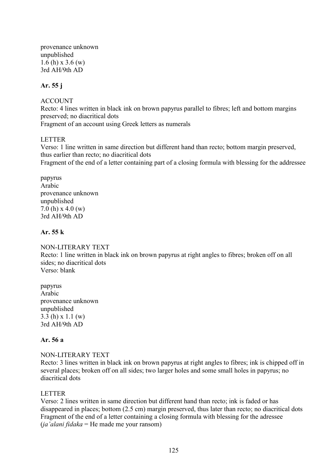provenance unknown unpublished 1.6 (h) x 3.6 (w) 3rd AH/9th AD

### **Ar. 55 j**

#### ACCOUNT

Recto: 4 lines written in black ink on brown papyrus parallel to fibres; left and bottom margins preserved; no diacritical dots Fragment of an account using Greek letters as numerals

### LETTER

Verso: 1 line written in same direction but different hand than recto; bottom margin preserved, thus earlier than recto; no diacritical dots Fragment of the end of a letter containing part of a closing formula with blessing for the addressee

papyrus Arabic provenance unknown unpublished 7.0 (h) x 4.0 (w) 3rd AH/9th AD

### **Ar. 55 k**

NON-LITERARY TEXT Recto: 1 line written in black ink on brown papyrus at right angles to fibres; broken off on all sides; no diacritical dots Verso: blank

papyrus Arabic provenance unknown unpublished 3.3 (h) x 1.1 (w) 3rd AH/9th AD

## **Ar. 56 a**

#### NON-LITERARY TEXT

Recto: 3 lines written in black ink on brown papyrus at right angles to fibres; ink is chipped off in several places; broken off on all sides; two larger holes and some small holes in papyrus; no diacritical dots

#### LETTER

Verso: 2 lines written in same direction but different hand than recto; ink is faded or has disappeared in places; bottom (2.5 cm) margin preserved, thus later than recto; no diacritical dots Fragment of the end of a letter containing a closing formula with blessing for the adressee (*ja'alani fidaka* = He made me your ransom)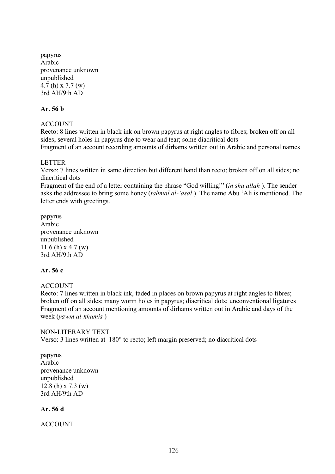papyrus Arabic provenance unknown unpublished 4.7 (h) x 7.7 (w) 3rd AH/9th AD

#### **Ar. 56 b**

### ACCOUNT

Recto: 8 lines written in black ink on brown papyrus at right angles to fibres; broken off on all sides; several holes in papyrus due to wear and tear; some diacritical dots Fragment of an account recording amounts of dirhams written out in Arabic and personal names

#### LETTER

Verso: 7 lines written in same direction but different hand than recto; broken off on all sides; no diacritical dots

Fragment of the end of a letter containing the phrase "God willing!" (*in sha allah* ). The sender asks the addressee to bring some honey (*tahmal al-'asal* ). The name Abu 'Ali is mentioned. The letter ends with greetings.

papyrus Arabic provenance unknown unpublished 11.6 (h)  $x$  4.7 (w) 3rd AH/9th AD

## **Ar. 56 c**

## ACCOUNT

Recto: 7 lines written in black ink, faded in places on brown papyrus at right angles to fibres; broken off on all sides; many worm holes in papyrus; diacritical dots; unconventional ligatures Fragment of an account mentioning amounts of dirhams written out in Arabic and days of the week (*yawm al-khamis* )

#### NON-LITERARY TEXT

Verso: 3 lines written at 180° to recto; left margin preserved; no diacritical dots

papyrus Arabic provenance unknown unpublished 12.8 (h) x 7.3 (w) 3rd AH/9th AD

#### **Ar. 56 d**

ACCOUNT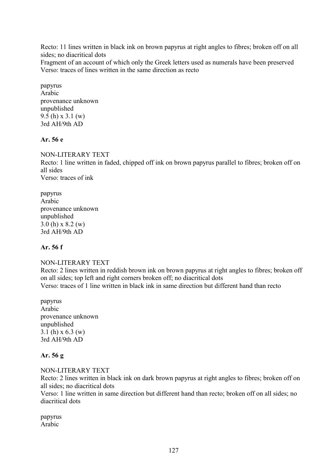Recto: 11 lines written in black ink on brown papyrus at right angles to fibres; broken off on all sides; no diacritical dots

Fragment of an account of which only the Greek letters used as numerals have been preserved Verso: traces of lines written in the same direction as recto

papyrus Arabic provenance unknown unpublished 9.5 (h) x 3.1 (w) 3rd AH/9th AD

### **Ar. 56 e**

NON-LITERARY TEXT

Recto: 1 line written in faded, chipped off ink on brown papyrus parallel to fibres; broken off on all sides Verso: traces of ink

papyrus Arabic provenance unknown unpublished 3.0 (h) x 8.2 (w) 3rd AH/9th AD

#### **Ar. 56 f**

#### NON-LITERARY TEXT

Recto: 2 lines written in reddish brown ink on brown papyrus at right angles to fibres; broken off on all sides; top left and right corners broken off; no diacritical dots Verso: traces of 1 line written in black ink in same direction but different hand than recto

papyrus Arabic provenance unknown unpublished 3.1 (h) x 6.3 (w) 3rd AH/9th AD

#### **Ar. 56 g**

#### NON-LITERARY TEXT

Recto: 2 lines written in black ink on dark brown papyrus at right angles to fibres; broken off on all sides; no diacritical dots

Verso: 1 line written in same direction but different hand than recto; broken off on all sides; no diacritical dots

papyrus Arabic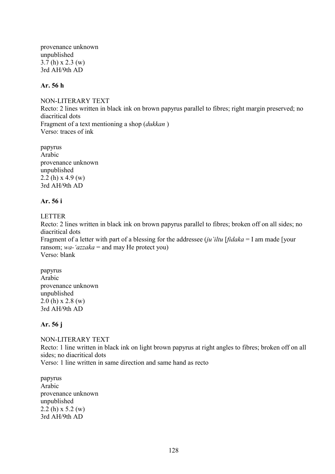provenance unknown unpublished 3.7 (h) x 2.3 (w) 3rd AH/9th AD

#### **Ar. 56 h**

NON-LITERARY TEXT Recto: 2 lines written in black ink on brown papyrus parallel to fibres; right margin preserved; no diacritical dots Fragment of a text mentioning a shop (*dukkan* ) Verso: traces of ink

papyrus Arabic provenance unknown unpublished 2.2 (h)  $x$  4.9 (w) 3rd AH/9th AD

## **Ar. 56 i**

LETTER

Recto: 2 lines written in black ink on brown papyrus parallel to fibres; broken off on all sides; no diacritical dots

Fragment of a letter with part of a blessing for the addressee (*ju'iltu* [*fidaka* = I am made [your ransom; *wa-'azzaka* = and may He protect you) Verso: blank

papyrus Arabic provenance unknown unpublished  $2.0$  (h) x  $2.8$  (w) 3rd AH/9th AD

## **Ar. 56 j**

NON-LITERARY TEXT Recto: 1 line written in black ink on light brown papyrus at right angles to fibres; broken off on all sides; no diacritical dots Verso: 1 line written in same direction and same hand as recto

papyrus Arabic provenance unknown unpublished 2.2 (h) x 5.2 (w) 3rd AH/9th AD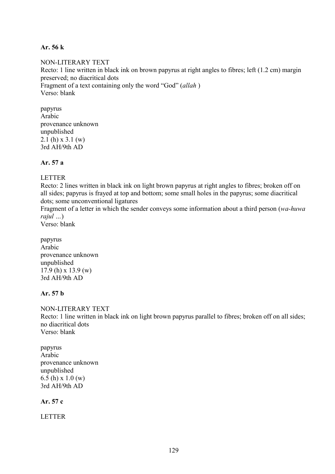### **Ar. 56 k**

## NON-LITERARY TEXT Recto: 1 line written in black ink on brown papyrus at right angles to fibres; left (1.2 cm) margin preserved; no diacritical dots Fragment of a text containing only the word "God" (*allah* ) Verso: blank

papyrus Arabic provenance unknown unpublished 2.1 (h) x 3.1 (w) 3rd AH/9th AD

**Ar. 57 a**

### LETTER

Recto: 2 lines written in black ink on light brown papyrus at right angles to fibres; broken off on all sides; papyrus is frayed at top and bottom; some small holes in the papyrus; some diacritical dots; some unconventional ligatures

Fragment of a letter in which the sender conveys some information about a third person (*wa-huwa rajul …*)

Verso: blank

papyrus Arabic provenance unknown unpublished 17.9 (h) x 13.9 (w) 3rd AH/9th AD

# **Ar. 57 b**

NON-LITERARY TEXT Recto: 1 line written in black ink on light brown papyrus parallel to fibres; broken off on all sides; no diacritical dots Verso: blank

papyrus Arabic provenance unknown unpublished 6.5 (h) x 1.0 (w) 3rd AH/9th AD

**Ar. 57 c**

LETTER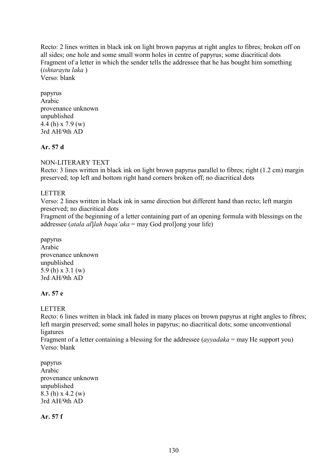Recto: 2 lines written in black ink on light brown papyrus at right angles to fibres; broken off on all sides; one hole and some small worm holes in centre of papyrus; some diacritical dots Fragment of a letter in which the sender tells the addressee that he has bought him something (*ishtaraytu laka* )

Verso: blank

papyrus Arabic provenance unknown unpublished 4.4 (h) x 7.9 (w) 3rd AH/9th AD

### **Ar. 57 d**

### NON-LITERARY TEXT

Recto: 3 lines written in black ink on light brown papyrus parallel to fibres; right (1.2 cm) margin preserved; top left and bottom right hand corners broken off; no diacritical dots

#### LETTER

Verso: 2 lines written in black ink in same direction but different hand than recto; left margin preserved; no diacritical dots

Fragment of the beginning of a letter containing part of an opening formula with blessings on the addressee (*atala al*]*lah baqa'aka* = may God prol]ong your life)

papyrus Arabic provenance unknown unpublished 5.9 (h) x 3.1 (w) 3rd AH/9th AD

## **Ar. 57 e**

LETTER

Recto: 6 lines written in black ink faded in many places on brown papyrus at right angles to fibres; left margin preserved; some small holes in papyrus; no diacritical dots; some unconventional ligatures

Fragment of a letter containing a blessing for the addressee (*ayyadaka* = may He support you) Verso: blank

papyrus Arabic provenance unknown unpublished 8.3 (h) x 4.2 (w) 3rd AH/9th AD

**Ar. 57 f**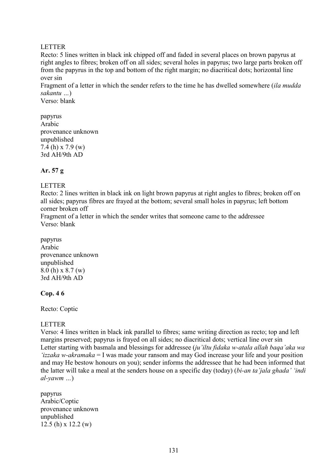### LETTER

Recto: 5 lines written in black ink chipped off and faded in several places on brown papyrus at right angles to fibres; broken off on all sides; several holes in papyrus; two large parts broken off from the papyrus in the top and bottom of the right margin; no diacritical dots; horizontal line over sin

Fragment of a letter in which the sender refers to the time he has dwelled somewhere (*ila mudda sakantu …*)

Verso: blank

papyrus Arabic provenance unknown unpublished 7.4 (h) x 7.9 (w) 3rd AH/9th AD

## **Ar. 57 g**

### LETTER

Recto: 2 lines written in black ink on light brown papyrus at right angles to fibres; broken off on all sides; papyrus fibres are frayed at the bottom; several small holes in papyrus; left bottom corner broken off

Fragment of a letter in which the sender writes that someone came to the addressee Verso: blank

papyrus Arabic provenance unknown unpublished 8.0 (h) x 8.7 (w) 3rd AH/9th AD

#### **Cop. 4 6**

Recto: Coptic

#### **LETTER**

Verso: 4 lines written in black ink parallel to fibres; same writing direction as recto; top and left margins preserved; papyrus is frayed on all sides; no diacritical dots; vertical line over sin Letter starting with basmala and blessings for addressee (*ju'iltu fidaka w-atala allah baqa'aka wa 'izzaka w-akramaka* = I was made your ransom and may God increase your life and your position and may He bestow honours on you); sender informs the addressee that he had been informed that the latter will take a meal at the senders house on a specific day (today) (*bi-an ta'jala ghada' 'indi al-yawm …*)

papyrus Arabic/Coptic provenance unknown unpublished 12.5 (h) x 12.2 (w)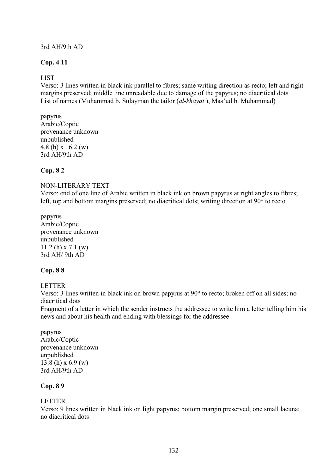## 3rd AH/9th AD

### **Cop. 4 11**

### LIST

Verso: 3 lines written in black ink parallel to fibres; same writing direction as recto; left and right margins preserved; middle line unreadable due to damage of the papyrus; no diacritical dots List of names (Muhammad b. Sulayman the tailor (*al-khayat* ), Mas'ud b. Muhammad)

# papyrus

Arabic/Coptic provenance unknown unpublished 4.8 (h) x 16.2 (w) 3rd AH/9th AD

## **Cop. 8 2**

#### NON-LITERARY TEXT

Verso: end of one line of Arabic written in black ink on brown papyrus at right angles to fibres; left, top and bottom margins preserved; no diacritical dots; writing direction at 90° to recto

papyrus Arabic/Coptic provenance unknown unpublished 11.2 (h) x 7.1 (w) 3rd AH/ 9th AD

#### **Cop. 8 8**

#### LETTER

Verso: 3 lines written in black ink on brown papyrus at 90° to recto; broken off on all sides; no diacritical dots

Fragment of a letter in which the sender instructs the addressee to write him a letter telling him his news and about his health and ending with blessings for the addressee

papyrus Arabic/Coptic provenance unknown unpublished 13.8 (h) x 6.9 (w) 3rd AH/9th AD

## **Cop. 8 9**

#### LETTER

Verso: 9 lines written in black ink on light papyrus; bottom margin preserved; one small lacuna; no diacritical dots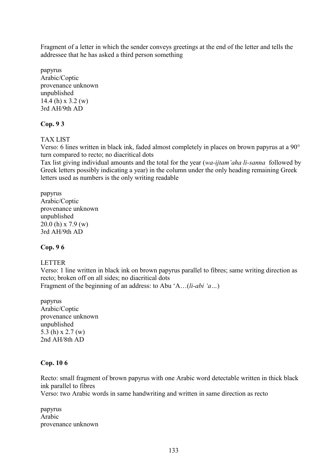Fragment of a letter in which the sender conveys greetings at the end of the letter and tells the addressee that he has asked a third person something

papyrus Arabic/Coptic provenance unknown unpublished 14.4 (h) x 3.2 (w) 3rd AH/9th AD

## **Cop. 9 3**

TAX LIST

Verso: 6 lines written in black ink, faded almost completely in places on brown papyrus at a 90° turn compared to recto; no diacritical dots

Tax list giving individual amounts and the total for the year (*wa-ijtam'aha li-sanna* followed by Greek letters possibly indicating a year) in the column under the only heading remaining Greek letters used as numbers is the only writing readable

papyrus Arabic/Coptic provenance unknown unpublished 20.0 (h) x 7.9 (w) 3rd AH/9th AD

## **Cop. 9 6**

## LETTER

Verso: 1 line written in black ink on brown papyrus parallel to fibres; same writing direction as recto; broken off on all sides; no diacritical dots Fragment of the beginning of an address: to Abu 'A…(*li-abi 'a…*)

papyrus Arabic/Coptic provenance unknown unpublished 5.3 (h) x 2.7 (w) 2nd AH/8th AD

## **Cop. 10 6**

Recto: small fragment of brown papyrus with one Arabic word detectable written in thick black ink parallel to fibres

Verso: two Arabic words in same handwriting and written in same direction as recto

papyrus Arabic provenance unknown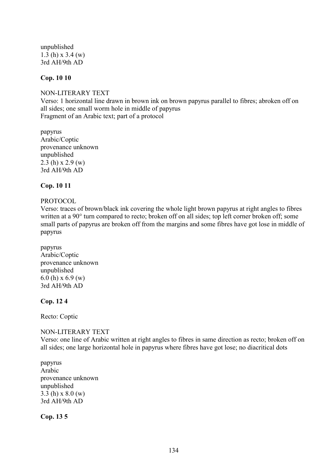unpublished 1.3 (h) x 3.4 (w) 3rd AH/9th AD

## **Cop. 10 10**

NON-LITERARY TEXT Verso: 1 horizontal line drawn in brown ink on brown papyrus parallel to fibres; abroken off on all sides; one small worm hole in middle of papyrus Fragment of an Arabic text; part of a protocol

papyrus Arabic/Coptic provenance unknown unpublished 2.3 (h)  $x$  2.9 (w) 3rd AH/9th AD

#### **Cop. 10 11**

#### PROTOCOL

Verso: traces of brown/black ink covering the whole light brown papyrus at right angles to fibres written at a 90° turn compared to recto; broken off on all sides; top left corner broken off; some small parts of papyrus are broken off from the margins and some fibres have got lose in middle of papyrus

papyrus Arabic/Coptic provenance unknown unpublished 6.0 (h) x 6.9 (w) 3rd AH/9th AD

#### **Cop. 12 4**

Recto: Coptic

#### NON-LITERARY TEXT

Verso: one line of Arabic written at right angles to fibres in same direction as recto; broken off on all sides; one large horizontal hole in papyrus where fibres have got lose; no diacritical dots

papyrus Arabic provenance unknown unpublished 3.3 (h) x 8.0 (w) 3rd AH/9th AD

**Cop. 13 5**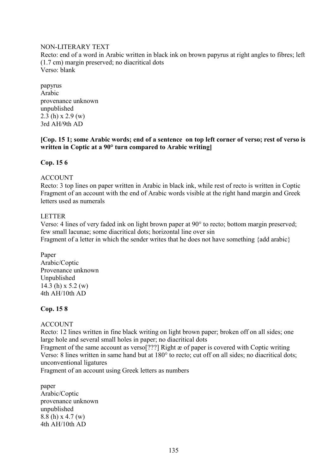### NON-LITERARY TEXT

Recto: end of a word in Arabic written in black ink on brown papyrus at right angles to fibres; left (1.7 cm) margin preserved; no diacritical dots Verso: blank

papyrus Arabic provenance unknown unpublished 2.3 (h)  $x$  2.9 (w) 3rd AH/9th AD

### **[Cop. 15 1; some Arabic words; end of a sentence on top left corner of verso; rest of verso is written in Coptic at a 90° turn compared to Arabic writing]**

### **Cop. 15 6**

### ACCOUNT

Recto: 3 top lines on paper written in Arabic in black ink, while rest of recto is written in Coptic Fragment of an account with the end of Arabic words visible at the right hand margin and Greek letters used as numerals

#### LETTER

Verso: 4 lines of very faded ink on light brown paper at 90° to recto; bottom margin preserved; few small lacunae; some diacritical dots; horizontal line over sin Fragment of a letter in which the sender writes that he does not have something {add arabic}

Paper Arabic/Coptic Provenance unknown Unpublished 14.3 (h) x 5.2 (w) 4th AH/10th AD

## **Cop. 15 8**

## **ACCOUNT**

Recto: 12 lines written in fine black writing on light brown paper; broken off on all sides; one large hole and several small holes in paper; no diacritical dots

Fragment of the same account as verso[???] Right æ of paper is covered with Coptic writing Verso: 8 lines written in same hand but at 180° to recto; cut off on all sides; no diacritical dots; unconventional ligatures

Fragment of an account using Greek letters as numbers

paper Arabic/Coptic provenance unknown unpublished 8.8 (h) x 4.7 (w) 4th AH/10th AD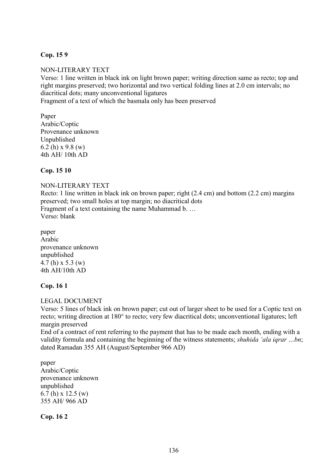## **Cop. 15 9**

#### NON-LITERARY TEXT

Verso: 1 line written in black ink on light brown paper; writing direction same as recto; top and right margins preserved; two horizontal and two vertical folding lines at 2.0 cm intervals; no diacritical dots; many unconventional ligatures

Fragment of a text of which the basmala only has been preserved

Paper Arabic/Coptic Provenance unknown Unpublished 6.2 (h)  $x$  9.8 (w) 4th AH/ 10th AD

### **Cop. 15 10**

#### NON-LITERARY TEXT

Recto: 1 line written in black ink on brown paper; right (2.4 cm) and bottom (2.2 cm) margins preserved; two small holes at top margin; no diacritical dots Fragment of a text containing the name Muhammad b. … Verso: blank

paper Arabic provenance unknown unpublished 4.7 (h) x 5.3 (w) 4th AH/10th AD

#### **Cop. 16 1**

#### LEGAL DOCUMENT

Verso: 5 lines of black ink on brown paper; cut out of larger sheet to be used for a Coptic text on recto; writing direction at 180° to recto; very few diacritical dots; unconventional ligatures; left margin preserved

End of a contract of rent referring to the payment that has to be made each month, ending with a validity formula and containing the beginning of the witness statements; *shuhida 'ala iqrar …bn*; dated Ramadan 355 AH (August/September 966 AD)

paper Arabic/Coptic provenance unknown unpublished 6.7 (h) x 12.5 (w) 355 AH/ 966 AD

**Cop. 16 2**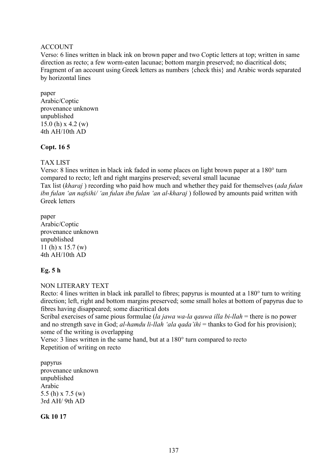### ACCOUNT

Verso: 6 lines written in black ink on brown paper and two Coptic letters at top; written in same direction as recto; a few worm-eaten lacunae; bottom margin preserved; no diacritical dots; Fragment of an account using Greek letters as numbers {check this} and Arabic words separated by horizontal lines

paper Arabic/Coptic provenance unknown unpublished 15.0 (h) x 4.2 (w) 4th AH/10th AD

### **Copt. 16 5**

### TAX LIST

Verso: 8 lines written in black ink faded in some places on light brown paper at a 180° turn compared to recto; left and right margins preserved; several small lacunae Tax list (*kharaj* ) recording who paid how much and whether they paid for themselves (*ada fulan ibn fulan 'an nafsihi/ 'an fulan ibn fulan 'an al-kharaj* ) followed by amounts paid written with Greek letters

paper Arabic/Coptic provenance unknown unpublished 11 (h) x 15.7 (w) 4th AH/10th AD

## **Eg. 5 h**

NON LITERARY TEXT

Recto: 4 lines written in black ink parallel to fibres; papyrus is mounted at a 180° turn to writing direction; left, right and bottom margins preserved; some small holes at bottom of papyrus due to fibres having disappeared; some diacritical dots

Scribal exercises of same pious formulae (*la jawa wa-la qauwa illa bi-llah* = there is no power and no strength save in God; *al-hamdu li-llah 'ala qada'ihi* = thanks to God for his provision); some of the writing is overlapping

Verso: 3 lines written in the same hand, but at a 180° turn compared to recto Repetition of writing on recto

papyrus provenance unknown unpublished Arabic 5.5 (h) x 7.5 (w) 3rd AH/ 9th AD

**Gk 10 17**